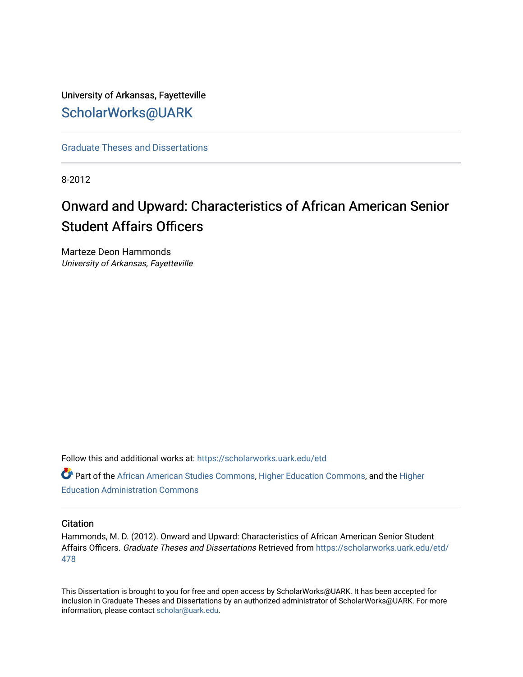University of Arkansas, Fayetteville [ScholarWorks@UARK](https://scholarworks.uark.edu/) 

[Graduate Theses and Dissertations](https://scholarworks.uark.edu/etd) 

8-2012

# Onward and Upward: Characteristics of African American Senior Student Affairs Officers

Marteze Deon Hammonds University of Arkansas, Fayetteville

Follow this and additional works at: [https://scholarworks.uark.edu/etd](https://scholarworks.uark.edu/etd?utm_source=scholarworks.uark.edu%2Fetd%2F478&utm_medium=PDF&utm_campaign=PDFCoverPages)

Part of the [African American Studies Commons,](http://network.bepress.com/hgg/discipline/567?utm_source=scholarworks.uark.edu%2Fetd%2F478&utm_medium=PDF&utm_campaign=PDFCoverPages) [Higher Education Commons,](http://network.bepress.com/hgg/discipline/1245?utm_source=scholarworks.uark.edu%2Fetd%2F478&utm_medium=PDF&utm_campaign=PDFCoverPages) and the [Higher](http://network.bepress.com/hgg/discipline/791?utm_source=scholarworks.uark.edu%2Fetd%2F478&utm_medium=PDF&utm_campaign=PDFCoverPages) [Education Administration Commons](http://network.bepress.com/hgg/discipline/791?utm_source=scholarworks.uark.edu%2Fetd%2F478&utm_medium=PDF&utm_campaign=PDFCoverPages) 

#### **Citation**

Hammonds, M. D. (2012). Onward and Upward: Characteristics of African American Senior Student Affairs Officers. Graduate Theses and Dissertations Retrieved from [https://scholarworks.uark.edu/etd/](https://scholarworks.uark.edu/etd/478?utm_source=scholarworks.uark.edu%2Fetd%2F478&utm_medium=PDF&utm_campaign=PDFCoverPages) [478](https://scholarworks.uark.edu/etd/478?utm_source=scholarworks.uark.edu%2Fetd%2F478&utm_medium=PDF&utm_campaign=PDFCoverPages) 

This Dissertation is brought to you for free and open access by ScholarWorks@UARK. It has been accepted for inclusion in Graduate Theses and Dissertations by an authorized administrator of ScholarWorks@UARK. For more information, please contact [scholar@uark.edu.](mailto:scholar@uark.edu)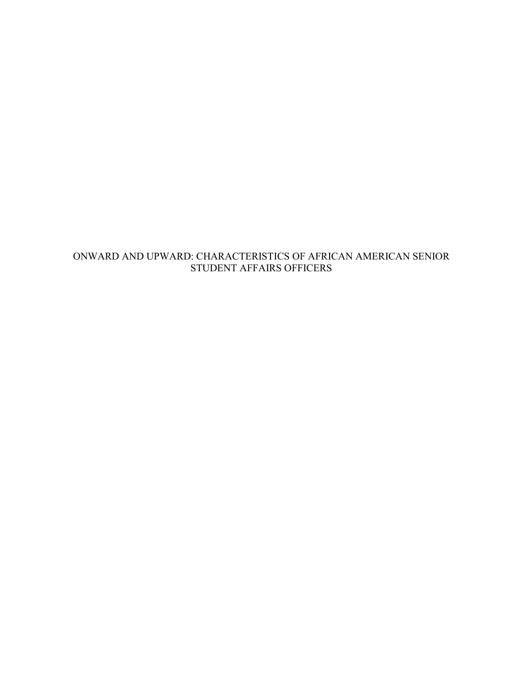# ONWARD AND UPWARD: CHARACTERISTICS OF AFRICAN AMERICAN SENIOR STUDENT AFFAIRS OFFICERS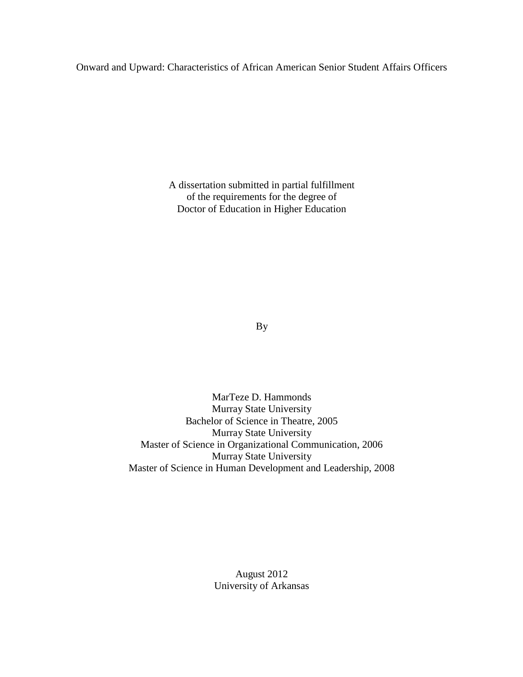## Onward and Upward: Characteristics of African American Senior Student Affairs Officers

A dissertation submitted in partial fulfillment of the requirements for the degree of Doctor of Education in Higher Education

By

MarTeze D. Hammonds Murray State University Bachelor of Science in Theatre, 2005 Murray State University Master of Science in Organizational Communication, 2006 Murray State University Master of Science in Human Development and Leadership, 2008

> August 2012 University of Arkansas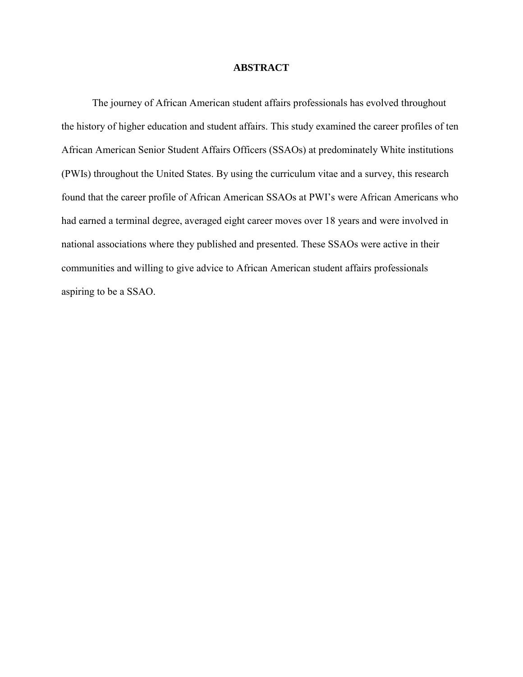## **ABSTRACT**

 The journey of African American student affairs professionals has evolved throughout the history of higher education and student affairs. This study examined the career profiles of ten African American Senior Student Affairs Officers (SSAOs) at predominately White institutions (PWIs) throughout the United States. By using the curriculum vitae and a survey, this research found that the career profile of African American SSAOs at PWI's were African Americans who had earned a terminal degree, averaged eight career moves over 18 years and were involved in national associations where they published and presented. These SSAOs were active in their communities and willing to give advice to African American student affairs professionals aspiring to be a SSAO.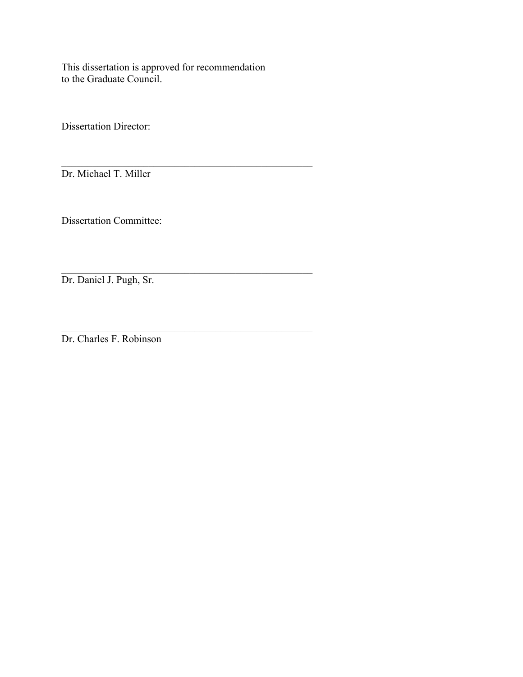This dissertation is approved for recommendation to the Graduate Council.

\_\_\_\_\_\_\_\_\_\_\_\_\_\_\_\_\_\_\_\_\_\_\_\_\_\_\_\_\_\_\_\_\_\_\_\_\_\_\_\_\_\_\_\_\_\_\_\_\_

Dissertation Director:

\_\_\_\_\_\_\_\_\_\_\_\_\_\_\_\_\_\_\_\_\_\_\_\_\_\_\_\_\_\_\_\_\_\_\_\_\_\_\_\_\_\_\_\_\_\_\_\_\_ Dr. Michael T. Miller

Dissertation Committee:

Dr. Daniel J. Pugh, Sr.

\_\_\_\_\_\_\_\_\_\_\_\_\_\_\_\_\_\_\_\_\_\_\_\_\_\_\_\_\_\_\_\_\_\_\_\_\_\_\_\_\_\_\_\_\_\_\_\_\_ Dr. Charles F. Robinson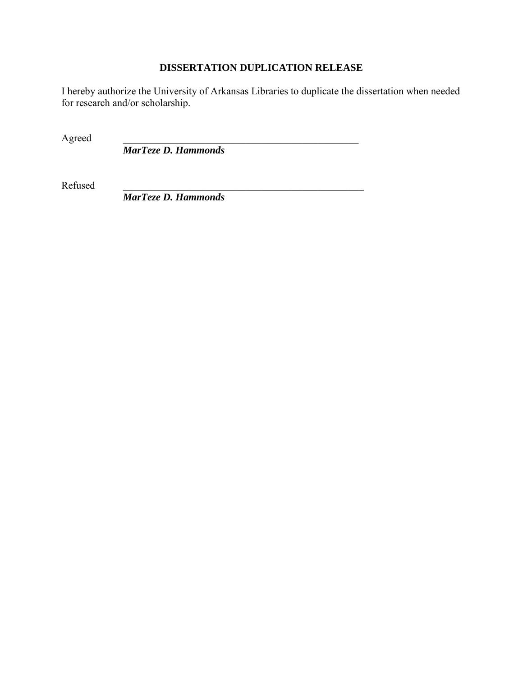# **DISSERTATION DUPLICATION RELEASE**

I hereby authorize the University of Arkansas Libraries to duplicate the dissertation when needed for research and/or scholarship.

Agreed

*MarTeze D. Hammonds* 

Refused \_\_\_\_\_\_\_\_\_\_\_\_\_\_\_\_\_\_\_\_\_\_\_\_\_\_\_\_\_\_\_\_\_\_\_\_\_\_\_\_\_\_\_\_\_\_\_

*MarTeze D. Hammonds*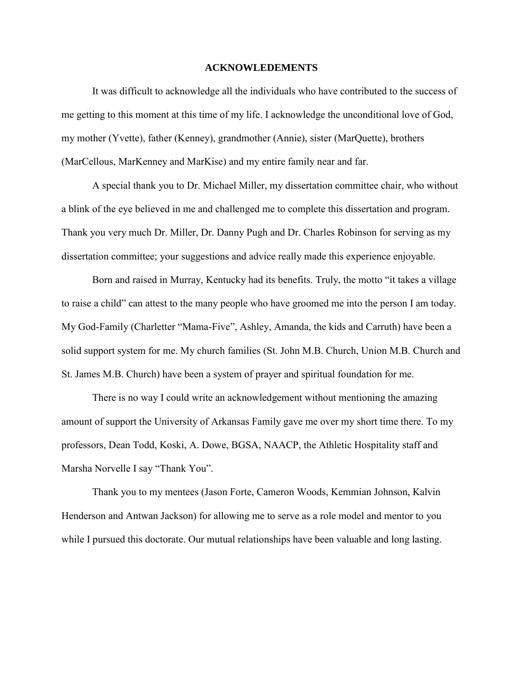#### **ACKNOWLEDEMENTS**

 It was difficult to acknowledge all the individuals who have contributed to the success of me getting to this moment at this time of my life. I acknowledge the unconditional love of God, my mother (Yvette), father (Kenney), grandmother (Annie), sister (MarQuette), brothers (MarCellous, MarKenney and MarKise) and my entire family near and far.

 A special thank you to Dr. Michael Miller, my dissertation committee chair, who without a blink of the eye believed in me and challenged me to complete this dissertation and program. Thank you very much Dr. Miller, Dr. Danny Pugh and Dr. Charles Robinson for serving as my dissertation committee; your suggestions and advice really made this experience enjoyable.

 Born and raised in Murray, Kentucky had its benefits. Truly, the motto "it takes a village to raise a child" can attest to the many people who have groomed me into the person I am today. My God-Family (Charletter "Mama-Five", Ashley, Amanda, the kids and Carruth) have been a solid support system for me. My church families (St. John M.B. Church, Union M.B. Church and St. James M.B. Church) have been a system of prayer and spiritual foundation for me.

 There is no way I could write an acknowledgement without mentioning the amazing amount of support the University of Arkansas Family gave me over my short time there. To my professors, Dean Todd, Koski, A. Dowe, BGSA, NAACP, the Athletic Hospitality staff and Marsha Norvelle I say "Thank You".

 Thank you to my mentees (Jason Forte, Cameron Woods, Kemmian Johnson, Kalvin Henderson and Antwan Jackson) for allowing me to serve as a role model and mentor to you while I pursued this doctorate. Our mutual relationships have been valuable and long lasting.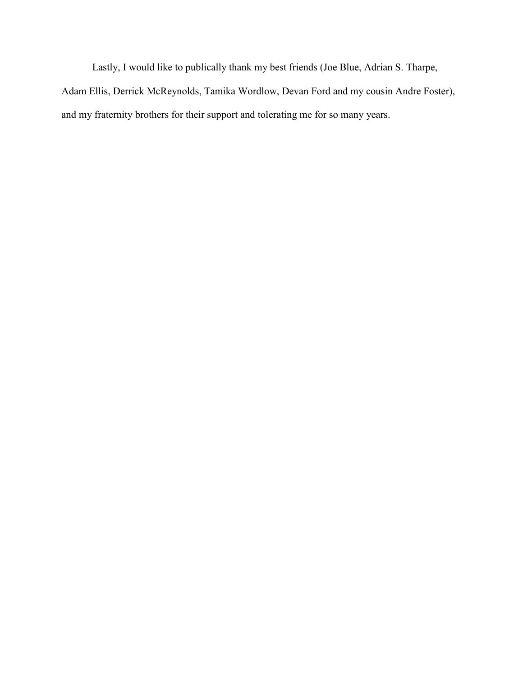Lastly, I would like to publically thank my best friends (Joe Blue, Adrian S. Tharpe, Adam Ellis, Derrick McReynolds, Tamika Wordlow, Devan Ford and my cousin Andre Foster), and my fraternity brothers for their support and tolerating me for so many years.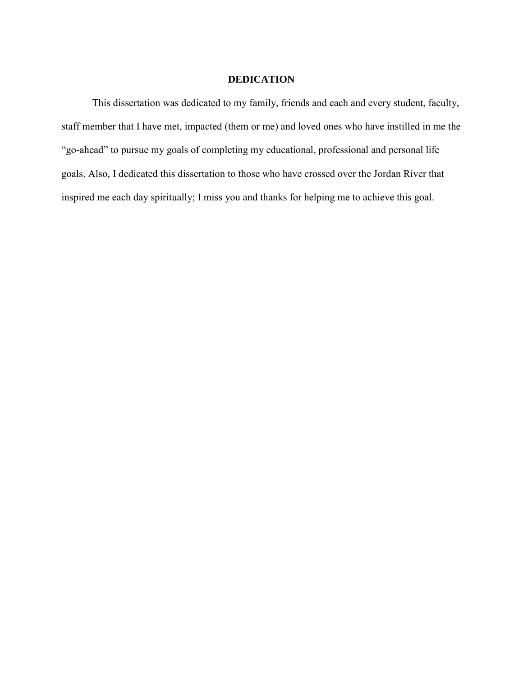#### **DEDICATION**

This dissertation was dedicated to my family, friends and each and every student, faculty, staff member that I have met, impacted (them or me) and loved ones who have instilled in me the "go-ahead" to pursue my goals of completing my educational, professional and personal life goals. Also, I dedicated this dissertation to those who have crossed over the Jordan River that inspired me each day spiritually; I miss you and thanks for helping me to achieve this goal.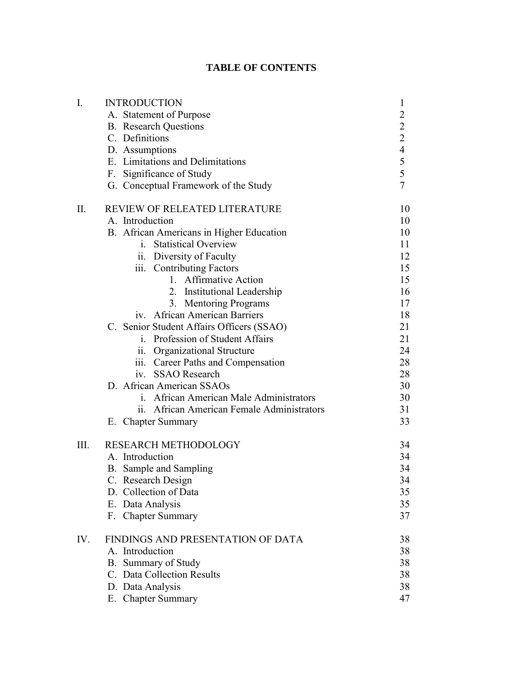# **TABLE OF CONTENTS**

| $I_{\cdot}$ | <b>INTRODUCTION</b>                        | $\mathbf{1}$   |  |  |  |
|-------------|--------------------------------------------|----------------|--|--|--|
|             | A. Statement of Purpose                    | $\overline{c}$ |  |  |  |
|             | <b>B.</b> Research Questions               |                |  |  |  |
|             | C. Definitions                             |                |  |  |  |
|             | D. Assumptions                             |                |  |  |  |
|             | E. Limitations and Delimitations           |                |  |  |  |
|             | F. Significance of Study                   | $224$<br>$55$  |  |  |  |
|             | G. Conceptual Framework of the Study       | $\overline{7}$ |  |  |  |
| II.         | REVIEW OF RELEATED LITERATURE              | 10             |  |  |  |
|             | A. Introduction                            | 10             |  |  |  |
|             | B. African Americans in Higher Education   | 10             |  |  |  |
|             | i. Statistical Overview                    | 11             |  |  |  |
|             | ii. Diversity of Faculty                   | 12             |  |  |  |
|             | iii. Contributing Factors                  | 15             |  |  |  |
|             | 1. Affirmative Action                      | 15             |  |  |  |
|             | 2. Institutional Leadership                | 16             |  |  |  |
|             | 3. Mentoring Programs                      | 17             |  |  |  |
|             | iv. African American Barriers              | 18             |  |  |  |
|             | C. Senior Student Affairs Officers (SSAO)  | 21             |  |  |  |
|             | i. Profession of Student Affairs           | 21             |  |  |  |
|             | ii. Organizational Structure               | 24             |  |  |  |
|             | iii. Career Paths and Compensation         | 28             |  |  |  |
|             | <b>SSAO</b> Research<br>1V.                | 28             |  |  |  |
|             | D. African American SSAOs                  | 30             |  |  |  |
|             | i. African American Male Administrators    | 30             |  |  |  |
|             | ii. African American Female Administrators | 31             |  |  |  |
|             | E. Chapter Summary                         | 33             |  |  |  |
| Ш.          | RESEARCH METHODOLOGY                       | 34             |  |  |  |
|             | A. Introduction                            | 34             |  |  |  |
|             | B. Sample and Sampling                     | 34             |  |  |  |
|             | Research Design<br>C.                      | 34             |  |  |  |
|             | D. Collection of Data                      | 35             |  |  |  |
|             | E. Data Analysis                           | 35             |  |  |  |
|             | F. Chapter Summary                         | 37             |  |  |  |
| IV.         | FINDINGS AND PRESENTATION OF DATA          |                |  |  |  |
|             | A. Introduction                            | 38             |  |  |  |
|             | B. Summary of Study                        | 38             |  |  |  |
|             | C. Data Collection Results                 | 38             |  |  |  |
|             | D. Data Analysis                           | 38             |  |  |  |
|             | E. Chapter Summary                         | 47             |  |  |  |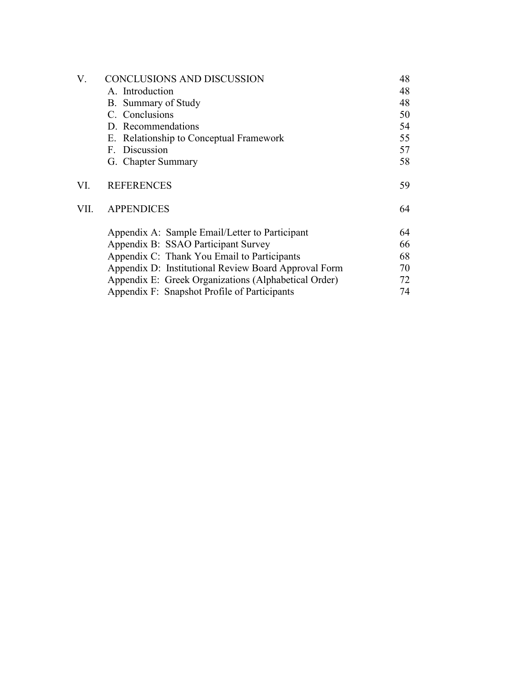| V.   | CONCLUSIONS AND DISCUSSION                           |    |  |  |
|------|------------------------------------------------------|----|--|--|
|      | A. Introduction                                      | 48 |  |  |
|      | B. Summary of Study                                  | 48 |  |  |
|      | C. Conclusions                                       | 50 |  |  |
|      | D. Recommendations                                   | 54 |  |  |
|      | E. Relationship to Conceptual Framework              | 55 |  |  |
|      | F. Discussion                                        | 57 |  |  |
|      | G. Chapter Summary                                   |    |  |  |
| VI.  | <b>REFERENCES</b>                                    |    |  |  |
| VII. | <b>APPENDICES</b>                                    | 64 |  |  |
|      | Appendix A: Sample Email/Letter to Participant       | 64 |  |  |
|      | Appendix B: SSAO Participant Survey                  | 66 |  |  |
|      | Appendix C: Thank You Email to Participants          | 68 |  |  |
|      | Appendix D: Institutional Review Board Approval Form | 70 |  |  |
|      | Appendix E: Greek Organizations (Alphabetical Order) | 72 |  |  |
|      | Appendix F: Snapshot Profile of Participants         | 74 |  |  |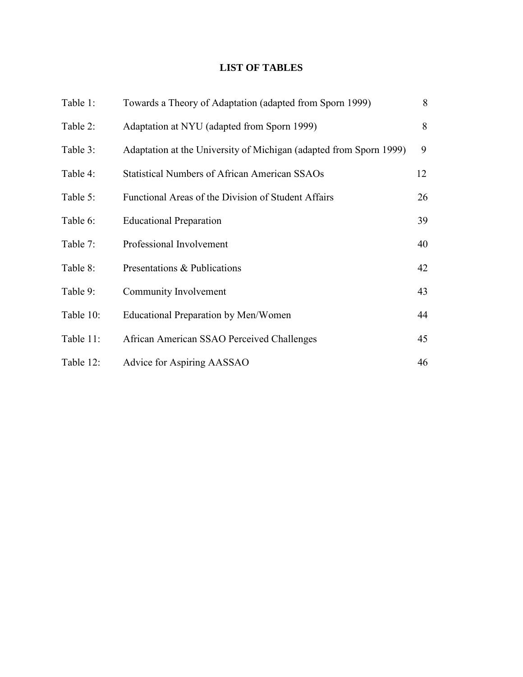# **LIST OF TABLES**

| Table 1:  | Towards a Theory of Adaptation (adapted from Sporn 1999)           | 8  |
|-----------|--------------------------------------------------------------------|----|
| Table 2:  | Adaptation at NYU (adapted from Sporn 1999)                        | 8  |
| Table 3:  | Adaptation at the University of Michigan (adapted from Sporn 1999) | 9  |
| Table 4:  | <b>Statistical Numbers of African American SSAOs</b>               | 12 |
| Table 5:  | Functional Areas of the Division of Student Affairs                | 26 |
| Table 6:  | <b>Educational Preparation</b>                                     | 39 |
| Table 7:  | Professional Involvement                                           | 40 |
| Table 8:  | Presentations & Publications                                       | 42 |
| Table 9:  | Community Involvement                                              | 43 |
| Table 10: | Educational Preparation by Men/Women                               | 44 |
| Table 11: | African American SSAO Perceived Challenges                         | 45 |
| Table 12: | Advice for Aspiring AASSAO                                         | 46 |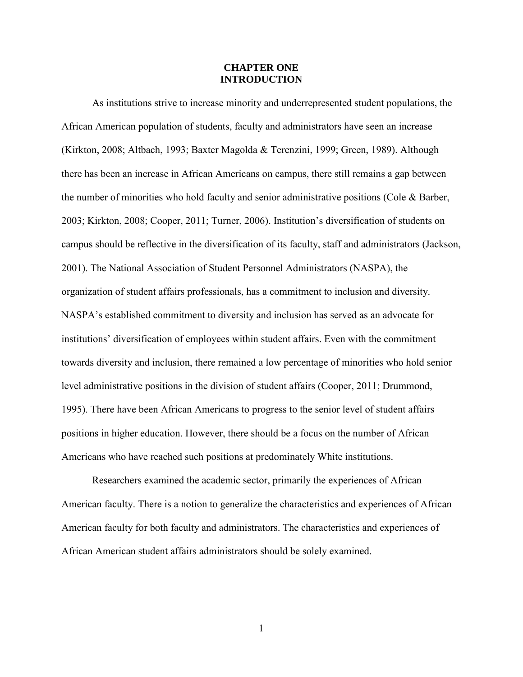#### **CHAPTER ONE INTRODUCTION**

As institutions strive to increase minority and underrepresented student populations, the African American population of students, faculty and administrators have seen an increase (Kirkton, 2008; Altbach, 1993; Baxter Magolda & Terenzini, 1999; Green, 1989). Although there has been an increase in African Americans on campus, there still remains a gap between the number of minorities who hold faculty and senior administrative positions (Cole & Barber, 2003; Kirkton, 2008; Cooper, 2011; Turner, 2006). Institution's diversification of students on campus should be reflective in the diversification of its faculty, staff and administrators (Jackson, 2001). The National Association of Student Personnel Administrators (NASPA), the organization of student affairs professionals, has a commitment to inclusion and diversity. NASPA's established commitment to diversity and inclusion has served as an advocate for institutions' diversification of employees within student affairs. Even with the commitment towards diversity and inclusion, there remained a low percentage of minorities who hold senior level administrative positions in the division of student affairs (Cooper, 2011; Drummond, 1995). There have been African Americans to progress to the senior level of student affairs positions in higher education. However, there should be a focus on the number of African Americans who have reached such positions at predominately White institutions.

Researchers examined the academic sector, primarily the experiences of African American faculty. There is a notion to generalize the characteristics and experiences of African American faculty for both faculty and administrators. The characteristics and experiences of African American student affairs administrators should be solely examined.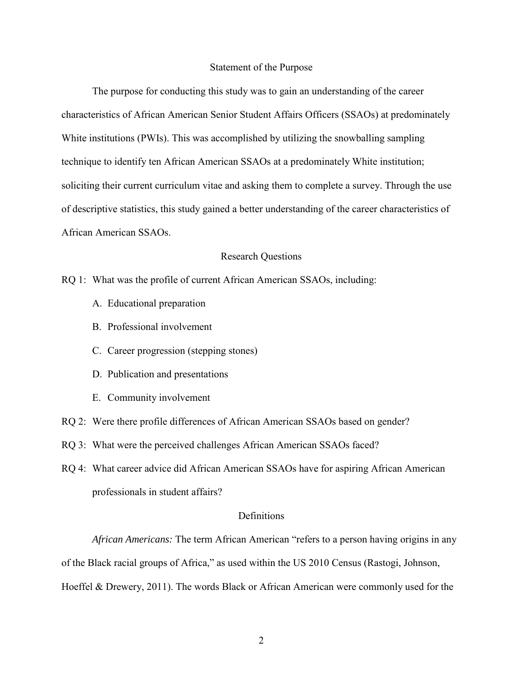#### Statement of the Purpose

The purpose for conducting this study was to gain an understanding of the career characteristics of African American Senior Student Affairs Officers (SSAOs) at predominately White institutions (PWIs). This was accomplished by utilizing the snowballing sampling technique to identify ten African American SSAOs at a predominately White institution; soliciting their current curriculum vitae and asking them to complete a survey. Through the use of descriptive statistics, this study gained a better understanding of the career characteristics of African American SSAOs.

#### Research Questions

- RQ 1: What was the profile of current African American SSAOs, including:
	- A. Educational preparation
	- B. Professional involvement
	- C. Career progression (stepping stones)
	- D. Publication and presentations
	- E. Community involvement
- RQ 2: Were there profile differences of African American SSAOs based on gender?
- RQ 3: What were the perceived challenges African American SSAOs faced?
- RQ 4: What career advice did African American SSAOs have for aspiring African American professionals in student affairs?

#### **Definitions**

*African Americans:* The term African American "refers to a person having origins in any of the Black racial groups of Africa," as used within the US 2010 Census (Rastogi, Johnson, Hoeffel & Drewery, 2011). The words Black or African American were commonly used for the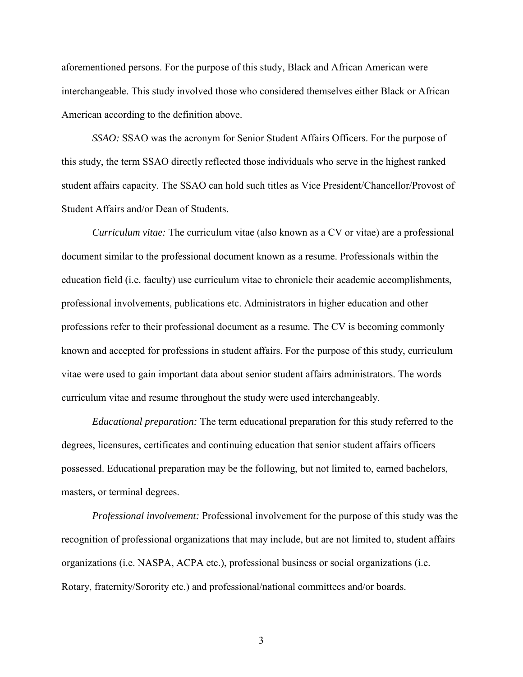aforementioned persons. For the purpose of this study, Black and African American were interchangeable. This study involved those who considered themselves either Black or African American according to the definition above.

*SSAO:* SSAO was the acronym for Senior Student Affairs Officers. For the purpose of this study, the term SSAO directly reflected those individuals who serve in the highest ranked student affairs capacity. The SSAO can hold such titles as Vice President/Chancellor/Provost of Student Affairs and/or Dean of Students.

*Curriculum vitae:* The curriculum vitae (also known as a CV or vitae) are a professional document similar to the professional document known as a resume. Professionals within the education field (i.e. faculty) use curriculum vitae to chronicle their academic accomplishments, professional involvements, publications etc. Administrators in higher education and other professions refer to their professional document as a resume. The CV is becoming commonly known and accepted for professions in student affairs. For the purpose of this study, curriculum vitae were used to gain important data about senior student affairs administrators. The words curriculum vitae and resume throughout the study were used interchangeably.

*Educational preparation:* The term educational preparation for this study referred to the degrees, licensures, certificates and continuing education that senior student affairs officers possessed. Educational preparation may be the following, but not limited to, earned bachelors, masters, or terminal degrees.

*Professional involvement:* Professional involvement for the purpose of this study was the recognition of professional organizations that may include, but are not limited to, student affairs organizations (i.e. NASPA, ACPA etc.), professional business or social organizations (i.e. Rotary, fraternity/Sorority etc.) and professional/national committees and/or boards.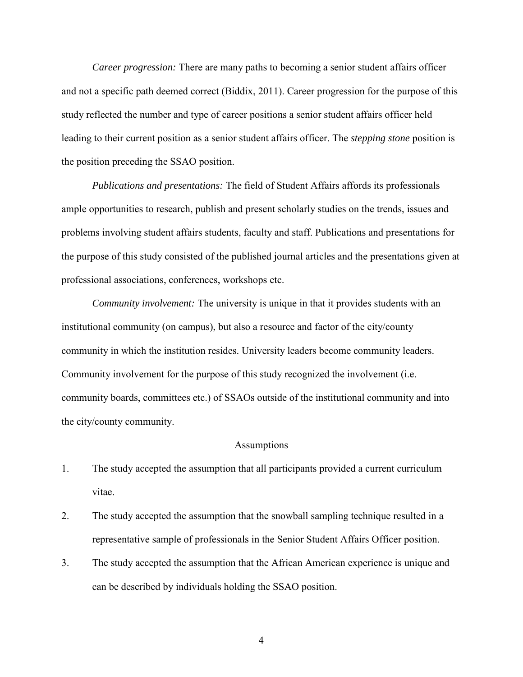*Career progression:* There are many paths to becoming a senior student affairs officer and not a specific path deemed correct (Biddix, 2011). Career progression for the purpose of this study reflected the number and type of career positions a senior student affairs officer held leading to their current position as a senior student affairs officer. The *stepping stone* position is the position preceding the SSAO position.

*Publications and presentations:* The field of Student Affairs affords its professionals ample opportunities to research, publish and present scholarly studies on the trends, issues and problems involving student affairs students, faculty and staff. Publications and presentations for the purpose of this study consisted of the published journal articles and the presentations given at professional associations, conferences, workshops etc.

*Community involvement:* The university is unique in that it provides students with an institutional community (on campus), but also a resource and factor of the city/county community in which the institution resides. University leaders become community leaders. Community involvement for the purpose of this study recognized the involvement (i.e. community boards, committees etc.) of SSAOs outside of the institutional community and into the city/county community.

#### **Assumptions**

- 1. The study accepted the assumption that all participants provided a current curriculum vitae.
- 2. The study accepted the assumption that the snowball sampling technique resulted in a representative sample of professionals in the Senior Student Affairs Officer position.
- 3. The study accepted the assumption that the African American experience is unique and can be described by individuals holding the SSAO position.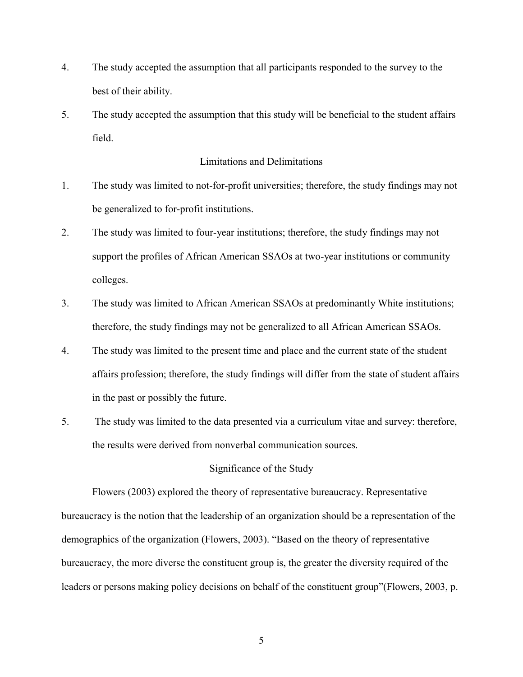- 4. The study accepted the assumption that all participants responded to the survey to the best of their ability.
- 5. The study accepted the assumption that this study will be beneficial to the student affairs field.

## Limitations and Delimitations

- 1. The study was limited to not-for-profit universities; therefore, the study findings may not be generalized to for-profit institutions.
- 2. The study was limited to four-year institutions; therefore, the study findings may not support the profiles of African American SSAOs at two-year institutions or community colleges.
- 3. The study was limited to African American SSAOs at predominantly White institutions; therefore, the study findings may not be generalized to all African American SSAOs.
- 4. The study was limited to the present time and place and the current state of the student affairs profession; therefore, the study findings will differ from the state of student affairs in the past or possibly the future.
- 5. The study was limited to the data presented via a curriculum vitae and survey: therefore, the results were derived from nonverbal communication sources.

# Significance of the Study

Flowers (2003) explored the theory of representative bureaucracy. Representative bureaucracy is the notion that the leadership of an organization should be a representation of the demographics of the organization (Flowers, 2003). "Based on the theory of representative bureaucracy, the more diverse the constituent group is, the greater the diversity required of the leaders or persons making policy decisions on behalf of the constituent group"(Flowers, 2003, p.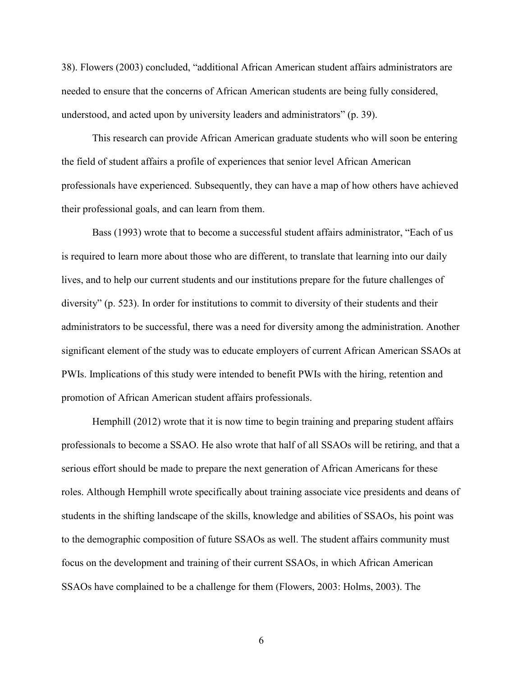38). Flowers (2003) concluded, "additional African American student affairs administrators are needed to ensure that the concerns of African American students are being fully considered, understood, and acted upon by university leaders and administrators" (p. 39).

This research can provide African American graduate students who will soon be entering the field of student affairs a profile of experiences that senior level African American professionals have experienced. Subsequently, they can have a map of how others have achieved their professional goals, and can learn from them.

 Bass (1993) wrote that to become a successful student affairs administrator, "Each of us is required to learn more about those who are different, to translate that learning into our daily lives, and to help our current students and our institutions prepare for the future challenges of diversity" (p. 523). In order for institutions to commit to diversity of their students and their administrators to be successful, there was a need for diversity among the administration. Another significant element of the study was to educate employers of current African American SSAOs at PWIs. Implications of this study were intended to benefit PWIs with the hiring, retention and promotion of African American student affairs professionals.

 Hemphill (2012) wrote that it is now time to begin training and preparing student affairs professionals to become a SSAO. He also wrote that half of all SSAOs will be retiring, and that a serious effort should be made to prepare the next generation of African Americans for these roles. Although Hemphill wrote specifically about training associate vice presidents and deans of students in the shifting landscape of the skills, knowledge and abilities of SSAOs, his point was to the demographic composition of future SSAOs as well. The student affairs community must focus on the development and training of their current SSAOs, in which African American SSAOs have complained to be a challenge for them (Flowers, 2003: Holms, 2003). The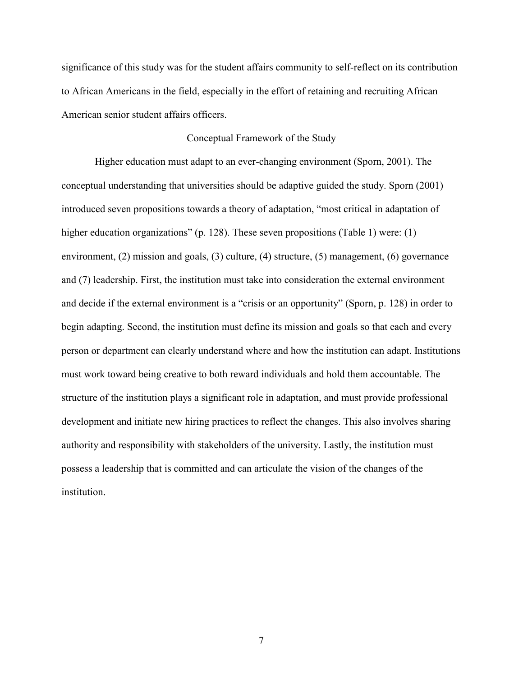significance of this study was for the student affairs community to self-reflect on its contribution to African Americans in the field, especially in the effort of retaining and recruiting African American senior student affairs officers.

#### Conceptual Framework of the Study

Higher education must adapt to an ever-changing environment (Sporn, 2001). The conceptual understanding that universities should be adaptive guided the study. Sporn (2001) introduced seven propositions towards a theory of adaptation, "most critical in adaptation of higher education organizations" (p. 128). These seven propositions (Table 1) were: (1) environment, (2) mission and goals, (3) culture, (4) structure, (5) management, (6) governance and (7) leadership. First, the institution must take into consideration the external environment and decide if the external environment is a "crisis or an opportunity" (Sporn, p. 128) in order to begin adapting. Second, the institution must define its mission and goals so that each and every person or department can clearly understand where and how the institution can adapt. Institutions must work toward being creative to both reward individuals and hold them accountable. The structure of the institution plays a significant role in adaptation, and must provide professional development and initiate new hiring practices to reflect the changes. This also involves sharing authority and responsibility with stakeholders of the university. Lastly, the institution must possess a leadership that is committed and can articulate the vision of the changes of the institution.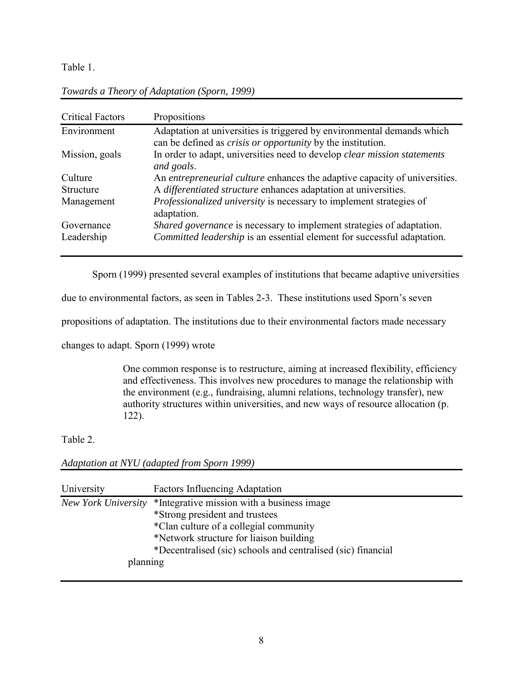Table 1.

| <b>Critical Factors</b> | Propositions                                                                                                                                 |
|-------------------------|----------------------------------------------------------------------------------------------------------------------------------------------|
| Environment             | Adaptation at universities is triggered by environmental demands which<br>can be defined as <i>crisis or opportunity</i> by the institution. |
| Mission, goals          | In order to adapt, universities need to develop <i>clear mission statements</i><br>and goals.                                                |
| Culture                 | An <i>entrepreneurial culture</i> enhances the adaptive capacity of universities.                                                            |
| Structure               | A differentiated structure enhances adaptation at universities.                                                                              |
| Management              | <i>Professionalized university</i> is necessary to implement strategies of<br>adaptation.                                                    |
| Governance              | Shared governance is necessary to implement strategies of adaptation.                                                                        |
| Leadership              | Committed leadership is an essential element for successful adaptation.                                                                      |

*Towards a Theory of Adaptation (Sporn, 1999)* 

Sporn (1999) presented several examples of institutions that became adaptive universities

due to environmental factors, as seen in Tables 2-3. These institutions used Sporn's seven

propositions of adaptation. The institutions due to their environmental factors made necessary

changes to adapt. Sporn (1999) wrote

One common response is to restructure, aiming at increased flexibility, efficiency and effectiveness. This involves new procedures to manage the relationship with the environment (e.g., fundraising, alumni relations, technology transfer), new authority structures within universities, and new ways of resource allocation (p. 122).

Table 2.

*Adaptation at NYU (adapted from Sporn 1999)* 

| University          | <b>Factors Influencing Adaptation</b>                        |
|---------------------|--------------------------------------------------------------|
| New York University | *Integrative mission with a business image                   |
|                     | *Strong president and trustees                               |
|                     | *Clan culture of a collegial community                       |
|                     | *Network structure for liaison building                      |
|                     | *Decentralised (sic) schools and centralised (sic) financial |
| planning            |                                                              |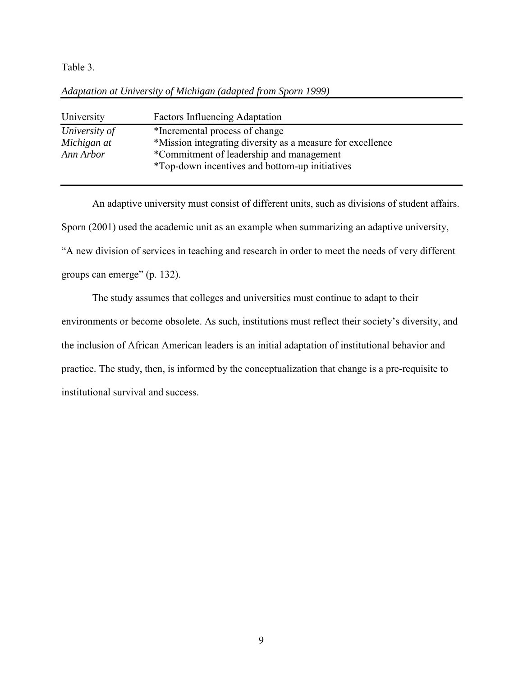Table 3.

| University    | <b>Factors Influencing Adaptation</b>                                                      |
|---------------|--------------------------------------------------------------------------------------------|
| University of | *Incremental process of change                                                             |
| Michigan at   | *Mission integrating diversity as a measure for excellence                                 |
| Ann Arbor     | *Commitment of leadership and management<br>*Top-down incentives and bottom-up initiatives |

## *Adaptation at University of Michigan (adapted from Sporn 1999)*

An adaptive university must consist of different units, such as divisions of student affairs. Sporn (2001) used the academic unit as an example when summarizing an adaptive university, "A new division of services in teaching and research in order to meet the needs of very different groups can emerge" (p. 132).

The study assumes that colleges and universities must continue to adapt to their environments or become obsolete. As such, institutions must reflect their society's diversity, and the inclusion of African American leaders is an initial adaptation of institutional behavior and practice. The study, then, is informed by the conceptualization that change is a pre-requisite to institutional survival and success.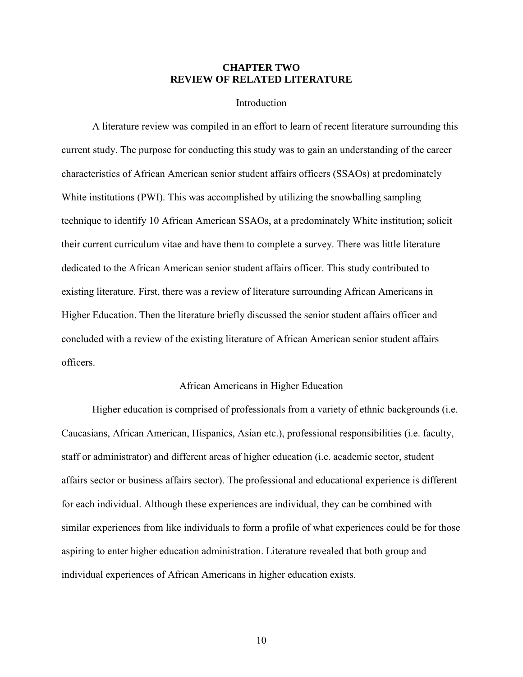## **CHAPTER TWO REVIEW OF RELATED LITERATURE**

#### Introduction

A literature review was compiled in an effort to learn of recent literature surrounding this current study. The purpose for conducting this study was to gain an understanding of the career characteristics of African American senior student affairs officers (SSAOs) at predominately White institutions (PWI). This was accomplished by utilizing the snowballing sampling technique to identify 10 African American SSAOs, at a predominately White institution; solicit their current curriculum vitae and have them to complete a survey. There was little literature dedicated to the African American senior student affairs officer. This study contributed to existing literature. First, there was a review of literature surrounding African Americans in Higher Education. Then the literature briefly discussed the senior student affairs officer and concluded with a review of the existing literature of African American senior student affairs officers.

#### African Americans in Higher Education

Higher education is comprised of professionals from a variety of ethnic backgrounds (i.e. Caucasians, African American, Hispanics, Asian etc.), professional responsibilities (i.e. faculty, staff or administrator) and different areas of higher education (i.e. academic sector, student affairs sector or business affairs sector). The professional and educational experience is different for each individual. Although these experiences are individual, they can be combined with similar experiences from like individuals to form a profile of what experiences could be for those aspiring to enter higher education administration. Literature revealed that both group and individual experiences of African Americans in higher education exists.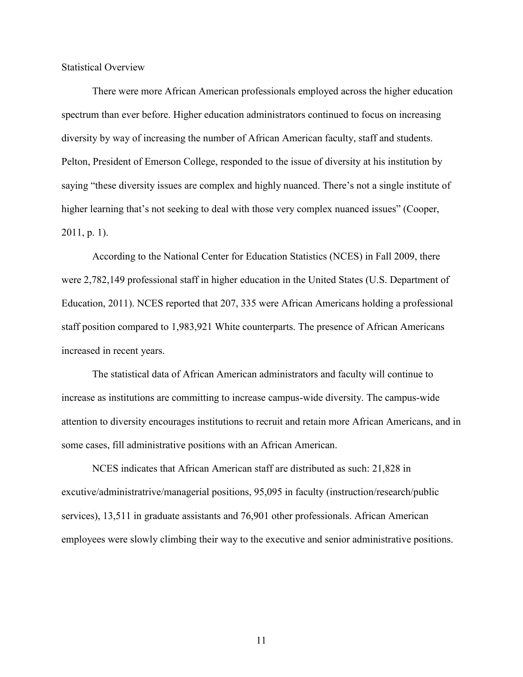Statistical Overview

There were more African American professionals employed across the higher education spectrum than ever before. Higher education administrators continued to focus on increasing diversity by way of increasing the number of African American faculty, staff and students. Pelton, President of Emerson College, responded to the issue of diversity at his institution by saying "these diversity issues are complex and highly nuanced. There's not a single institute of higher learning that's not seeking to deal with those very complex nuanced issues" (Cooper, 2011, p. 1).

According to the National Center for Education Statistics (NCES) in Fall 2009, there were 2,782,149 professional staff in higher education in the United States (U.S. Department of Education, 2011). NCES reported that 207, 335 were African Americans holding a professional staff position compared to 1,983,921 White counterparts. The presence of African Americans increased in recent years.

The statistical data of African American administrators and faculty will continue to increase as institutions are committing to increase campus-wide diversity. The campus-wide attention to diversity encourages institutions to recruit and retain more African Americans, and in some cases, fill administrative positions with an African American.

NCES indicates that African American staff are distributed as such: 21,828 in excutive/administratrive/managerial positions, 95,095 in faculty (instruction/research/public services), 13,511 in graduate assistants and 76,901 other professionals. African American employees were slowly climbing their way to the executive and senior administrative positions.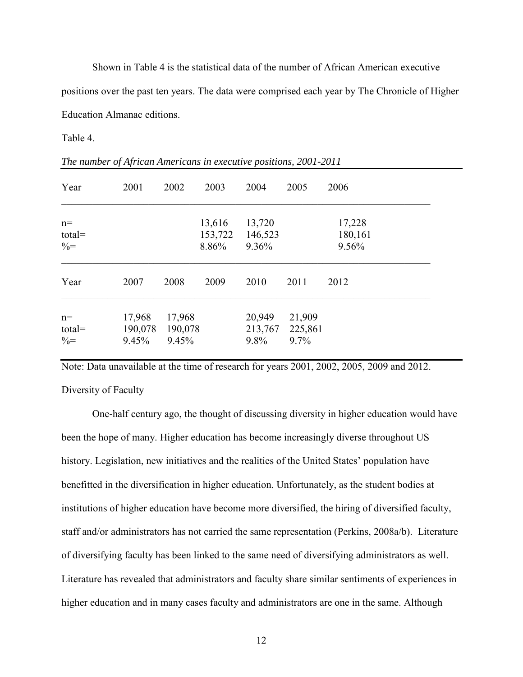Shown in Table 4 is the statistical data of the number of African American executive positions over the past ten years. The data were comprised each year by The Chronicle of Higher Education Almanac editions.

Table 4.

| Year                               | 2001                       | 2002                       | 2003                       | 2004                       | 2005                      | 2006                       |
|------------------------------------|----------------------------|----------------------------|----------------------------|----------------------------|---------------------------|----------------------------|
| $n=$<br>$total =$<br>$\% =$        |                            |                            | 13,616<br>153,722<br>8.86% | 13,720<br>146,523<br>9.36% |                           | 17,228<br>180,161<br>9.56% |
| Year                               | 2007                       | 2008                       | 2009                       | 2010                       | 2011                      | 2012                       |
| $n=$<br>$total =$<br>$\frac{0}{0}$ | 17,968<br>190,078<br>9.45% | 17,968<br>190,078<br>9.45% |                            | 20,949<br>213,767<br>9.8%  | 21,909<br>225,861<br>9.7% |                            |

*The number of African Americans in executive positions, 2001-2011* 

Note: Data unavailable at the time of research for years 2001, 2002, 2005, 2009 and 2012.

## Diversity of Faculty

One-half century ago, the thought of discussing diversity in higher education would have been the hope of many. Higher education has become increasingly diverse throughout US history. Legislation, new initiatives and the realities of the United States' population have benefitted in the diversification in higher education. Unfortunately, as the student bodies at institutions of higher education have become more diversified, the hiring of diversified faculty, staff and/or administrators has not carried the same representation (Perkins, 2008a/b). Literature of diversifying faculty has been linked to the same need of diversifying administrators as well. Literature has revealed that administrators and faculty share similar sentiments of experiences in higher education and in many cases faculty and administrators are one in the same. Although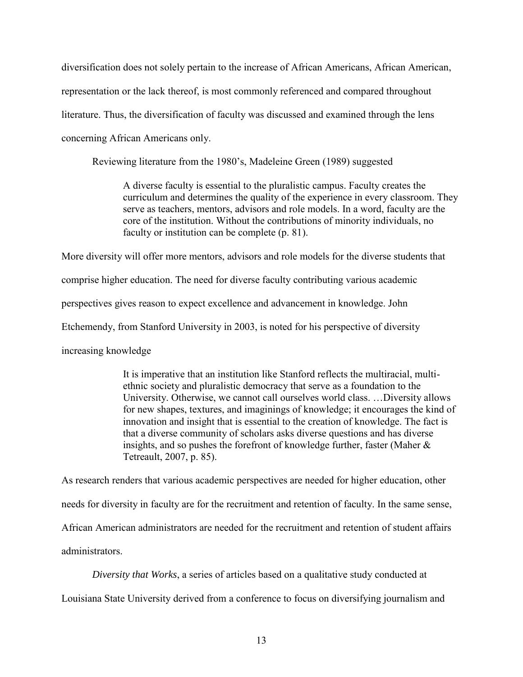diversification does not solely pertain to the increase of African Americans, African American,

representation or the lack thereof, is most commonly referenced and compared throughout

literature. Thus, the diversification of faculty was discussed and examined through the lens

concerning African Americans only.

Reviewing literature from the 1980's, Madeleine Green (1989) suggested

A diverse faculty is essential to the pluralistic campus. Faculty creates the curriculum and determines the quality of the experience in every classroom. They serve as teachers, mentors, advisors and role models. In a word, faculty are the core of the institution. Without the contributions of minority individuals, no faculty or institution can be complete (p. 81).

More diversity will offer more mentors, advisors and role models for the diverse students that comprise higher education. The need for diverse faculty contributing various academic perspectives gives reason to expect excellence and advancement in knowledge. John Etchemendy, from Stanford University in 2003, is noted for his perspective of diversity

increasing knowledge

It is imperative that an institution like Stanford reflects the multiracial, multiethnic society and pluralistic democracy that serve as a foundation to the University. Otherwise, we cannot call ourselves world class. …Diversity allows for new shapes, textures, and imaginings of knowledge; it encourages the kind of innovation and insight that is essential to the creation of knowledge. The fact is that a diverse community of scholars asks diverse questions and has diverse insights, and so pushes the forefront of knowledge further, faster (Maher  $\&$ Tetreault, 2007, p. 85).

As research renders that various academic perspectives are needed for higher education, other needs for diversity in faculty are for the recruitment and retention of faculty. In the same sense, African American administrators are needed for the recruitment and retention of student affairs administrators.

*Diversity that Works*, a series of articles based on a qualitative study conducted at Louisiana State University derived from a conference to focus on diversifying journalism and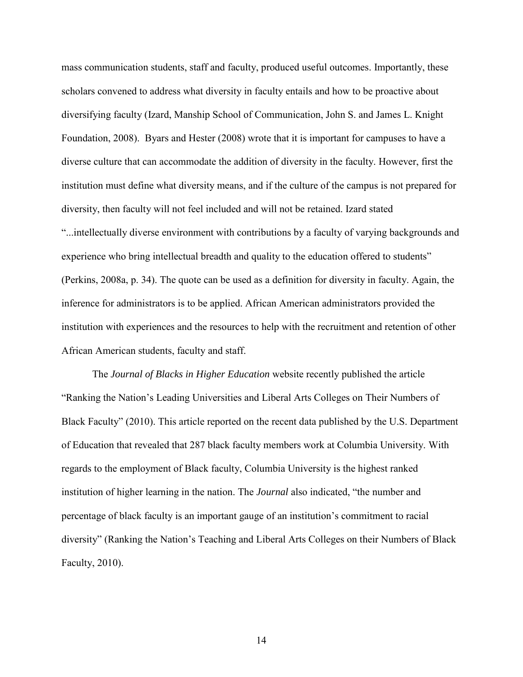mass communication students, staff and faculty, produced useful outcomes. Importantly, these scholars convened to address what diversity in faculty entails and how to be proactive about diversifying faculty (Izard, Manship School of Communication, John S. and James L. Knight Foundation, 2008). Byars and Hester (2008) wrote that it is important for campuses to have a diverse culture that can accommodate the addition of diversity in the faculty. However, first the institution must define what diversity means, and if the culture of the campus is not prepared for diversity, then faculty will not feel included and will not be retained. Izard stated "...intellectually diverse environment with contributions by a faculty of varying backgrounds and experience who bring intellectual breadth and quality to the education offered to students" (Perkins, 2008a, p. 34). The quote can be used as a definition for diversity in faculty. Again, the inference for administrators is to be applied. African American administrators provided the institution with experiences and the resources to help with the recruitment and retention of other African American students, faculty and staff.

The *Journal of Blacks in Higher Education* website recently published the article "Ranking the Nation's Leading Universities and Liberal Arts Colleges on Their Numbers of Black Faculty" (2010). This article reported on the recent data published by the U.S. Department of Education that revealed that 287 black faculty members work at Columbia University. With regards to the employment of Black faculty, Columbia University is the highest ranked institution of higher learning in the nation. The *Journal* also indicated, "the number and percentage of black faculty is an important gauge of an institution's commitment to racial diversity" (Ranking the Nation's Teaching and Liberal Arts Colleges on their Numbers of Black Faculty, 2010).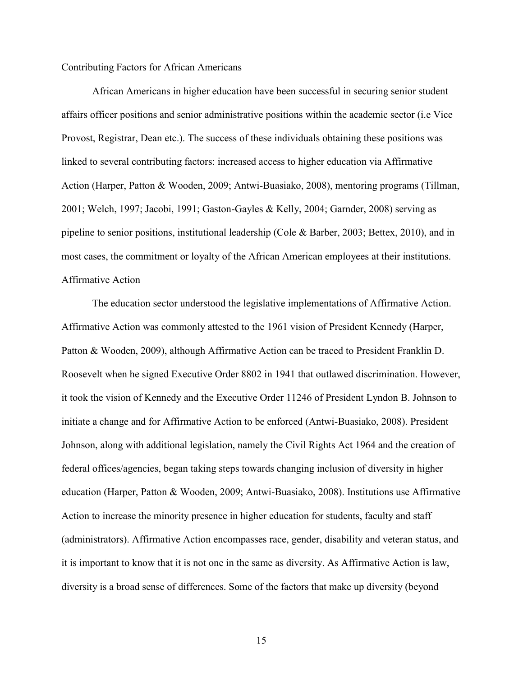#### Contributing Factors for African Americans

 African Americans in higher education have been successful in securing senior student affairs officer positions and senior administrative positions within the academic sector (i.e Vice Provost, Registrar, Dean etc.). The success of these individuals obtaining these positions was linked to several contributing factors: increased access to higher education via Affirmative Action (Harper, Patton & Wooden, 2009; Antwi-Buasiako, 2008), mentoring programs (Tillman, 2001; Welch, 1997; Jacobi, 1991; Gaston-Gayles & Kelly, 2004; Garnder, 2008) serving as pipeline to senior positions, institutional leadership (Cole & Barber, 2003; Bettex, 2010), and in most cases, the commitment or loyalty of the African American employees at their institutions. Affirmative Action

The education sector understood the legislative implementations of Affirmative Action. Affirmative Action was commonly attested to the 1961 vision of President Kennedy (Harper, Patton & Wooden, 2009), although Affirmative Action can be traced to President Franklin D. Roosevelt when he signed Executive Order 8802 in 1941 that outlawed discrimination. However, it took the vision of Kennedy and the Executive Order 11246 of President Lyndon B. Johnson to initiate a change and for Affirmative Action to be enforced (Antwi-Buasiako, 2008). President Johnson, along with additional legislation, namely the Civil Rights Act 1964 and the creation of federal offices/agencies, began taking steps towards changing inclusion of diversity in higher education (Harper, Patton & Wooden, 2009; Antwi-Buasiako, 2008). Institutions use Affirmative Action to increase the minority presence in higher education for students, faculty and staff (administrators). Affirmative Action encompasses race, gender, disability and veteran status, and it is important to know that it is not one in the same as diversity. As Affirmative Action is law, diversity is a broad sense of differences. Some of the factors that make up diversity (beyond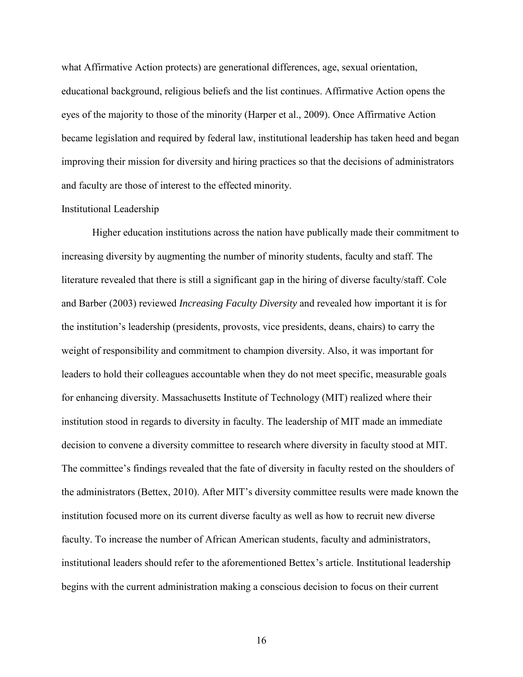what Affirmative Action protects) are generational differences, age, sexual orientation, educational background, religious beliefs and the list continues. Affirmative Action opens the eyes of the majority to those of the minority (Harper et al., 2009). Once Affirmative Action became legislation and required by federal law, institutional leadership has taken heed and began improving their mission for diversity and hiring practices so that the decisions of administrators and faculty are those of interest to the effected minority.

#### Institutional Leadership

Higher education institutions across the nation have publically made their commitment to increasing diversity by augmenting the number of minority students, faculty and staff. The literature revealed that there is still a significant gap in the hiring of diverse faculty/staff. Cole and Barber (2003) reviewed *Increasing Faculty Diversity* and revealed how important it is for the institution's leadership (presidents, provosts, vice presidents, deans, chairs) to carry the weight of responsibility and commitment to champion diversity. Also, it was important for leaders to hold their colleagues accountable when they do not meet specific, measurable goals for enhancing diversity. Massachusetts Institute of Technology (MIT) realized where their institution stood in regards to diversity in faculty. The leadership of MIT made an immediate decision to convene a diversity committee to research where diversity in faculty stood at MIT. The committee's findings revealed that the fate of diversity in faculty rested on the shoulders of the administrators (Bettex, 2010). After MIT's diversity committee results were made known the institution focused more on its current diverse faculty as well as how to recruit new diverse faculty. To increase the number of African American students, faculty and administrators, institutional leaders should refer to the aforementioned Bettex's article. Institutional leadership begins with the current administration making a conscious decision to focus on their current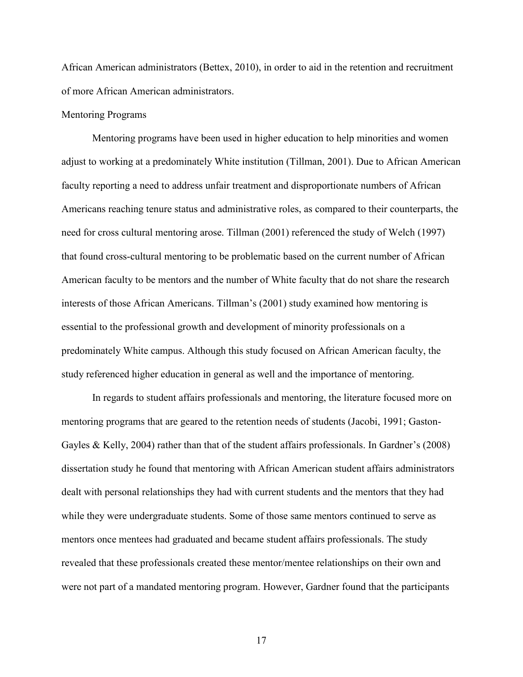African American administrators (Bettex, 2010), in order to aid in the retention and recruitment of more African American administrators.

#### Mentoring Programs

Mentoring programs have been used in higher education to help minorities and women adjust to working at a predominately White institution (Tillman, 2001). Due to African American faculty reporting a need to address unfair treatment and disproportionate numbers of African Americans reaching tenure status and administrative roles, as compared to their counterparts, the need for cross cultural mentoring arose. Tillman (2001) referenced the study of Welch (1997) that found cross-cultural mentoring to be problematic based on the current number of African American faculty to be mentors and the number of White faculty that do not share the research interests of those African Americans. Tillman's (2001) study examined how mentoring is essential to the professional growth and development of minority professionals on a predominately White campus. Although this study focused on African American faculty, the study referenced higher education in general as well and the importance of mentoring.

In regards to student affairs professionals and mentoring, the literature focused more on mentoring programs that are geared to the retention needs of students (Jacobi, 1991; Gaston-Gayles & Kelly, 2004) rather than that of the student affairs professionals. In Gardner's (2008) dissertation study he found that mentoring with African American student affairs administrators dealt with personal relationships they had with current students and the mentors that they had while they were undergraduate students. Some of those same mentors continued to serve as mentors once mentees had graduated and became student affairs professionals. The study revealed that these professionals created these mentor/mentee relationships on their own and were not part of a mandated mentoring program. However, Gardner found that the participants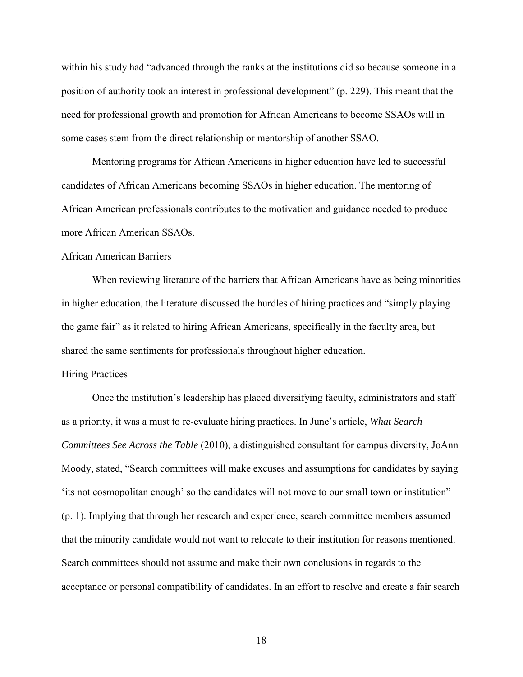within his study had "advanced through the ranks at the institutions did so because someone in a position of authority took an interest in professional development" (p. 229). This meant that the need for professional growth and promotion for African Americans to become SSAOs will in some cases stem from the direct relationship or mentorship of another SSAO.

Mentoring programs for African Americans in higher education have led to successful candidates of African Americans becoming SSAOs in higher education. The mentoring of African American professionals contributes to the motivation and guidance needed to produce more African American SSAOs.

# African American Barriers

 When reviewing literature of the barriers that African Americans have as being minorities in higher education, the literature discussed the hurdles of hiring practices and "simply playing the game fair" as it related to hiring African Americans, specifically in the faculty area, but shared the same sentiments for professionals throughout higher education.

#### Hiring Practices

Once the institution's leadership has placed diversifying faculty, administrators and staff as a priority, it was a must to re-evaluate hiring practices. In June's article, *What Search Committees See Across the Table* (2010), a distinguished consultant for campus diversity, JoAnn Moody, stated, "Search committees will make excuses and assumptions for candidates by saying 'its not cosmopolitan enough' so the candidates will not move to our small town or institution" (p. 1). Implying that through her research and experience, search committee members assumed that the minority candidate would not want to relocate to their institution for reasons mentioned. Search committees should not assume and make their own conclusions in regards to the acceptance or personal compatibility of candidates. In an effort to resolve and create a fair search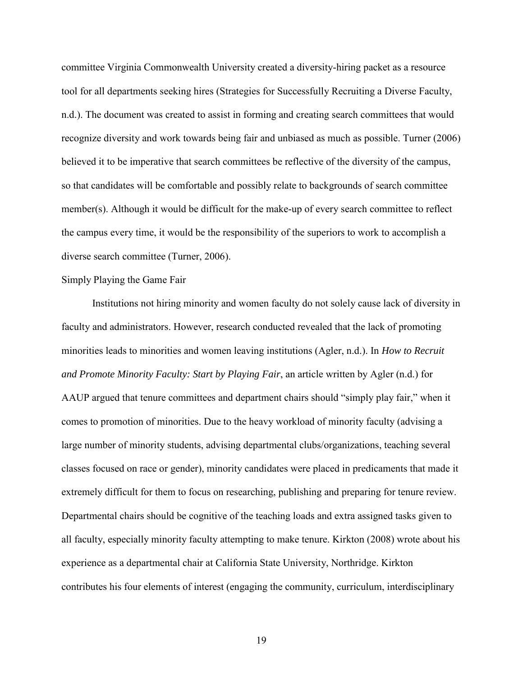committee Virginia Commonwealth University created a diversity-hiring packet as a resource tool for all departments seeking hires (Strategies for Successfully Recruiting a Diverse Faculty, n.d.). The document was created to assist in forming and creating search committees that would recognize diversity and work towards being fair and unbiased as much as possible. Turner (2006) believed it to be imperative that search committees be reflective of the diversity of the campus, so that candidates will be comfortable and possibly relate to backgrounds of search committee member(s). Although it would be difficult for the make-up of every search committee to reflect the campus every time, it would be the responsibility of the superiors to work to accomplish a diverse search committee (Turner, 2006).

#### Simply Playing the Game Fair

Institutions not hiring minority and women faculty do not solely cause lack of diversity in faculty and administrators. However, research conducted revealed that the lack of promoting minorities leads to minorities and women leaving institutions (Agler, n.d.). In *How to Recruit and Promote Minority Faculty: Start by Playing Fair*, an article written by Agler (n.d.) for AAUP argued that tenure committees and department chairs should "simply play fair," when it comes to promotion of minorities. Due to the heavy workload of minority faculty (advising a large number of minority students, advising departmental clubs/organizations, teaching several classes focused on race or gender), minority candidates were placed in predicaments that made it extremely difficult for them to focus on researching, publishing and preparing for tenure review. Departmental chairs should be cognitive of the teaching loads and extra assigned tasks given to all faculty, especially minority faculty attempting to make tenure. Kirkton (2008) wrote about his experience as a departmental chair at California State University, Northridge. Kirkton contributes his four elements of interest (engaging the community, curriculum, interdisciplinary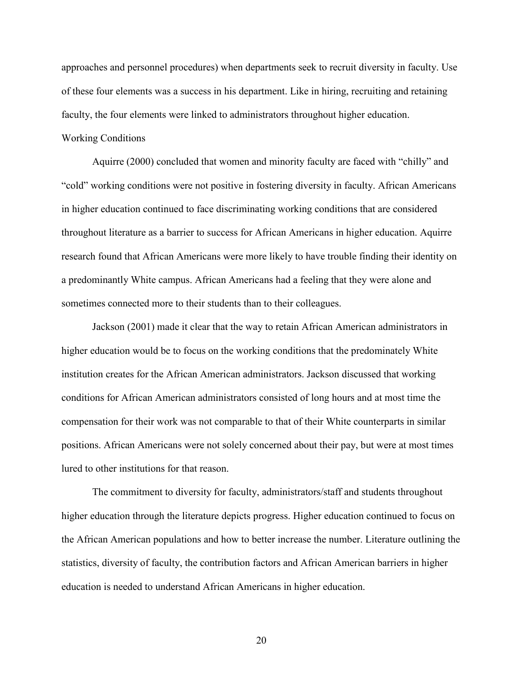approaches and personnel procedures) when departments seek to recruit diversity in faculty. Use of these four elements was a success in his department. Like in hiring, recruiting and retaining faculty, the four elements were linked to administrators throughout higher education. Working Conditions

Aquirre (2000) concluded that women and minority faculty are faced with "chilly" and "cold" working conditions were not positive in fostering diversity in faculty. African Americans in higher education continued to face discriminating working conditions that are considered throughout literature as a barrier to success for African Americans in higher education. Aquirre research found that African Americans were more likely to have trouble finding their identity on a predominantly White campus. African Americans had a feeling that they were alone and sometimes connected more to their students than to their colleagues.

Jackson (2001) made it clear that the way to retain African American administrators in higher education would be to focus on the working conditions that the predominately White institution creates for the African American administrators. Jackson discussed that working conditions for African American administrators consisted of long hours and at most time the compensation for their work was not comparable to that of their White counterparts in similar positions. African Americans were not solely concerned about their pay, but were at most times lured to other institutions for that reason.

The commitment to diversity for faculty, administrators/staff and students throughout higher education through the literature depicts progress. Higher education continued to focus on the African American populations and how to better increase the number. Literature outlining the statistics, diversity of faculty, the contribution factors and African American barriers in higher education is needed to understand African Americans in higher education.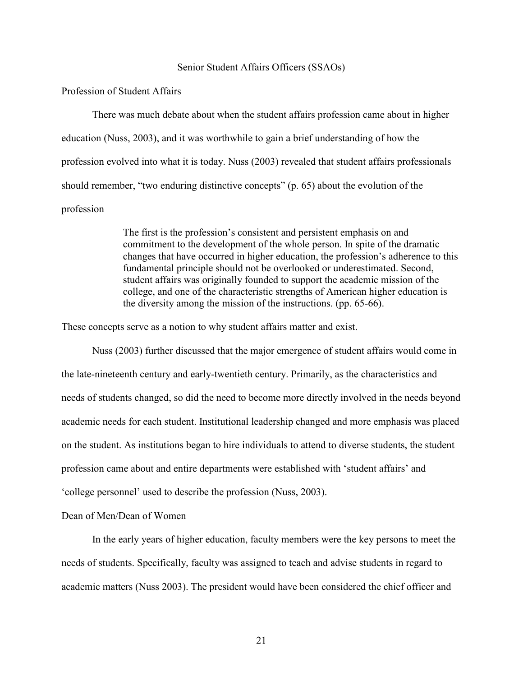#### Senior Student Affairs Officers (SSAOs)

# Profession of Student Affairs

There was much debate about when the student affairs profession came about in higher education (Nuss, 2003), and it was worthwhile to gain a brief understanding of how the profession evolved into what it is today. Nuss (2003) revealed that student affairs professionals should remember, "two enduring distinctive concepts" (p. 65) about the evolution of the profession

> The first is the profession's consistent and persistent emphasis on and commitment to the development of the whole person. In spite of the dramatic changes that have occurred in higher education, the profession's adherence to this fundamental principle should not be overlooked or underestimated. Second, student affairs was originally founded to support the academic mission of the college, and one of the characteristic strengths of American higher education is the diversity among the mission of the instructions. (pp. 65-66).

These concepts serve as a notion to why student affairs matter and exist.

Nuss (2003) further discussed that the major emergence of student affairs would come in the late-nineteenth century and early-twentieth century. Primarily, as the characteristics and needs of students changed, so did the need to become more directly involved in the needs beyond academic needs for each student. Institutional leadership changed and more emphasis was placed on the student. As institutions began to hire individuals to attend to diverse students, the student profession came about and entire departments were established with 'student affairs' and 'college personnel' used to describe the profession (Nuss, 2003).

Dean of Men/Dean of Women

In the early years of higher education, faculty members were the key persons to meet the needs of students. Specifically, faculty was assigned to teach and advise students in regard to academic matters (Nuss 2003). The president would have been considered the chief officer and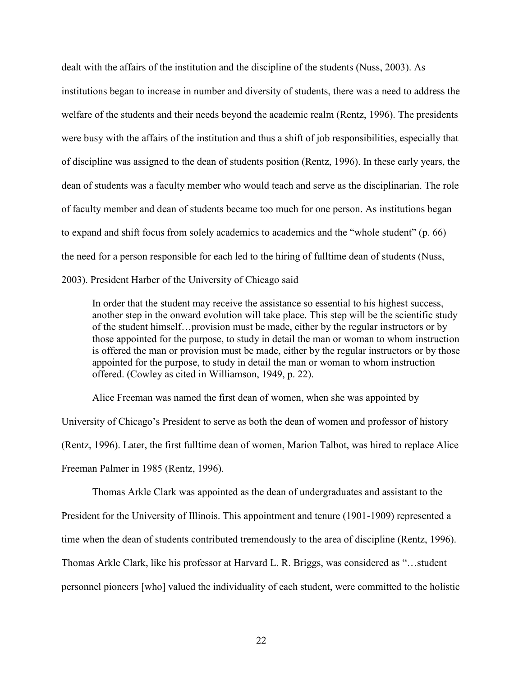dealt with the affairs of the institution and the discipline of the students (Nuss, 2003). As institutions began to increase in number and diversity of students, there was a need to address the welfare of the students and their needs beyond the academic realm (Rentz, 1996). The presidents were busy with the affairs of the institution and thus a shift of job responsibilities, especially that of discipline was assigned to the dean of students position (Rentz, 1996). In these early years, the dean of students was a faculty member who would teach and serve as the disciplinarian. The role of faculty member and dean of students became too much for one person. As institutions began to expand and shift focus from solely academics to academics and the "whole student" (p. 66) the need for a person responsible for each led to the hiring of fulltime dean of students (Nuss, 2003). President Harber of the University of Chicago said

In order that the student may receive the assistance so essential to his highest success, another step in the onward evolution will take place. This step will be the scientific study of the student himself…provision must be made, either by the regular instructors or by those appointed for the purpose, to study in detail the man or woman to whom instruction is offered the man or provision must be made, either by the regular instructors or by those appointed for the purpose, to study in detail the man or woman to whom instruction offered. (Cowley as cited in Williamson, 1949, p. 22).

Alice Freeman was named the first dean of women, when she was appointed by University of Chicago's President to serve as both the dean of women and professor of history (Rentz, 1996). Later, the first fulltime dean of women, Marion Talbot, was hired to replace Alice Freeman Palmer in 1985 (Rentz, 1996).

Thomas Arkle Clark was appointed as the dean of undergraduates and assistant to the President for the University of Illinois. This appointment and tenure (1901-1909) represented a time when the dean of students contributed tremendously to the area of discipline (Rentz, 1996). Thomas Arkle Clark, like his professor at Harvard L. R. Briggs, was considered as "…student personnel pioneers [who] valued the individuality of each student, were committed to the holistic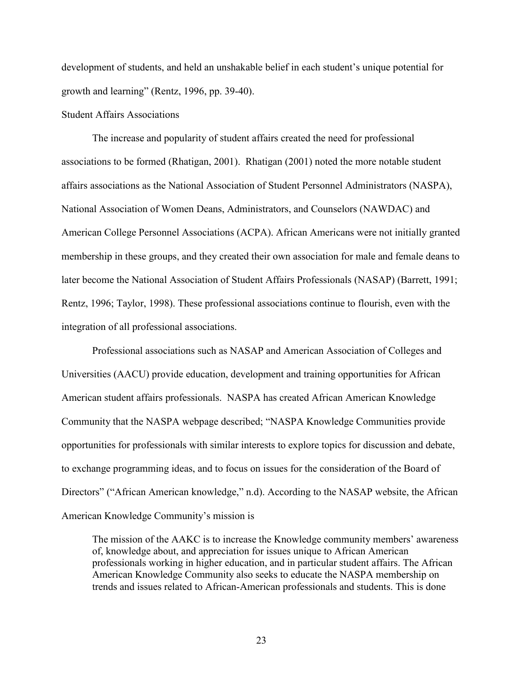development of students, and held an unshakable belief in each student's unique potential for growth and learning" (Rentz, 1996, pp. 39-40).

## Student Affairs Associations

The increase and popularity of student affairs created the need for professional associations to be formed (Rhatigan, 2001). Rhatigan (2001) noted the more notable student affairs associations as the National Association of Student Personnel Administrators (NASPA), National Association of Women Deans, Administrators, and Counselors (NAWDAC) and American College Personnel Associations (ACPA). African Americans were not initially granted membership in these groups, and they created their own association for male and female deans to later become the National Association of Student Affairs Professionals (NASAP) (Barrett, 1991; Rentz, 1996; Taylor, 1998). These professional associations continue to flourish, even with the integration of all professional associations.

Professional associations such as NASAP and American Association of Colleges and Universities (AACU) provide education, development and training opportunities for African American student affairs professionals. NASPA has created African American Knowledge Community that the NASPA webpage described; "NASPA Knowledge Communities provide opportunities for professionals with similar interests to explore topics for discussion and debate, to exchange programming ideas, and to focus on issues for the consideration of the Board of Directors" ("African American knowledge," n.d). According to the NASAP website, the African American Knowledge Community's mission is

The mission of the AAKC is to increase the Knowledge community members' awareness of, knowledge about, and appreciation for issues unique to African American professionals working in higher education, and in particular student affairs. The African American Knowledge Community also seeks to educate the NASPA membership on trends and issues related to African-American professionals and students. This is done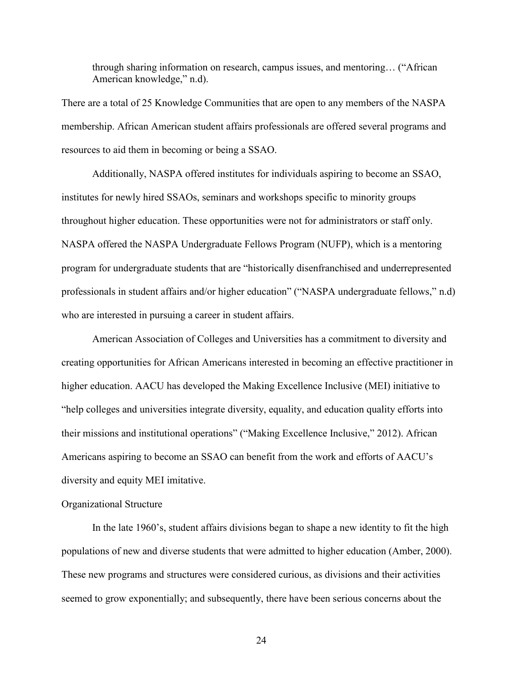through sharing information on research, campus issues, and mentoring… ("African American knowledge," n.d).

There are a total of 25 Knowledge Communities that are open to any members of the NASPA membership. African American student affairs professionals are offered several programs and resources to aid them in becoming or being a SSAO.

 Additionally, NASPA offered institutes for individuals aspiring to become an SSAO, institutes for newly hired SSAOs, seminars and workshops specific to minority groups throughout higher education. These opportunities were not for administrators or staff only. NASPA offered the NASPA Undergraduate Fellows Program (NUFP), which is a mentoring program for undergraduate students that are "historically disenfranchised and underrepresented professionals in student affairs and/or higher education" ("NASPA undergraduate fellows," n.d) who are interested in pursuing a career in student affairs.

 American Association of Colleges and Universities has a commitment to diversity and creating opportunities for African Americans interested in becoming an effective practitioner in higher education. AACU has developed the Making Excellence Inclusive (MEI) initiative to "help colleges and universities integrate diversity, equality, and education quality efforts into their missions and institutional operations" ("Making Excellence Inclusive," 2012). African Americans aspiring to become an SSAO can benefit from the work and efforts of AACU's diversity and equity MEI imitative.

#### Organizational Structure

In the late 1960's, student affairs divisions began to shape a new identity to fit the high populations of new and diverse students that were admitted to higher education (Amber, 2000). These new programs and structures were considered curious, as divisions and their activities seemed to grow exponentially; and subsequently, there have been serious concerns about the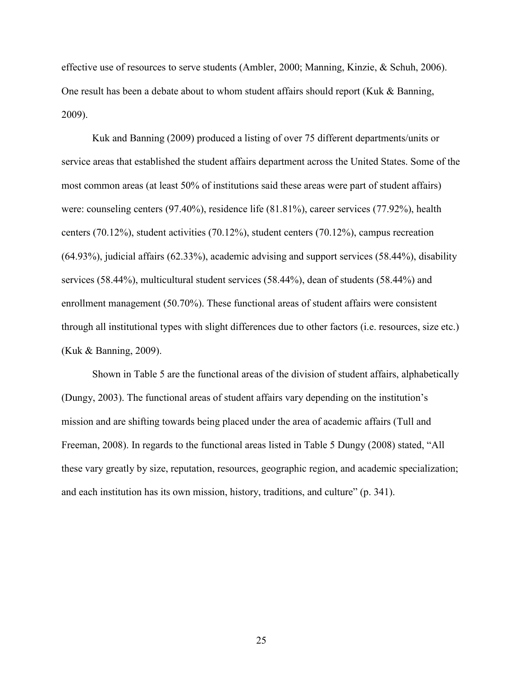effective use of resources to serve students (Ambler, 2000; Manning, Kinzie, & Schuh, 2006). One result has been a debate about to whom student affairs should report (Kuk & Banning, 2009).

Kuk and Banning (2009) produced a listing of over 75 different departments/units or service areas that established the student affairs department across the United States. Some of the most common areas (at least 50% of institutions said these areas were part of student affairs) were: counseling centers (97.40%), residence life (81.81%), career services (77.92%), health centers (70.12%), student activities (70.12%), student centers (70.12%), campus recreation (64.93%), judicial affairs (62.33%), academic advising and support services (58.44%), disability services (58.44%), multicultural student services (58.44%), dean of students (58.44%) and enrollment management (50.70%). These functional areas of student affairs were consistent through all institutional types with slight differences due to other factors (i.e. resources, size etc.) (Kuk & Banning, 2009).

 Shown in Table 5 are the functional areas of the division of student affairs, alphabetically (Dungy, 2003). The functional areas of student affairs vary depending on the institution's mission and are shifting towards being placed under the area of academic affairs (Tull and Freeman, 2008). In regards to the functional areas listed in Table 5 Dungy (2008) stated, "All these vary greatly by size, reputation, resources, geographic region, and academic specialization; and each institution has its own mission, history, traditions, and culture" (p. 341).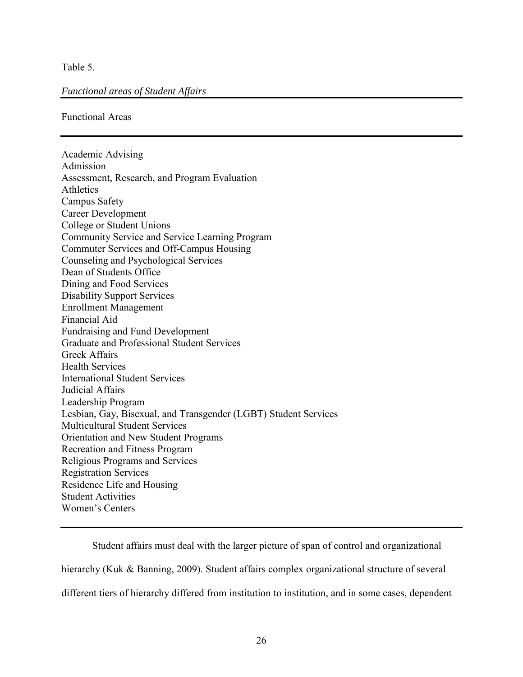Table 5.

# *Functional areas of Student Affairs*

Functional Areas

Academic Advising Admission Assessment, Research, and Program Evaluation Athletics Campus Safety Career Development College or Student Unions Community Service and Service Learning Program Commuter Services and Off-Campus Housing Counseling and Psychological Services Dean of Students Office Dining and Food Services Disability Support Services Enrollment Management Financial Aid Fundraising and Fund Development Graduate and Professional Student Services Greek Affairs Health Services International Student Services Judicial Affairs Leadership Program Lesbian, Gay, Bisexual, and Transgender (LGBT) Student Services Multicultural Student Services Orientation and New Student Programs Recreation and Fitness Program Religious Programs and Services Registration Services Residence Life and Housing Student Activities Women's Centers

Student affairs must deal with the larger picture of span of control and organizational hierarchy (Kuk & Banning, 2009). Student affairs complex organizational structure of several different tiers of hierarchy differed from institution to institution, and in some cases, dependent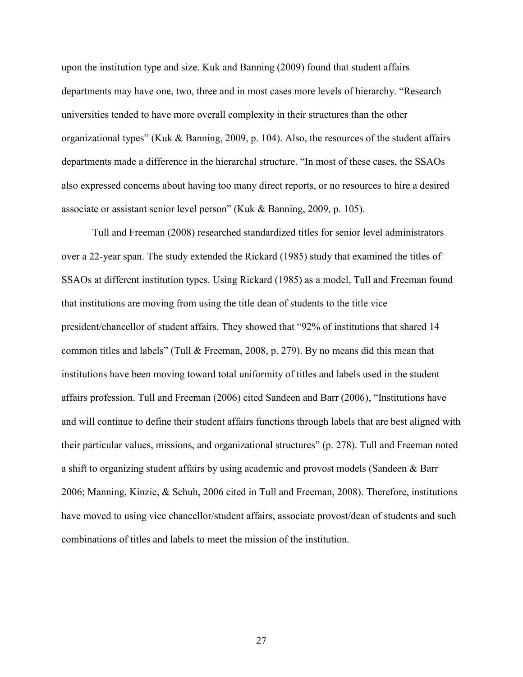upon the institution type and size. Kuk and Banning (2009) found that student affairs departments may have one, two, three and in most cases more levels of hierarchy. "Research universities tended to have more overall complexity in their structures than the other organizational types" (Kuk & Banning, 2009, p. 104). Also, the resources of the student affairs departments made a difference in the hierarchal structure. "In most of these cases, the SSAOs also expressed concerns about having too many direct reports, or no resources to hire a desired associate or assistant senior level person" (Kuk & Banning, 2009, p. 105).

Tull and Freeman (2008) researched standardized titles for senior level administrators over a 22-year span. The study extended the Rickard (1985) study that examined the titles of SSAOs at different institution types. Using Rickard (1985) as a model, Tull and Freeman found that institutions are moving from using the title dean of students to the title vice president/chancellor of student affairs. They showed that "92% of institutions that shared 14 common titles and labels" (Tull & Freeman, 2008, p. 279). By no means did this mean that institutions have been moving toward total uniformity of titles and labels used in the student affairs profession. Tull and Freeman (2006) cited Sandeen and Barr (2006), "Institutions have and will continue to define their student affairs functions through labels that are best aligned with their particular values, missions, and organizational structures" (p. 278). Tull and Freeman noted a shift to organizing student affairs by using academic and provost models (Sandeen & Barr 2006; Manning, Kinzie, & Schuh, 2006 cited in Tull and Freeman, 2008). Therefore, institutions have moved to using vice chancellor/student affairs, associate provost/dean of students and such combinations of titles and labels to meet the mission of the institution.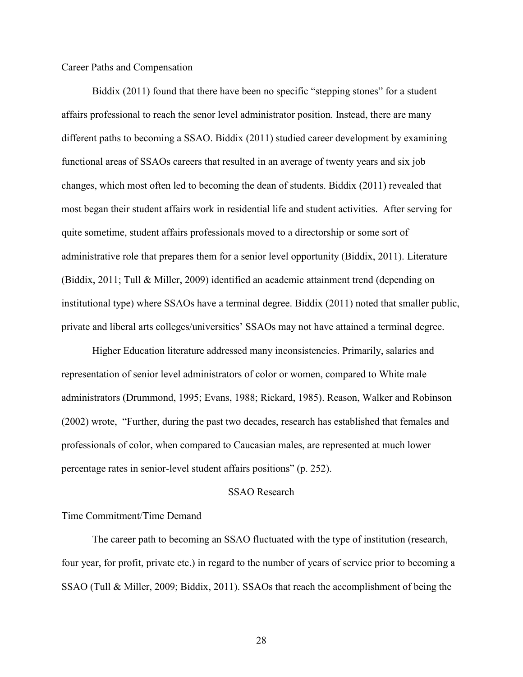### Career Paths and Compensation

Biddix (2011) found that there have been no specific "stepping stones" for a student affairs professional to reach the senor level administrator position. Instead, there are many different paths to becoming a SSAO. Biddix (2011) studied career development by examining functional areas of SSAOs careers that resulted in an average of twenty years and six job changes, which most often led to becoming the dean of students. Biddix (2011) revealed that most began their student affairs work in residential life and student activities. After serving for quite sometime, student affairs professionals moved to a directorship or some sort of administrative role that prepares them for a senior level opportunity (Biddix, 2011). Literature (Biddix, 2011; Tull & Miller, 2009) identified an academic attainment trend (depending on institutional type) where SSAOs have a terminal degree. Biddix (2011) noted that smaller public, private and liberal arts colleges/universities' SSAOs may not have attained a terminal degree.

 Higher Education literature addressed many inconsistencies. Primarily, salaries and representation of senior level administrators of color or women, compared to White male administrators (Drummond, 1995; Evans, 1988; Rickard, 1985). Reason, Walker and Robinson (2002) wrote, "Further, during the past two decades, research has established that females and professionals of color, when compared to Caucasian males, are represented at much lower percentage rates in senior-level student affairs positions" (p. 252).

### SSAO Research

## Time Commitment/Time Demand

 The career path to becoming an SSAO fluctuated with the type of institution (research, four year, for profit, private etc.) in regard to the number of years of service prior to becoming a SSAO (Tull & Miller, 2009; Biddix, 2011). SSAOs that reach the accomplishment of being the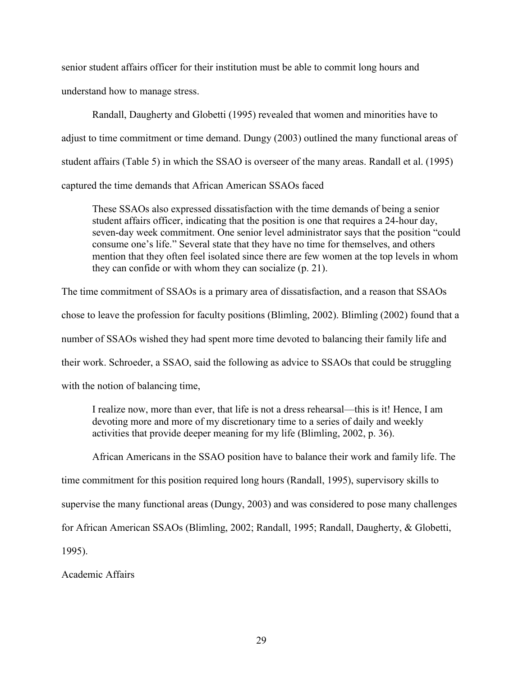senior student affairs officer for their institution must be able to commit long hours and understand how to manage stress.

 Randall, Daugherty and Globetti (1995) revealed that women and minorities have to adjust to time commitment or time demand. Dungy (2003) outlined the many functional areas of student affairs (Table 5) in which the SSAO is overseer of the many areas. Randall et al. (1995) captured the time demands that African American SSAOs faced

These SSAOs also expressed dissatisfaction with the time demands of being a senior student affairs officer, indicating that the position is one that requires a 24-hour day, seven-day week commitment. One senior level administrator says that the position "could consume one's life." Several state that they have no time for themselves, and others mention that they often feel isolated since there are few women at the top levels in whom they can confide or with whom they can socialize (p. 21).

The time commitment of SSAOs is a primary area of dissatisfaction, and a reason that SSAOs chose to leave the profession for faculty positions (Blimling, 2002). Blimling (2002) found that a number of SSAOs wished they had spent more time devoted to balancing their family life and their work. Schroeder, a SSAO, said the following as advice to SSAOs that could be struggling with the notion of balancing time,

I realize now, more than ever, that life is not a dress rehearsal—this is it! Hence, I am devoting more and more of my discretionary time to a series of daily and weekly activities that provide deeper meaning for my life (Blimling, 2002, p. 36).

African Americans in the SSAO position have to balance their work and family life. The

time commitment for this position required long hours (Randall, 1995), supervisory skills to

supervise the many functional areas (Dungy, 2003) and was considered to pose many challenges

for African American SSAOs (Blimling, 2002; Randall, 1995; Randall, Daugherty, & Globetti,

1995).

Academic Affairs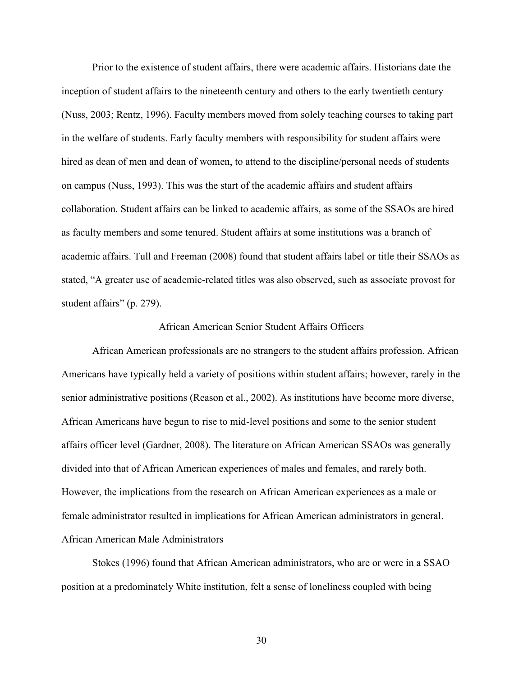Prior to the existence of student affairs, there were academic affairs. Historians date the inception of student affairs to the nineteenth century and others to the early twentieth century (Nuss, 2003; Rentz, 1996). Faculty members moved from solely teaching courses to taking part in the welfare of students. Early faculty members with responsibility for student affairs were hired as dean of men and dean of women, to attend to the discipline/personal needs of students on campus (Nuss, 1993). This was the start of the academic affairs and student affairs collaboration. Student affairs can be linked to academic affairs, as some of the SSAOs are hired as faculty members and some tenured. Student affairs at some institutions was a branch of academic affairs. Tull and Freeman (2008) found that student affairs label or title their SSAOs as stated, "A greater use of academic-related titles was also observed, such as associate provost for student affairs" (p. 279).

### African American Senior Student Affairs Officers

African American professionals are no strangers to the student affairs profession. African Americans have typically held a variety of positions within student affairs; however, rarely in the senior administrative positions (Reason et al., 2002). As institutions have become more diverse, African Americans have begun to rise to mid-level positions and some to the senior student affairs officer level (Gardner, 2008). The literature on African American SSAOs was generally divided into that of African American experiences of males and females, and rarely both. However, the implications from the research on African American experiences as a male or female administrator resulted in implications for African American administrators in general. African American Male Administrators

Stokes (1996) found that African American administrators, who are or were in a SSAO position at a predominately White institution, felt a sense of loneliness coupled with being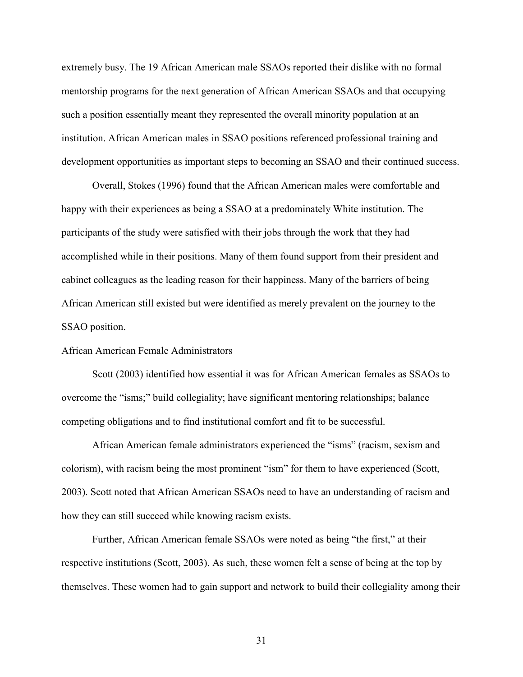extremely busy. The 19 African American male SSAOs reported their dislike with no formal mentorship programs for the next generation of African American SSAOs and that occupying such a position essentially meant they represented the overall minority population at an institution. African American males in SSAO positions referenced professional training and development opportunities as important steps to becoming an SSAO and their continued success.

Overall, Stokes (1996) found that the African American males were comfortable and happy with their experiences as being a SSAO at a predominately White institution. The participants of the study were satisfied with their jobs through the work that they had accomplished while in their positions. Many of them found support from their president and cabinet colleagues as the leading reason for their happiness. Many of the barriers of being African American still existed but were identified as merely prevalent on the journey to the SSAO position.

### African American Female Administrators

 Scott (2003) identified how essential it was for African American females as SSAOs to overcome the "isms;" build collegiality; have significant mentoring relationships; balance competing obligations and to find institutional comfort and fit to be successful.

 African American female administrators experienced the "isms" (racism, sexism and colorism), with racism being the most prominent "ism" for them to have experienced (Scott, 2003). Scott noted that African American SSAOs need to have an understanding of racism and how they can still succeed while knowing racism exists.

Further, African American female SSAOs were noted as being "the first," at their respective institutions (Scott, 2003). As such, these women felt a sense of being at the top by themselves. These women had to gain support and network to build their collegiality among their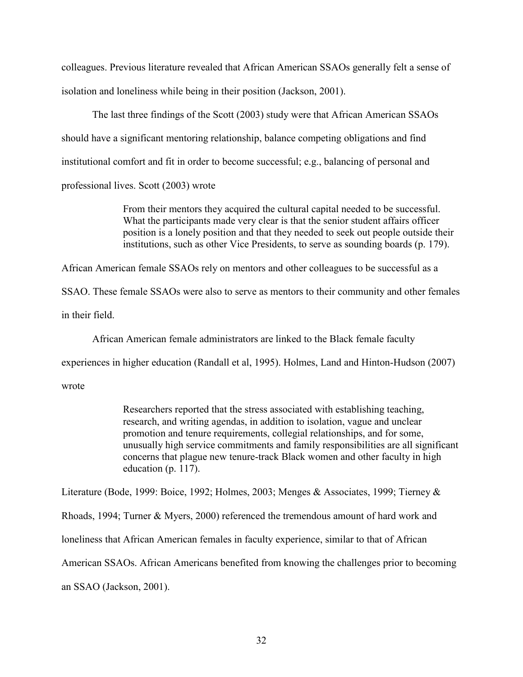colleagues. Previous literature revealed that African American SSAOs generally felt a sense of isolation and loneliness while being in their position (Jackson, 2001).

 The last three findings of the Scott (2003) study were that African American SSAOs should have a significant mentoring relationship, balance competing obligations and find institutional comfort and fit in order to become successful; e.g., balancing of personal and professional lives. Scott (2003) wrote

> From their mentors they acquired the cultural capital needed to be successful. What the participants made very clear is that the senior student affairs officer position is a lonely position and that they needed to seek out people outside their institutions, such as other Vice Presidents, to serve as sounding boards (p. 179).

African American female SSAOs rely on mentors and other colleagues to be successful as a

SSAO. These female SSAOs were also to serve as mentors to their community and other females in their field.

African American female administrators are linked to the Black female faculty

experiences in higher education (Randall et al, 1995). Holmes, Land and Hinton-Hudson (2007)

wrote

Researchers reported that the stress associated with establishing teaching, research, and writing agendas, in addition to isolation, vague and unclear promotion and tenure requirements, collegial relationships, and for some, unusually high service commitments and family responsibilities are all significant concerns that plague new tenure-track Black women and other faculty in high education (p. 117).

Literature (Bode, 1999: Boice, 1992; Holmes, 2003; Menges & Associates, 1999; Tierney &

Rhoads, 1994; Turner & Myers, 2000) referenced the tremendous amount of hard work and

loneliness that African American females in faculty experience, similar to that of African

American SSAOs. African Americans benefited from knowing the challenges prior to becoming

an SSAO (Jackson, 2001).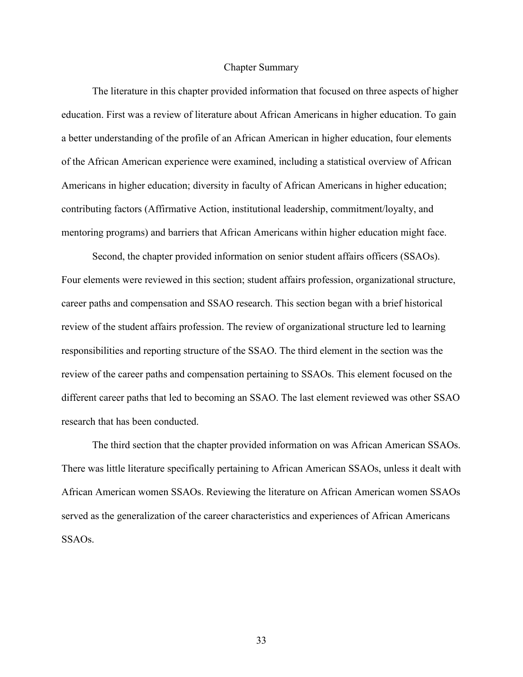### Chapter Summary

The literature in this chapter provided information that focused on three aspects of higher education. First was a review of literature about African Americans in higher education. To gain a better understanding of the profile of an African American in higher education, four elements of the African American experience were examined, including a statistical overview of African Americans in higher education; diversity in faculty of African Americans in higher education; contributing factors (Affirmative Action, institutional leadership, commitment/loyalty, and mentoring programs) and barriers that African Americans within higher education might face.

Second, the chapter provided information on senior student affairs officers (SSAOs). Four elements were reviewed in this section; student affairs profession, organizational structure, career paths and compensation and SSAO research. This section began with a brief historical review of the student affairs profession. The review of organizational structure led to learning responsibilities and reporting structure of the SSAO. The third element in the section was the review of the career paths and compensation pertaining to SSAOs. This element focused on the different career paths that led to becoming an SSAO. The last element reviewed was other SSAO research that has been conducted.

The third section that the chapter provided information on was African American SSAOs. There was little literature specifically pertaining to African American SSAOs, unless it dealt with African American women SSAOs. Reviewing the literature on African American women SSAOs served as the generalization of the career characteristics and experiences of African Americans SSAOs.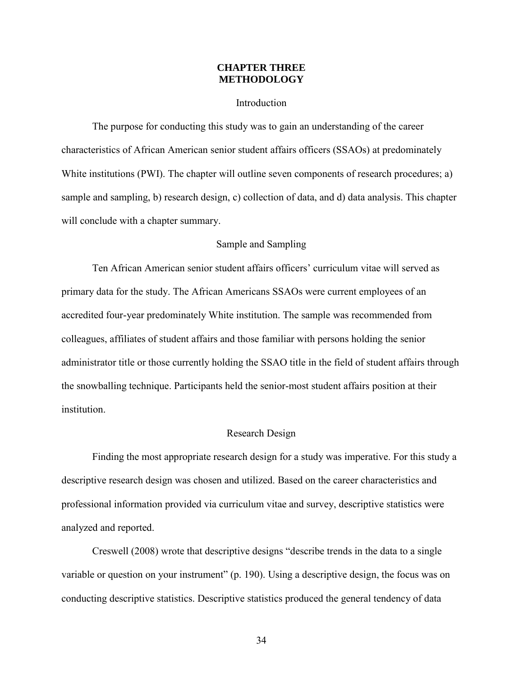## **CHAPTER THREE METHODOLOGY**

### Introduction

The purpose for conducting this study was to gain an understanding of the career characteristics of African American senior student affairs officers (SSAOs) at predominately White institutions (PWI). The chapter will outline seven components of research procedures; a) sample and sampling, b) research design, c) collection of data, and d) data analysis. This chapter will conclude with a chapter summary.

## Sample and Sampling

Ten African American senior student affairs officers' curriculum vitae will served as primary data for the study. The African Americans SSAOs were current employees of an accredited four-year predominately White institution. The sample was recommended from colleagues, affiliates of student affairs and those familiar with persons holding the senior administrator title or those currently holding the SSAO title in the field of student affairs through the snowballing technique. Participants held the senior-most student affairs position at their institution.

### Research Design

Finding the most appropriate research design for a study was imperative. For this study a descriptive research design was chosen and utilized. Based on the career characteristics and professional information provided via curriculum vitae and survey, descriptive statistics were analyzed and reported.

Creswell (2008) wrote that descriptive designs "describe trends in the data to a single variable or question on your instrument" (p. 190). Using a descriptive design, the focus was on conducting descriptive statistics. Descriptive statistics produced the general tendency of data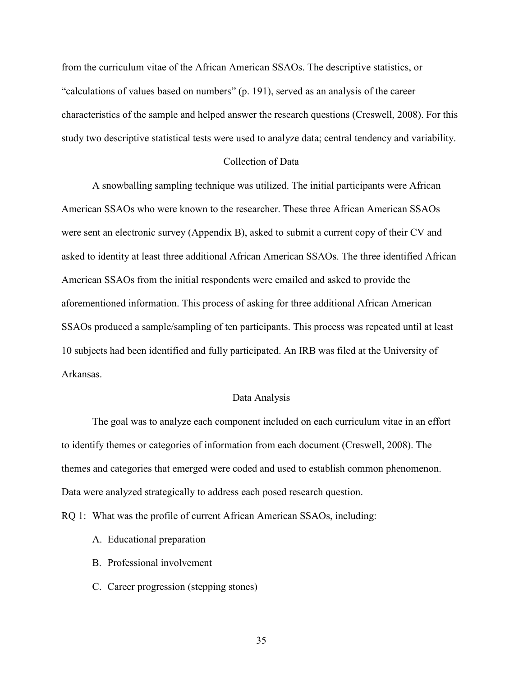from the curriculum vitae of the African American SSAOs. The descriptive statistics, or "calculations of values based on numbers" (p. 191), served as an analysis of the career characteristics of the sample and helped answer the research questions (Creswell, 2008). For this study two descriptive statistical tests were used to analyze data; central tendency and variability.

## Collection of Data

A snowballing sampling technique was utilized. The initial participants were African American SSAOs who were known to the researcher. These three African American SSAOs were sent an electronic survey (Appendix B), asked to submit a current copy of their CV and asked to identity at least three additional African American SSAOs. The three identified African American SSAOs from the initial respondents were emailed and asked to provide the aforementioned information. This process of asking for three additional African American SSAOs produced a sample/sampling of ten participants. This process was repeated until at least 10 subjects had been identified and fully participated. An IRB was filed at the University of Arkansas.

## Data Analysis

The goal was to analyze each component included on each curriculum vitae in an effort to identify themes or categories of information from each document (Creswell, 2008). The themes and categories that emerged were coded and used to establish common phenomenon. Data were analyzed strategically to address each posed research question.

RQ 1: What was the profile of current African American SSAOs, including:

- A. Educational preparation
- B. Professional involvement
- C. Career progression (stepping stones)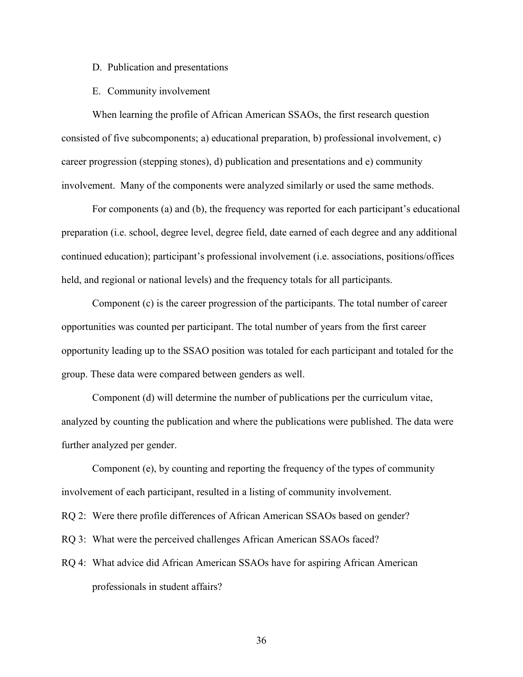### D. Publication and presentations

## E. Community involvement

When learning the profile of African American SSAOs, the first research question consisted of five subcomponents; a) educational preparation, b) professional involvement, c) career progression (stepping stones), d) publication and presentations and e) community involvement. Many of the components were analyzed similarly or used the same methods.

For components (a) and (b), the frequency was reported for each participant's educational preparation (i.e. school, degree level, degree field, date earned of each degree and any additional continued education); participant's professional involvement (i.e. associations, positions/offices held, and regional or national levels) and the frequency totals for all participants.

Component (c) is the career progression of the participants. The total number of career opportunities was counted per participant. The total number of years from the first career opportunity leading up to the SSAO position was totaled for each participant and totaled for the group. These data were compared between genders as well.

Component (d) will determine the number of publications per the curriculum vitae, analyzed by counting the publication and where the publications were published. The data were further analyzed per gender.

Component (e), by counting and reporting the frequency of the types of community involvement of each participant, resulted in a listing of community involvement.

RQ 2: Were there profile differences of African American SSAOs based on gender?

RQ 3: What were the perceived challenges African American SSAOs faced?

RQ 4: What advice did African American SSAOs have for aspiring African American professionals in student affairs?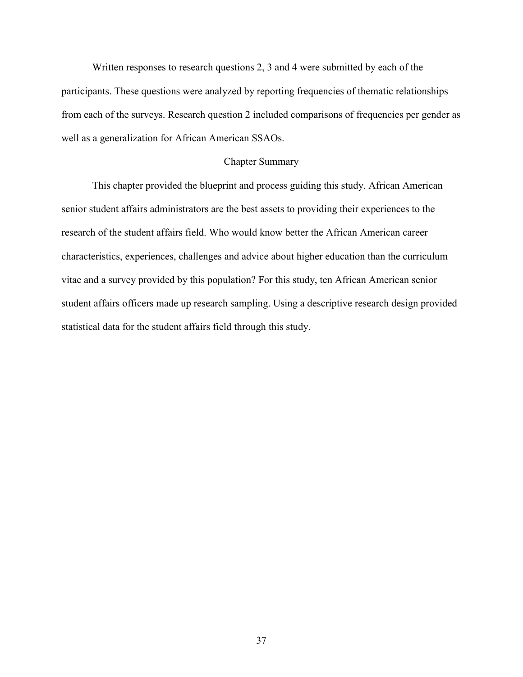Written responses to research questions 2, 3 and 4 were submitted by each of the participants. These questions were analyzed by reporting frequencies of thematic relationships from each of the surveys. Research question 2 included comparisons of frequencies per gender as well as a generalization for African American SSAOs.

## Chapter Summary

This chapter provided the blueprint and process guiding this study. African American senior student affairs administrators are the best assets to providing their experiences to the research of the student affairs field. Who would know better the African American career characteristics, experiences, challenges and advice about higher education than the curriculum vitae and a survey provided by this population? For this study, ten African American senior student affairs officers made up research sampling. Using a descriptive research design provided statistical data for the student affairs field through this study.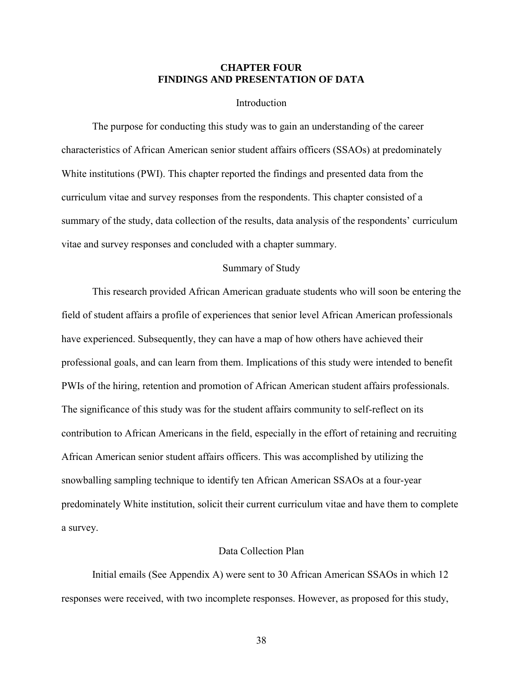## **CHAPTER FOUR FINDINGS AND PRESENTATION OF DATA**

### Introduction

The purpose for conducting this study was to gain an understanding of the career characteristics of African American senior student affairs officers (SSAOs) at predominately White institutions (PWI). This chapter reported the findings and presented data from the curriculum vitae and survey responses from the respondents. This chapter consisted of a summary of the study, data collection of the results, data analysis of the respondents' curriculum vitae and survey responses and concluded with a chapter summary.

## Summary of Study

This research provided African American graduate students who will soon be entering the field of student affairs a profile of experiences that senior level African American professionals have experienced. Subsequently, they can have a map of how others have achieved their professional goals, and can learn from them. Implications of this study were intended to benefit PWIs of the hiring, retention and promotion of African American student affairs professionals. The significance of this study was for the student affairs community to self-reflect on its contribution to African Americans in the field, especially in the effort of retaining and recruiting African American senior student affairs officers. This was accomplished by utilizing the snowballing sampling technique to identify ten African American SSAOs at a four-year predominately White institution, solicit their current curriculum vitae and have them to complete a survey.

#### Data Collection Plan

Initial emails (See Appendix A) were sent to 30 African American SSAOs in which 12 responses were received, with two incomplete responses. However, as proposed for this study,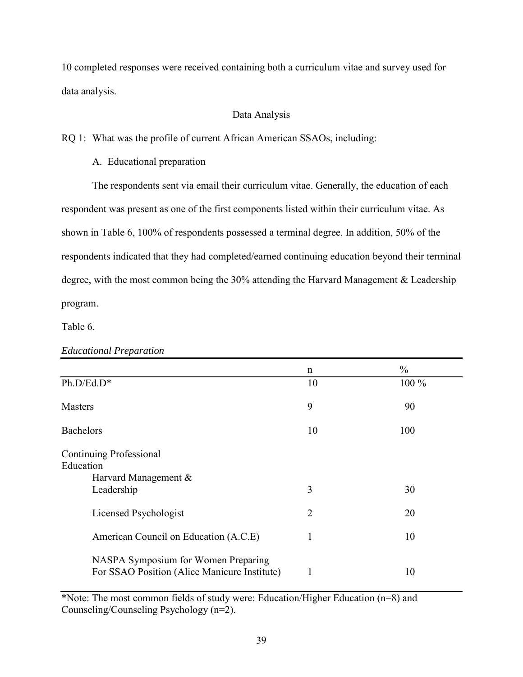10 completed responses were received containing both a curriculum vitae and survey used for data analysis.

# Data Analysis

RQ 1: What was the profile of current African American SSAOs, including:

A. Educational preparation

The respondents sent via email their curriculum vitae. Generally, the education of each respondent was present as one of the first components listed within their curriculum vitae. As shown in Table 6, 100% of respondents possessed a terminal degree. In addition, 50% of the respondents indicated that they had completed/earned continuing education beyond their terminal degree, with the most common being the 30% attending the Harvard Management & Leadership program.

Table 6.

|                                                                                     | n              | $\frac{0}{0}$ |
|-------------------------------------------------------------------------------------|----------------|---------------|
| Ph.D/Ed.D*                                                                          | 10             | 100 %         |
| <b>Masters</b>                                                                      | 9              | 90            |
| <b>Bachelors</b>                                                                    | 10             | 100           |
| Continuing Professional<br>Education<br>Harvard Management &                        |                |               |
| Leadership                                                                          | 3              | 30            |
| Licensed Psychologist                                                               | $\overline{2}$ | 20            |
| American Council on Education (A.C.E)                                               | 1              | 10            |
| NASPA Symposium for Women Preparing<br>For SSAO Position (Alice Manicure Institute) | -1             | 10            |

*Educational Preparation* 

\*Note: The most common fields of study were: Education/Higher Education (n=8) and Counseling/Counseling Psychology (n=2).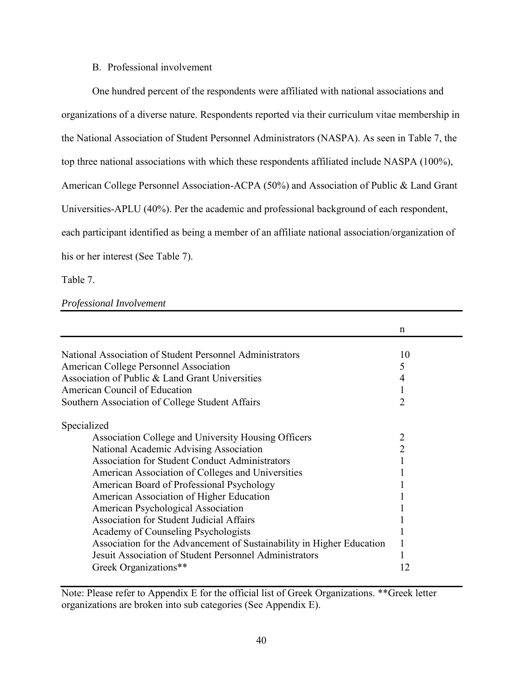# B. Professional involvement

One hundred percent of the respondents were affiliated with national associations and organizations of a diverse nature. Respondents reported via their curriculum vitae membership in the National Association of Student Personnel Administrators (NASPA). As seen in Table 7, the top three national associations with which these respondents affiliated include NASPA (100%), American College Personnel Association-ACPA (50%) and Association of Public & Land Grant Universities-APLU (40%). Per the academic and professional background of each respondent, each participant identified as being a member of an affiliate national association/organization of his or her interest (See Table 7).

Table 7.

# *Professional Involvement*

|                                                                       | n              |
|-----------------------------------------------------------------------|----------------|
|                                                                       |                |
| National Association of Student Personnel Administrators              | 10             |
| <b>American College Personnel Association</b>                         | 5              |
| Association of Public & Land Grant Universities                       |                |
| American Council of Education                                         |                |
| Southern Association of College Student Affairs                       | 2              |
| Specialized                                                           |                |
| Association College and University Housing Officers                   | $\overline{2}$ |
| National Academic Advising Association                                | 2              |
| <b>Association for Student Conduct Administrators</b>                 |                |
| American Association of Colleges and Universities                     |                |
| American Board of Professional Psychology                             |                |
| American Association of Higher Education                              |                |
| American Psychological Association                                    |                |
| <b>Association for Student Judicial Affairs</b>                       |                |
| Academy of Counseling Psychologists                                   |                |
| Association for the Advancement of Sustainability in Higher Education |                |
| Jesuit Association of Student Personnel Administrators                |                |
| Greek Organizations**                                                 | 12             |

Note: Please refer to Appendix E for the official list of Greek Organizations. \*\*Greek letter organizations are broken into sub categories (See Appendix E).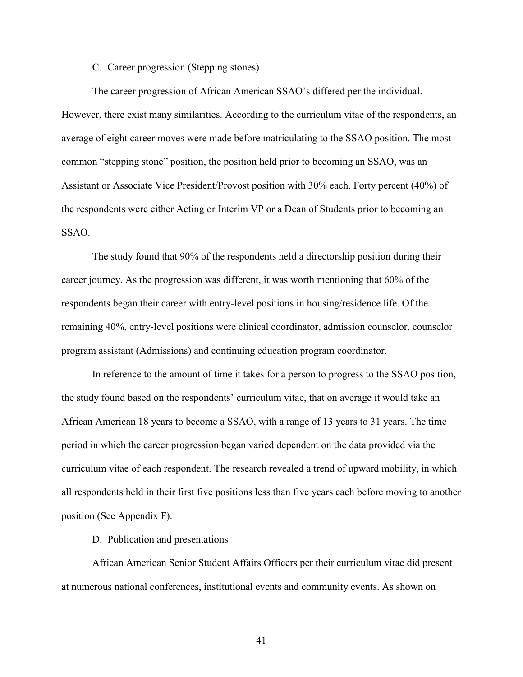# C. Career progression (Stepping stones)

The career progression of African American SSAO's differed per the individual. However, there exist many similarities. According to the curriculum vitae of the respondents, an average of eight career moves were made before matriculating to the SSAO position. The most common "stepping stone" position, the position held prior to becoming an SSAO, was an Assistant or Associate Vice President/Provost position with 30% each. Forty percent (40%) of the respondents were either Acting or Interim VP or a Dean of Students prior to becoming an SSAO.

The study found that 90% of the respondents held a directorship position during their career journey. As the progression was different, it was worth mentioning that 60% of the respondents began their career with entry-level positions in housing/residence life. Of the remaining 40%, entry-level positions were clinical coordinator, admission counselor, counselor program assistant (Admissions) and continuing education program coordinator.

In reference to the amount of time it takes for a person to progress to the SSAO position, the study found based on the respondents' curriculum vitae, that on average it would take an African American 18 years to become a SSAO, with a range of 13 years to 31 years. The time period in which the career progression began varied dependent on the data provided via the curriculum vitae of each respondent. The research revealed a trend of upward mobility, in which all respondents held in their first five positions less than five years each before moving to another position (See Appendix F).

# D. Publication and presentations

African American Senior Student Affairs Officers per their curriculum vitae did present at numerous national conferences, institutional events and community events. As shown on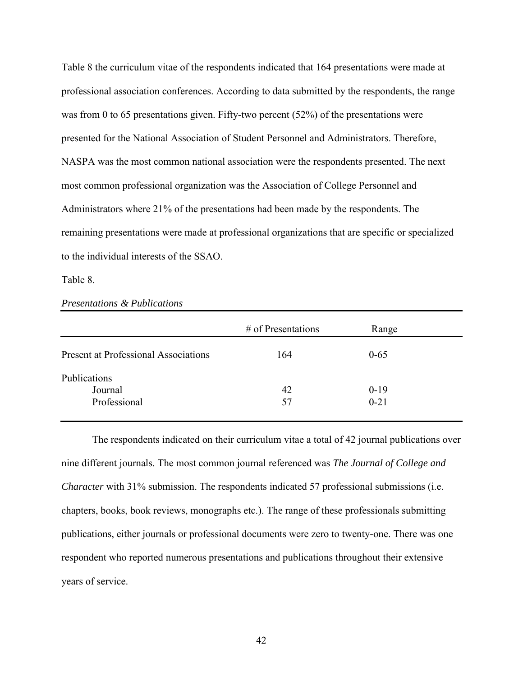Table 8 the curriculum vitae of the respondents indicated that 164 presentations were made at professional association conferences. According to data submitted by the respondents, the range was from 0 to 65 presentations given. Fifty-two percent (52%) of the presentations were presented for the National Association of Student Personnel and Administrators. Therefore, NASPA was the most common national association were the respondents presented. The next most common professional organization was the Association of College Personnel and Administrators where 21% of the presentations had been made by the respondents. The remaining presentations were made at professional organizations that are specific or specialized to the individual interests of the SSAO.

Table 8.

|                                             | $\#$ of Presentations | Range    |
|---------------------------------------------|-----------------------|----------|
| <b>Present at Professional Associations</b> | 164                   | $0 - 65$ |
| Publications<br>Journal                     | 42                    | $0-19$   |
| Professional                                | 57                    | $0 - 21$ |

*Presentations & Publications* 

 The respondents indicated on their curriculum vitae a total of 42 journal publications over nine different journals. The most common journal referenced was *The Journal of College and Character* with 31% submission. The respondents indicated 57 professional submissions (i.e. chapters, books, book reviews, monographs etc.). The range of these professionals submitting publications, either journals or professional documents were zero to twenty-one. There was one respondent who reported numerous presentations and publications throughout their extensive years of service.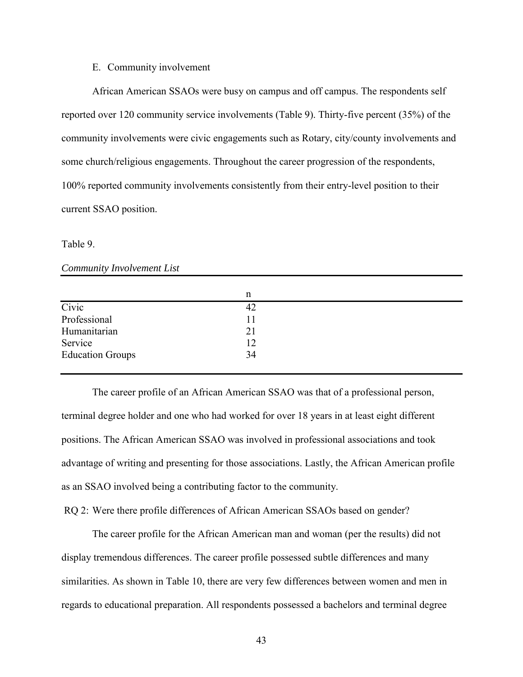#### E. Community involvement

African American SSAOs were busy on campus and off campus. The respondents self reported over 120 community service involvements (Table 9). Thirty-five percent (35%) of the community involvements were civic engagements such as Rotary, city/county involvements and some church/religious engagements. Throughout the career progression of the respondents, 100% reported community involvements consistently from their entry-level position to their current SSAO position.

#### Table 9.

## *Community Involvement List*

|                         | n  |  |
|-------------------------|----|--|
| Civic                   | 42 |  |
| Professional            | 11 |  |
| Humanitarian            | 21 |  |
| Service                 | 12 |  |
| <b>Education Groups</b> | 34 |  |
|                         |    |  |

 The career profile of an African American SSAO was that of a professional person, terminal degree holder and one who had worked for over 18 years in at least eight different positions. The African American SSAO was involved in professional associations and took advantage of writing and presenting for those associations. Lastly, the African American profile as an SSAO involved being a contributing factor to the community.

RQ 2: Were there profile differences of African American SSAOs based on gender?

The career profile for the African American man and woman (per the results) did not display tremendous differences. The career profile possessed subtle differences and many similarities. As shown in Table 10, there are very few differences between women and men in regards to educational preparation. All respondents possessed a bachelors and terminal degree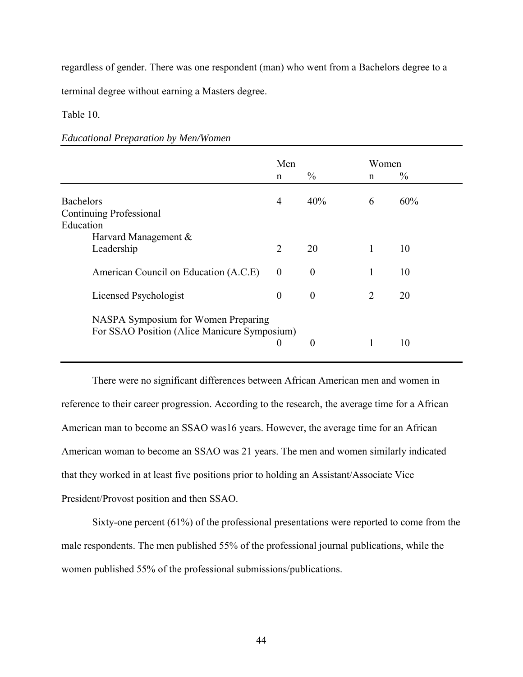regardless of gender. There was one respondent (man) who went from a Bachelors degree to a

terminal degree without earning a Masters degree.

Table 10.

*Educational Preparation by Men/Women* 

|                                                                                     | Men              |                  | Women          |               |
|-------------------------------------------------------------------------------------|------------------|------------------|----------------|---------------|
|                                                                                     | $\mathbf n$      | $\frac{0}{0}$    | n              | $\frac{0}{0}$ |
| <b>Bachelors</b><br>Continuing Professional                                         | $\overline{4}$   | 40%              | 6              | 60%           |
| Education<br>Harvard Management &<br>Leadership                                     | $\overline{2}$   | 20               | 1              | 10            |
| American Council on Education (A.C.E)                                               | $\theta$         | $\theta$         | 1              | 10            |
| Licensed Psychologist                                                               | $\boldsymbol{0}$ | $\theta$         | $\overline{2}$ | 20            |
| NASPA Symposium for Women Preparing<br>For SSAO Position (Alice Manicure Symposium) | $\boldsymbol{0}$ | $\boldsymbol{0}$ | 1              | 10            |

 There were no significant differences between African American men and women in reference to their career progression. According to the research, the average time for a African American man to become an SSAO was16 years. However, the average time for an African American woman to become an SSAO was 21 years. The men and women similarly indicated that they worked in at least five positions prior to holding an Assistant/Associate Vice President/Provost position and then SSAO.

 Sixty-one percent (61%) of the professional presentations were reported to come from the male respondents. The men published 55% of the professional journal publications, while the women published 55% of the professional submissions/publications.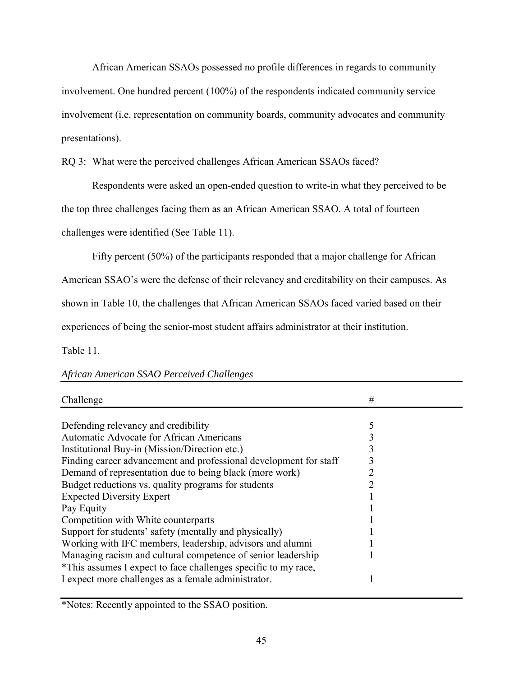African American SSAOs possessed no profile differences in regards to community involvement. One hundred percent (100%) of the respondents indicated community service involvement (i.e. representation on community boards, community advocates and community presentations).

RQ 3: What were the perceived challenges African American SSAOs faced?

Respondents were asked an open-ended question to write-in what they perceived to be

the top three challenges facing them as an African American SSAO. A total of fourteen

challenges were identified (See Table 11).

Fifty percent (50%) of the participants responded that a major challenge for African

American SSAO's were the defense of their relevancy and creditability on their campuses. As

shown in Table 10, the challenges that African American SSAOs faced varied based on their

experiences of being the senior-most student affairs administrator at their institution.

Table 11.

| Challenge                                                         | # |  |
|-------------------------------------------------------------------|---|--|
|                                                                   |   |  |
| Defending relevancy and credibility                               |   |  |
| Automatic Advocate for African Americans                          |   |  |
| Institutional Buy-in (Mission/Direction etc.)                     |   |  |
| Finding career advancement and professional development for staff |   |  |
| Demand of representation due to being black (more work)           |   |  |
| Budget reductions vs. quality programs for students               |   |  |
| <b>Expected Diversity Expert</b>                                  |   |  |
| Pay Equity                                                        |   |  |
| Competition with White counterparts                               |   |  |
| Support for students' safety (mentally and physically)            |   |  |
| Working with IFC members, leadership, advisors and alumni         |   |  |
| Managing racism and cultural competence of senior leadership      |   |  |
| *This assumes I expect to face challenges specific to my race,    |   |  |
| I expect more challenges as a female administrator.               |   |  |

# *African American SSAO Perceived Challenges*

\*Notes: Recently appointed to the SSAO position.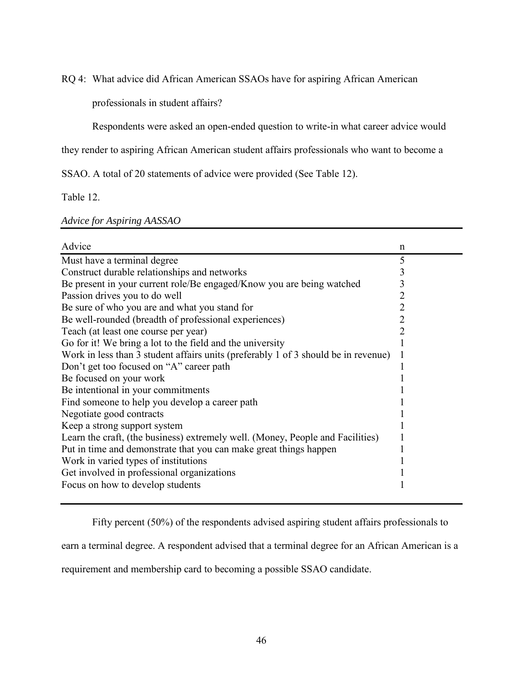RQ 4: What advice did African American SSAOs have for aspiring African American

professionals in student affairs?

Respondents were asked an open-ended question to write-in what career advice would

they render to aspiring African American student affairs professionals who want to become a

SSAO. A total of 20 statements of advice were provided (See Table 12).

Table 12.

# *Advice for Aspiring AASSAO*

| Advice                                                                             | n |
|------------------------------------------------------------------------------------|---|
| Must have a terminal degree                                                        | 5 |
| Construct durable relationships and networks                                       | 3 |
| Be present in your current role/Be engaged/Know you are being watched              | 3 |
| Passion drives you to do well                                                      | 2 |
| Be sure of who you are and what you stand for                                      | 2 |
| Be well-rounded (breadth of professional experiences)                              | 2 |
| Teach (at least one course per year)                                               | າ |
| Go for it! We bring a lot to the field and the university                          |   |
| Work in less than 3 student affairs units (preferably 1 of 3 should be in revenue) |   |
| Don't get too focused on "A" career path                                           |   |
| Be focused on your work                                                            |   |
| Be intentional in your commitments                                                 |   |
| Find someone to help you develop a career path                                     |   |
| Negotiate good contracts                                                           |   |
| Keep a strong support system                                                       |   |
| Learn the craft, (the business) extremely well. (Money, People and Facilities)     |   |
| Put in time and demonstrate that you can make great things happen                  |   |
| Work in varied types of institutions                                               |   |
| Get involved in professional organizations                                         |   |
| Focus on how to develop students                                                   |   |

Fifty percent (50%) of the respondents advised aspiring student affairs professionals to

earn a terminal degree. A respondent advised that a terminal degree for an African American is a

requirement and membership card to becoming a possible SSAO candidate.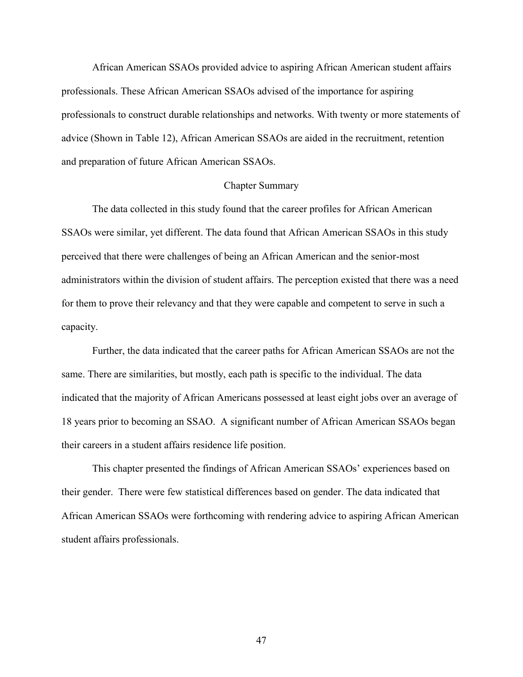African American SSAOs provided advice to aspiring African American student affairs professionals. These African American SSAOs advised of the importance for aspiring professionals to construct durable relationships and networks. With twenty or more statements of advice (Shown in Table 12), African American SSAOs are aided in the recruitment, retention and preparation of future African American SSAOs.

## Chapter Summary

 The data collected in this study found that the career profiles for African American SSAOs were similar, yet different. The data found that African American SSAOs in this study perceived that there were challenges of being an African American and the senior-most administrators within the division of student affairs. The perception existed that there was a need for them to prove their relevancy and that they were capable and competent to serve in such a capacity.

 Further, the data indicated that the career paths for African American SSAOs are not the same. There are similarities, but mostly, each path is specific to the individual. The data indicated that the majority of African Americans possessed at least eight jobs over an average of 18 years prior to becoming an SSAO. A significant number of African American SSAOs began their careers in a student affairs residence life position.

 This chapter presented the findings of African American SSAOs' experiences based on their gender. There were few statistical differences based on gender. The data indicated that African American SSAOs were forthcoming with rendering advice to aspiring African American student affairs professionals.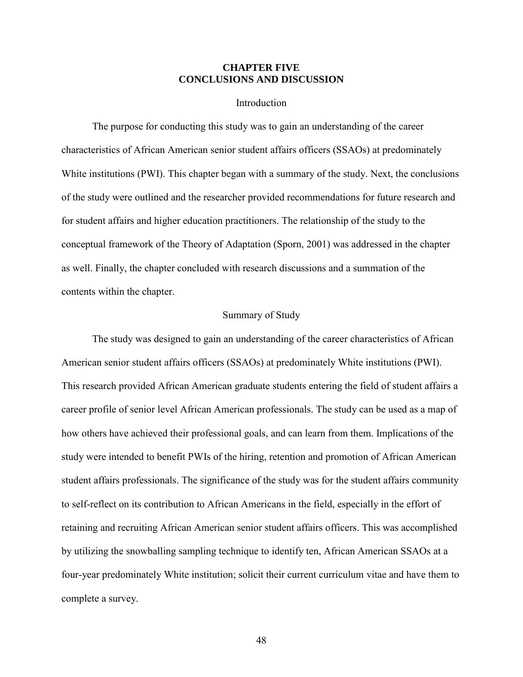## **CHAPTER FIVE CONCLUSIONS AND DISCUSSION**

## Introduction

The purpose for conducting this study was to gain an understanding of the career characteristics of African American senior student affairs officers (SSAOs) at predominately White institutions (PWI). This chapter began with a summary of the study. Next, the conclusions of the study were outlined and the researcher provided recommendations for future research and for student affairs and higher education practitioners. The relationship of the study to the conceptual framework of the Theory of Adaptation (Sporn, 2001) was addressed in the chapter as well. Finally, the chapter concluded with research discussions and a summation of the contents within the chapter.

# Summary of Study

The study was designed to gain an understanding of the career characteristics of African American senior student affairs officers (SSAOs) at predominately White institutions (PWI). This research provided African American graduate students entering the field of student affairs a career profile of senior level African American professionals. The study can be used as a map of how others have achieved their professional goals, and can learn from them. Implications of the study were intended to benefit PWIs of the hiring, retention and promotion of African American student affairs professionals. The significance of the study was for the student affairs community to self-reflect on its contribution to African Americans in the field, especially in the effort of retaining and recruiting African American senior student affairs officers. This was accomplished by utilizing the snowballing sampling technique to identify ten, African American SSAOs at a four-year predominately White institution; solicit their current curriculum vitae and have them to complete a survey.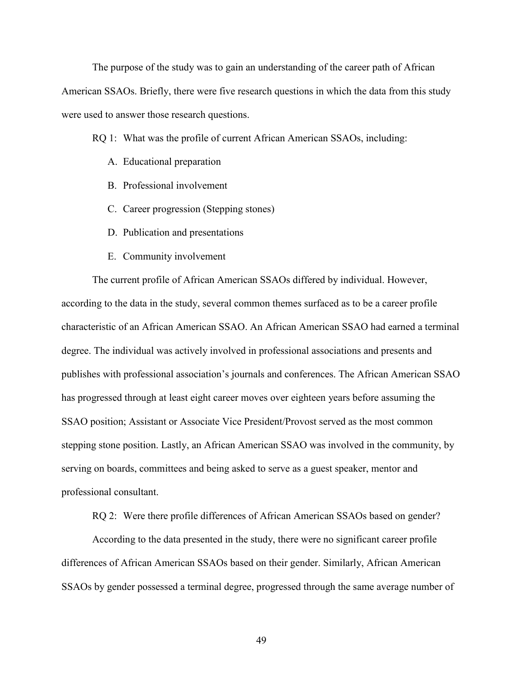The purpose of the study was to gain an understanding of the career path of African American SSAOs. Briefly, there were five research questions in which the data from this study were used to answer those research questions.

RQ 1: What was the profile of current African American SSAOs, including:

- A. Educational preparation
- B. Professional involvement
- C. Career progression (Stepping stones)
- D. Publication and presentations
- E. Community involvement

The current profile of African American SSAOs differed by individual. However, according to the data in the study, several common themes surfaced as to be a career profile characteristic of an African American SSAO. An African American SSAO had earned a terminal degree. The individual was actively involved in professional associations and presents and publishes with professional association's journals and conferences. The African American SSAO has progressed through at least eight career moves over eighteen years before assuming the SSAO position; Assistant or Associate Vice President/Provost served as the most common stepping stone position. Lastly, an African American SSAO was involved in the community, by serving on boards, committees and being asked to serve as a guest speaker, mentor and professional consultant.

RQ 2: Were there profile differences of African American SSAOs based on gender?

According to the data presented in the study, there were no significant career profile differences of African American SSAOs based on their gender. Similarly, African American SSAOs by gender possessed a terminal degree, progressed through the same average number of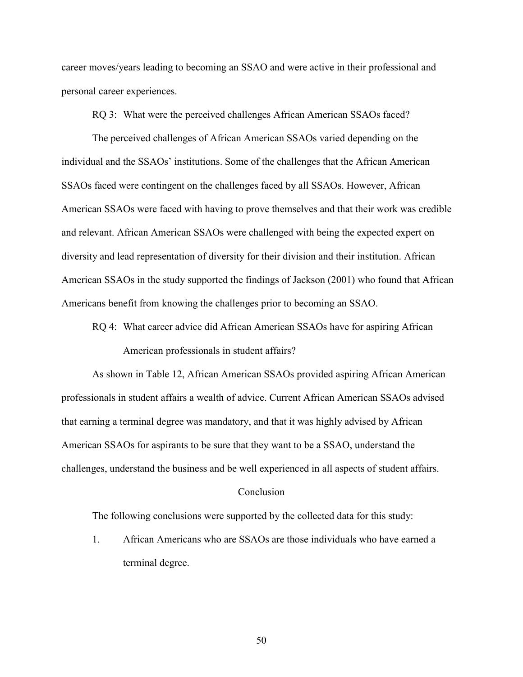career moves/years leading to becoming an SSAO and were active in their professional and personal career experiences.

RQ 3: What were the perceived challenges African American SSAOs faced?

The perceived challenges of African American SSAOs varied depending on the individual and the SSAOs' institutions. Some of the challenges that the African American SSAOs faced were contingent on the challenges faced by all SSAOs. However, African American SSAOs were faced with having to prove themselves and that their work was credible and relevant. African American SSAOs were challenged with being the expected expert on diversity and lead representation of diversity for their division and their institution. African American SSAOs in the study supported the findings of Jackson (2001) who found that African Americans benefit from knowing the challenges prior to becoming an SSAO.

RQ 4: What career advice did African American SSAOs have for aspiring African American professionals in student affairs?

As shown in Table 12, African American SSAOs provided aspiring African American professionals in student affairs a wealth of advice. Current African American SSAOs advised that earning a terminal degree was mandatory, and that it was highly advised by African American SSAOs for aspirants to be sure that they want to be a SSAO, understand the challenges, understand the business and be well experienced in all aspects of student affairs.

### Conclusion

The following conclusions were supported by the collected data for this study:

1. African Americans who are SSAOs are those individuals who have earned a terminal degree.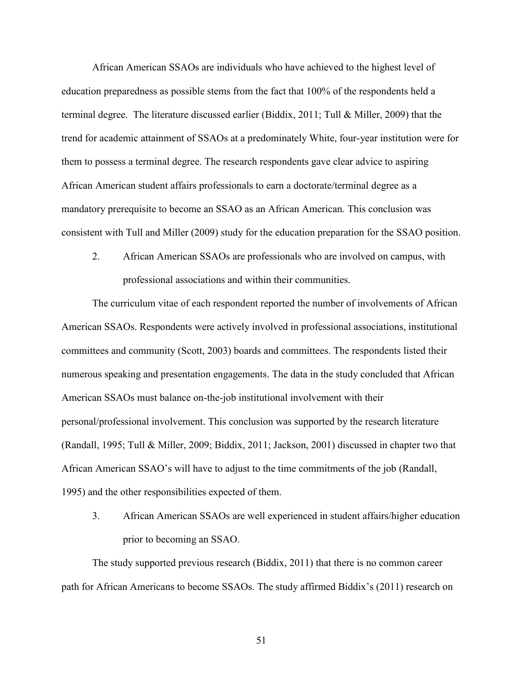African American SSAOs are individuals who have achieved to the highest level of education preparedness as possible stems from the fact that 100% of the respondents held a terminal degree. The literature discussed earlier (Biddix, 2011; Tull & Miller, 2009) that the trend for academic attainment of SSAOs at a predominately White, four-year institution were for them to possess a terminal degree. The research respondents gave clear advice to aspiring African American student affairs professionals to earn a doctorate/terminal degree as a mandatory prerequisite to become an SSAO as an African American. This conclusion was consistent with Tull and Miller (2009) study for the education preparation for the SSAO position.

2. African American SSAOs are professionals who are involved on campus, with professional associations and within their communities.

The curriculum vitae of each respondent reported the number of involvements of African American SSAOs. Respondents were actively involved in professional associations, institutional committees and community (Scott, 2003) boards and committees. The respondents listed their numerous speaking and presentation engagements. The data in the study concluded that African American SSAOs must balance on-the-job institutional involvement with their personal/professional involvement. This conclusion was supported by the research literature (Randall, 1995; Tull & Miller, 2009; Biddix, 2011; Jackson, 2001) discussed in chapter two that African American SSAO's will have to adjust to the time commitments of the job (Randall, 1995) and the other responsibilities expected of them.

3. African American SSAOs are well experienced in student affairs/higher education prior to becoming an SSAO.

The study supported previous research (Biddix, 2011) that there is no common career path for African Americans to become SSAOs. The study affirmed Biddix's (2011) research on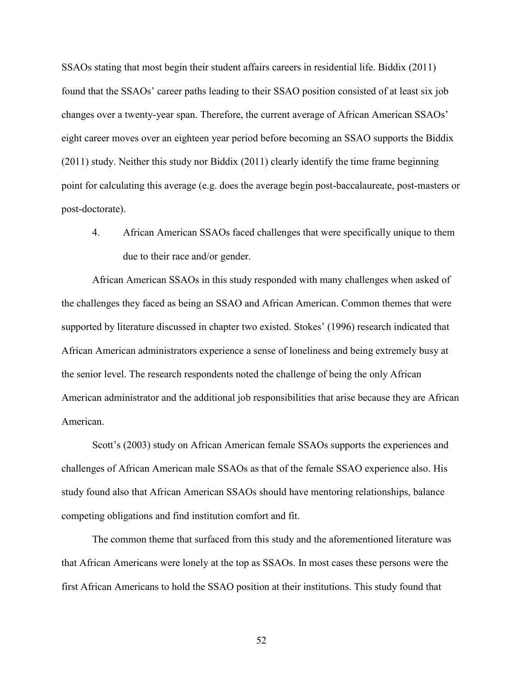SSAOs stating that most begin their student affairs careers in residential life. Biddix (2011) found that the SSAOs' career paths leading to their SSAO position consisted of at least six job changes over a twenty-year span. Therefore, the current average of African American SSAOs' eight career moves over an eighteen year period before becoming an SSAO supports the Biddix (2011) study. Neither this study nor Biddix (2011) clearly identify the time frame beginning point for calculating this average (e.g. does the average begin post-baccalaureate, post-masters or post-doctorate).

4. African American SSAOs faced challenges that were specifically unique to them due to their race and/or gender.

 African American SSAOs in this study responded with many challenges when asked of the challenges they faced as being an SSAO and African American. Common themes that were supported by literature discussed in chapter two existed. Stokes' (1996) research indicated that African American administrators experience a sense of loneliness and being extremely busy at the senior level. The research respondents noted the challenge of being the only African American administrator and the additional job responsibilities that arise because they are African American.

Scott's (2003) study on African American female SSAOs supports the experiences and challenges of African American male SSAOs as that of the female SSAO experience also. His study found also that African American SSAOs should have mentoring relationships, balance competing obligations and find institution comfort and fit.

The common theme that surfaced from this study and the aforementioned literature was that African Americans were lonely at the top as SSAOs. In most cases these persons were the first African Americans to hold the SSAO position at their institutions. This study found that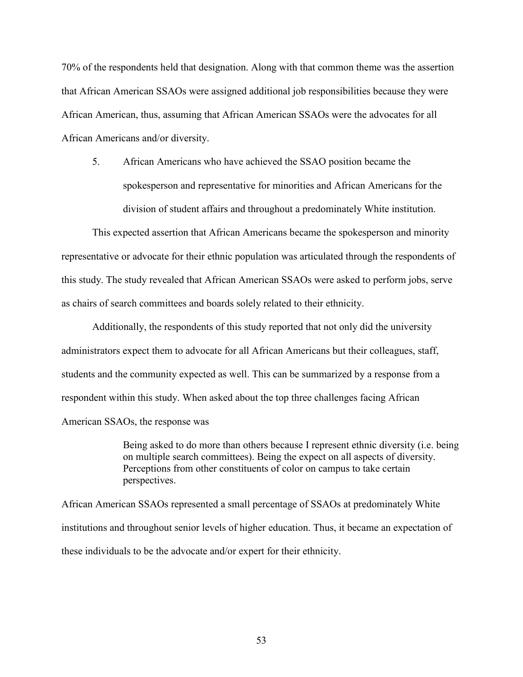70% of the respondents held that designation. Along with that common theme was the assertion that African American SSAOs were assigned additional job responsibilities because they were African American, thus, assuming that African American SSAOs were the advocates for all African Americans and/or diversity.

5. African Americans who have achieved the SSAO position became the spokesperson and representative for minorities and African Americans for the division of student affairs and throughout a predominately White institution.

This expected assertion that African Americans became the spokesperson and minority representative or advocate for their ethnic population was articulated through the respondents of this study. The study revealed that African American SSAOs were asked to perform jobs, serve as chairs of search committees and boards solely related to their ethnicity.

Additionally, the respondents of this study reported that not only did the university administrators expect them to advocate for all African Americans but their colleagues, staff, students and the community expected as well. This can be summarized by a response from a respondent within this study. When asked about the top three challenges facing African American SSAOs, the response was

> Being asked to do more than others because I represent ethnic diversity (i.e. being on multiple search committees). Being the expect on all aspects of diversity. Perceptions from other constituents of color on campus to take certain perspectives.

African American SSAOs represented a small percentage of SSAOs at predominately White institutions and throughout senior levels of higher education. Thus, it became an expectation of these individuals to be the advocate and/or expert for their ethnicity.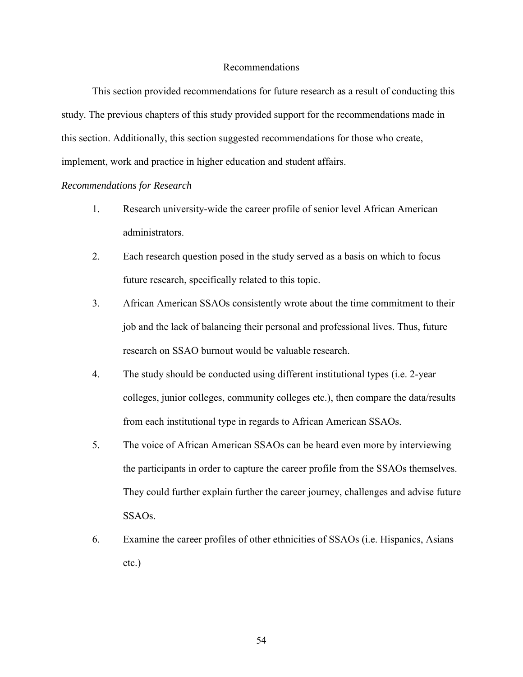## Recommendations

This section provided recommendations for future research as a result of conducting this study. The previous chapters of this study provided support for the recommendations made in this section. Additionally, this section suggested recommendations for those who create, implement, work and practice in higher education and student affairs.

## *Recommendations for Research*

- 1. Research university-wide the career profile of senior level African American administrators.
- 2. Each research question posed in the study served as a basis on which to focus future research, specifically related to this topic.
- 3. African American SSAOs consistently wrote about the time commitment to their job and the lack of balancing their personal and professional lives. Thus, future research on SSAO burnout would be valuable research.
- 4. The study should be conducted using different institutional types (i.e. 2-year colleges, junior colleges, community colleges etc.), then compare the data/results from each institutional type in regards to African American SSAOs.
- 5. The voice of African American SSAOs can be heard even more by interviewing the participants in order to capture the career profile from the SSAOs themselves. They could further explain further the career journey, challenges and advise future SSAOs.
- 6. Examine the career profiles of other ethnicities of SSAOs (i.e. Hispanics, Asians etc.)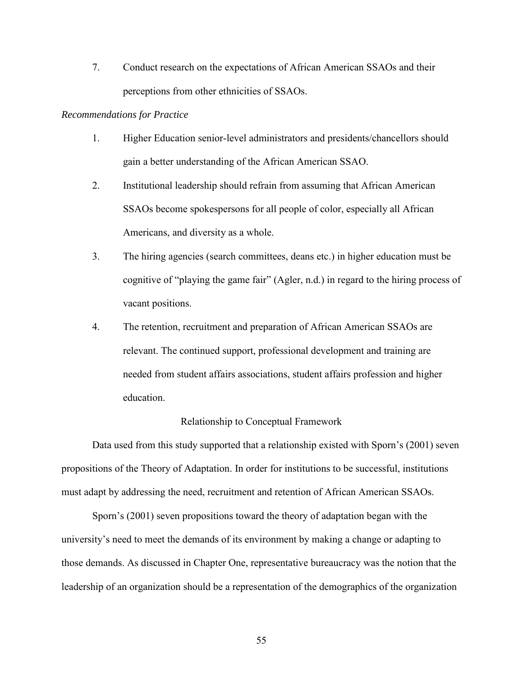7. Conduct research on the expectations of African American SSAOs and their perceptions from other ethnicities of SSAOs.

## *Recommendations for Practice*

- 1. Higher Education senior-level administrators and presidents/chancellors should gain a better understanding of the African American SSAO.
- 2. Institutional leadership should refrain from assuming that African American SSAOs become spokespersons for all people of color, especially all African Americans, and diversity as a whole.
- 3. The hiring agencies (search committees, deans etc.) in higher education must be cognitive of "playing the game fair" (Agler, n.d.) in regard to the hiring process of vacant positions.
- 4. The retention, recruitment and preparation of African American SSAOs are relevant. The continued support, professional development and training are needed from student affairs associations, student affairs profession and higher education.

# Relationship to Conceptual Framework

Data used from this study supported that a relationship existed with Sporn's (2001) seven propositions of the Theory of Adaptation. In order for institutions to be successful, institutions must adapt by addressing the need, recruitment and retention of African American SSAOs.

Sporn's (2001) seven propositions toward the theory of adaptation began with the university's need to meet the demands of its environment by making a change or adapting to those demands. As discussed in Chapter One, representative bureaucracy was the notion that the leadership of an organization should be a representation of the demographics of the organization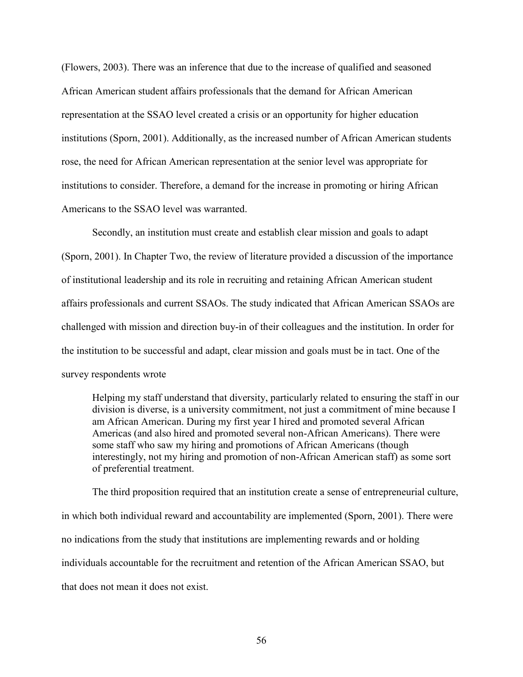(Flowers, 2003). There was an inference that due to the increase of qualified and seasoned African American student affairs professionals that the demand for African American representation at the SSAO level created a crisis or an opportunity for higher education institutions (Sporn, 2001). Additionally, as the increased number of African American students rose, the need for African American representation at the senior level was appropriate for institutions to consider. Therefore, a demand for the increase in promoting or hiring African Americans to the SSAO level was warranted.

Secondly, an institution must create and establish clear mission and goals to adapt (Sporn, 2001). In Chapter Two, the review of literature provided a discussion of the importance of institutional leadership and its role in recruiting and retaining African American student affairs professionals and current SSAOs. The study indicated that African American SSAOs are challenged with mission and direction buy-in of their colleagues and the institution. In order for the institution to be successful and adapt, clear mission and goals must be in tact. One of the survey respondents wrote

Helping my staff understand that diversity, particularly related to ensuring the staff in our division is diverse, is a university commitment, not just a commitment of mine because I am African American. During my first year I hired and promoted several African Americas (and also hired and promoted several non-African Americans). There were some staff who saw my hiring and promotions of African Americans (though interestingly, not my hiring and promotion of non-African American staff) as some sort of preferential treatment.

The third proposition required that an institution create a sense of entrepreneurial culture, in which both individual reward and accountability are implemented (Sporn, 2001). There were no indications from the study that institutions are implementing rewards and or holding individuals accountable for the recruitment and retention of the African American SSAO, but that does not mean it does not exist.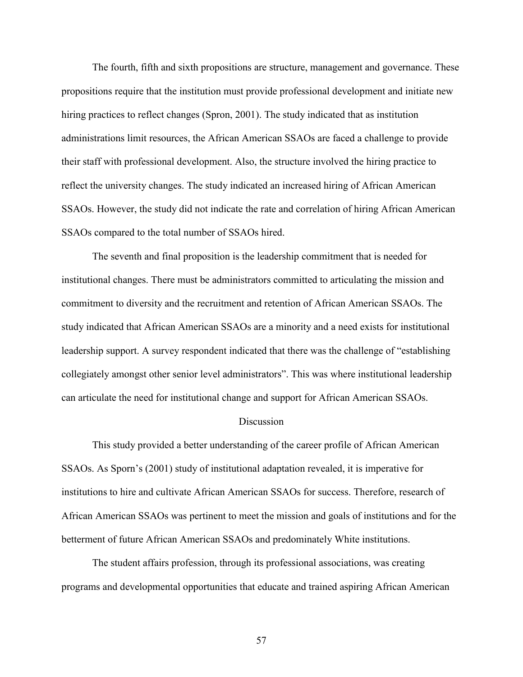The fourth, fifth and sixth propositions are structure, management and governance. These propositions require that the institution must provide professional development and initiate new hiring practices to reflect changes (Spron, 2001). The study indicated that as institution administrations limit resources, the African American SSAOs are faced a challenge to provide their staff with professional development. Also, the structure involved the hiring practice to reflect the university changes. The study indicated an increased hiring of African American SSAOs. However, the study did not indicate the rate and correlation of hiring African American SSAOs compared to the total number of SSAOs hired.

 The seventh and final proposition is the leadership commitment that is needed for institutional changes. There must be administrators committed to articulating the mission and commitment to diversity and the recruitment and retention of African American SSAOs. The study indicated that African American SSAOs are a minority and a need exists for institutional leadership support. A survey respondent indicated that there was the challenge of "establishing collegiately amongst other senior level administrators". This was where institutional leadership can articulate the need for institutional change and support for African American SSAOs.

### **Discussion**

This study provided a better understanding of the career profile of African American SSAOs. As Sporn's (2001) study of institutional adaptation revealed, it is imperative for institutions to hire and cultivate African American SSAOs for success. Therefore, research of African American SSAOs was pertinent to meet the mission and goals of institutions and for the betterment of future African American SSAOs and predominately White institutions.

The student affairs profession, through its professional associations, was creating programs and developmental opportunities that educate and trained aspiring African American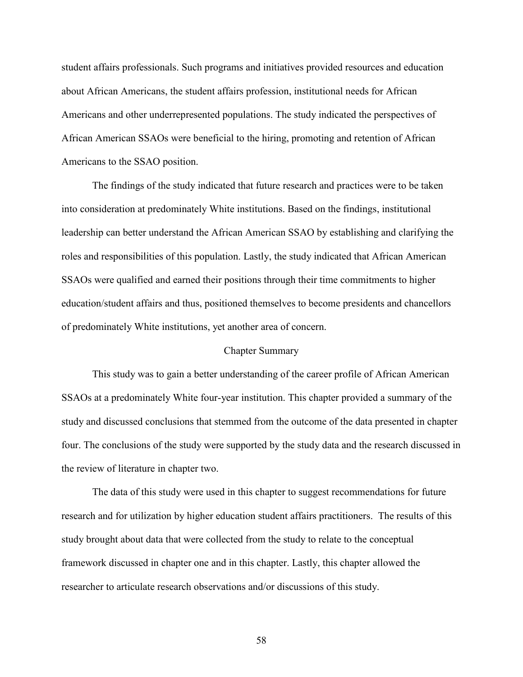student affairs professionals. Such programs and initiatives provided resources and education about African Americans, the student affairs profession, institutional needs for African Americans and other underrepresented populations. The study indicated the perspectives of African American SSAOs were beneficial to the hiring, promoting and retention of African Americans to the SSAO position.

The findings of the study indicated that future research and practices were to be taken into consideration at predominately White institutions. Based on the findings, institutional leadership can better understand the African American SSAO by establishing and clarifying the roles and responsibilities of this population. Lastly, the study indicated that African American SSAOs were qualified and earned their positions through their time commitments to higher education/student affairs and thus, positioned themselves to become presidents and chancellors of predominately White institutions, yet another area of concern.

### Chapter Summary

 This study was to gain a better understanding of the career profile of African American SSAOs at a predominately White four-year institution. This chapter provided a summary of the study and discussed conclusions that stemmed from the outcome of the data presented in chapter four. The conclusions of the study were supported by the study data and the research discussed in the review of literature in chapter two.

The data of this study were used in this chapter to suggest recommendations for future research and for utilization by higher education student affairs practitioners. The results of this study brought about data that were collected from the study to relate to the conceptual framework discussed in chapter one and in this chapter. Lastly, this chapter allowed the researcher to articulate research observations and/or discussions of this study.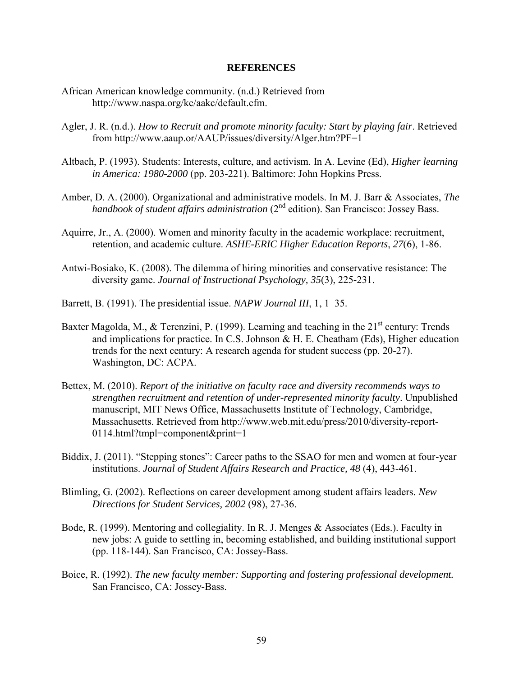### **REFERENCES**

- African American knowledge community. (n.d.) Retrieved from http://www.naspa.org/kc/aakc/default.cfm.
- Agler, J. R. (n.d.). *How to Recruit and promote minority faculty: Start by playing fair*. Retrieved from http://www.aaup.or/AAUP/issues/diversity/Alger.htm?PF=1
- Altbach, P. (1993). Students: Interests, culture, and activism. In A. Levine (Ed), *Higher learning in America: 1980-2000* (pp. 203-221). Baltimore: John Hopkins Press.
- Amber, D. A. (2000). Organizational and administrative models. In M. J. Barr & Associates, *The handbook of student affairs administration* (2nd edition). San Francisco: Jossey Bass.
- Aquirre, Jr., A. (2000). Women and minority faculty in the academic workplace: recruitment, retention, and academic culture. *ASHE-ERIC Higher Education Reports*, *27*(6), 1-86.
- Antwi-Bosiako, K. (2008). The dilemma of hiring minorities and conservative resistance: The diversity game. *Journal of Instructional Psychology, 35*(3), 225-231.
- Barrett, B. (1991). The presidential issue. *NAPW Journal III*, 1, 1–35.
- Baxter Magolda, M., & Terenzini, P. (1999). Learning and teaching in the  $21<sup>st</sup>$  century: Trends and implications for practice. In C.S. Johnson & H. E. Cheatham (Eds), Higher education trends for the next century: A research agenda for student success (pp. 20-27). Washington, DC: ACPA.
- Bettex, M. (2010). *Report of the initiative on faculty race and diversity recommends ways to strengthen recruitment and retention of under-represented minority faculty*. Unpublished manuscript, MIT News Office, Massachusetts Institute of Technology, Cambridge, Massachusetts. Retrieved from http://www.web.mit.edu/press/2010/diversity-report-0114.html?tmpl=component&print=1
- Biddix, J. (2011). "Stepping stones": Career paths to the SSAO for men and women at four-year institutions. *Journal of Student Affairs Research and Practice, 48* (4), 443-461.
- Blimling, G. (2002). Reflections on career development among student affairs leaders. *New Directions for Student Services, 2002* (98), 27-36.
- Bode, R. (1999). Mentoring and collegiality. In R. J. Menges & Associates (Eds.). Faculty in new jobs: A guide to settling in, becoming established, and building institutional support (pp. 118-144). San Francisco, CA: Jossey-Bass.
- Boice, R. (1992). *The new faculty member: Supporting and fostering professional development.* San Francisco, CA: Jossey-Bass.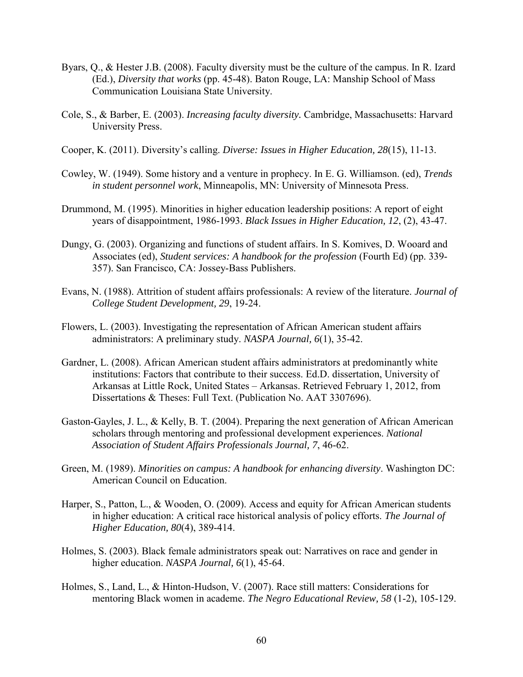- Byars, Q., & Hester J.B. (2008). Faculty diversity must be the culture of the campus. In R. Izard (Ed.), *Diversity that works* (pp. 45-48). Baton Rouge, LA: Manship School of Mass Communication Louisiana State University.
- Cole, S., & Barber, E. (2003). *Increasing faculty diversity.* Cambridge, Massachusetts: Harvard University Press.
- Cooper, K. (2011). Diversity's calling. *Diverse: Issues in Higher Education, 28*(15), 11-13.
- Cowley, W. (1949). Some history and a venture in prophecy. In E. G. Williamson. (ed), *Trends in student personnel work*, Minneapolis, MN: University of Minnesota Press.
- Drummond, M. (1995). Minorities in higher education leadership positions: A report of eight years of disappointment, 1986-1993. *Black Issues in Higher Education, 12*, (2), 43-47.
- Dungy, G. (2003). Organizing and functions of student affairs. In S. Komives, D. Wooard and Associates (ed), *Student services: A handbook for the profession* (Fourth Ed) (pp. 339- 357). San Francisco, CA: Jossey-Bass Publishers.
- Evans, N. (1988). Attrition of student affairs professionals: A review of the literature. *Journal of College Student Development, 29*, 19-24.
- Flowers, L. (2003). Investigating the representation of African American student affairs administrators: A preliminary study. *NASPA Journal, 6*(1), 35-42.
- Gardner, L. (2008). African American student affairs administrators at predominantly white institutions: Factors that contribute to their success. Ed.D. dissertation, University of Arkansas at Little Rock, United States – Arkansas. Retrieved February 1, 2012, from Dissertations & Theses: Full Text. (Publication No. AAT 3307696).
- Gaston-Gayles, J. L., & Kelly, B. T. (2004). Preparing the next generation of African American scholars through mentoring and professional development experiences. *National Association of Student Affairs Professionals Journal, 7*, 46-62.
- Green, M. (1989). *Minorities on campus: A handbook for enhancing diversity*. Washington DC: American Council on Education.
- Harper, S., Patton, L., & Wooden, O. (2009). Access and equity for African American students in higher education: A critical race historical analysis of policy efforts. *The Journal of Higher Education, 80*(4), 389-414.
- Holmes, S. (2003). Black female administrators speak out: Narratives on race and gender in higher education. *NASPA Journal, 6*(1), 45-64.
- Holmes, S., Land, L., & Hinton-Hudson, V. (2007). Race still matters: Considerations for mentoring Black women in academe. *The Negro Educational Review, 58* (1-2), 105-129.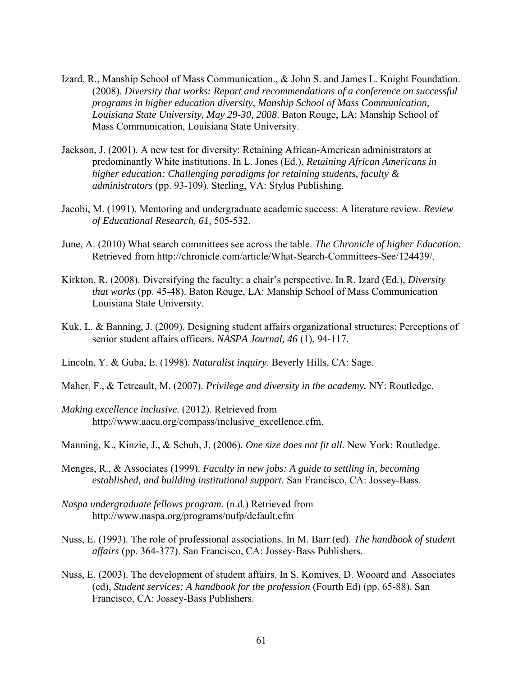- Izard, R., Manship School of Mass Communication., & John S. and James L. Knight Foundation. (2008). *Diversity that works: Report and recommendations of a conference on successful programs in higher education diversity, Manship School of Mass Communication, Louisiana State University, May 29-30, 2008*. Baton Rouge, LA: Manship School of Mass Communication, Louisiana State University.
- Jackson, J. (2001). A new test for diversity: Retaining African-American administrators at predominantly White institutions. In L. Jones (Ed.), *Retaining African Americans in higher education: Challenging paradigms for retaining students, faculty & administrators* (pp. 93-109). Sterling, VA: Stylus Publishing.
- Jacobi, M. (1991). Mentoring and undergraduate academic success: A literature review. *Review of Educational Research, 61,* 505-532.
- June, A. (2010) What search committees see across the table. *The Chronicle of higher Education.*  Retrieved from http://chronicle.com/article/What-Search-Committees-See/124439/.
- Kirkton, R. (2008). Diversifying the faculty: a chair's perspective. In R. Izard (Ed.), *Diversity that works* (pp. 45-48). Baton Rouge, LA: Manship School of Mass Communication Louisiana State University.
- Kuk, L. & Banning, J. (2009). Designing student affairs organizational structures: Perceptions of senior student affairs officers. *NASPA Journal, 46* (1), 94-117.
- Lincoln, Y. & Guba, E. (1998). *Naturalist inquiry*. Beverly Hills, CA: Sage.
- Maher, F., & Tetreault, M. (2007). *Privilege and diversity in the academy.* NY: Routledge.
- *Making excellence inclusive.* (2012). Retrieved from http://www.aacu.org/compass/inclusive\_excellence.cfm.
- Manning, K., Kinzie, J., & Schuh, J. (2006). *One size does not fit all.* New York: Routledge.
- Menges, R., & Associates (1999). *Faculty in new jobs: A guide to settling in, becoming established, and building institutional support.* San Francisco, CA: Jossey-Bass.
- *Naspa undergraduate fellows program.* (n.d.) Retrieved from http://www.naspa.org/programs/nufp/default.cfm
- Nuss, E. (1993). The role of professional associations. In M. Barr (ed). *The handbook of student affairs* (pp. 364-377). San Francisco, CA: Jossey-Bass Publishers.
- Nuss, E. (2003). The development of student affairs. In S. Komives, D. Wooard and Associates (ed), *Student services: A handbook for the profession* (Fourth Ed) (pp. 65-88). San Francisco, CA: Jossey-Bass Publishers.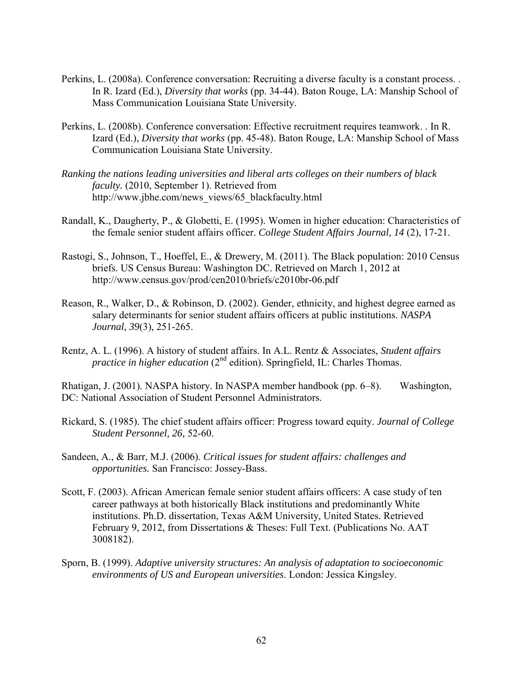- Perkins, L. (2008a). Conference conversation: Recruiting a diverse faculty is a constant process. . In R. Izard (Ed.), *Diversity that works* (pp. 34-44). Baton Rouge, LA: Manship School of Mass Communication Louisiana State University.
- Perkins, L. (2008b). Conference conversation: Effective recruitment requires teamwork. . In R. Izard (Ed.), *Diversity that works* (pp. 45-48). Baton Rouge, LA: Manship School of Mass Communication Louisiana State University.
- *Ranking the nations leading universities and liberal arts colleges on their numbers of black faculty.* (2010, September 1). Retrieved from http://www.jbhe.com/news\_views/65\_blackfaculty.html
- Randall, K., Daugherty, P., & Globetti, E. (1995). Women in higher education: Characteristics of the female senior student affairs officer. *College Student Affairs Journal, 14* (2), 17-21.
- Rastogi, S., Johnson, T., Hoeffel, E., & Drewery, M. (2011). The Black population: 2010 Census briefs. US Census Bureau: Washington DC. Retrieved on March 1, 2012 at http://www.census.gov/prod/cen2010/briefs/c2010br-06.pdf
- Reason, R., Walker, D., & Robinson, D. (2002). Gender, ethnicity, and highest degree earned as salary determinants for senior student affairs officers at public institutions. *NASPA Journal, 39*(3), 251-265.
- Rentz, A. L. (1996). A history of student affairs. In A.L. Rentz & Associates, *Student affairs practice in higher education* (2<sup>nd</sup> edition). Springfield, IL: Charles Thomas.

Rhatigan, J. (2001). NASPA history. In NASPA member handbook (pp. 6–8). Washington, DC: National Association of Student Personnel Administrators.

- Rickard, S. (1985). The chief student affairs officer: Progress toward equity. *Journal of College Student Personnel, 26,* 52-60.
- Sandeen, A., & Barr, M.J. (2006). *Critical issues for student affairs: challenges and opportunities.* San Francisco: Jossey-Bass.
- Scott, F. (2003). African American female senior student affairs officers: A case study of ten career pathways at both historically Black institutions and predominantly White institutions. Ph.D. dissertation, Texas A&M University, United States. Retrieved February 9, 2012, from Dissertations & Theses: Full Text. (Publications No. AAT 3008182).
- Sporn, B. (1999). *Adaptive university structures: An analysis of adaptation to socioeconomic environments of US and European universities*. London: Jessica Kingsley.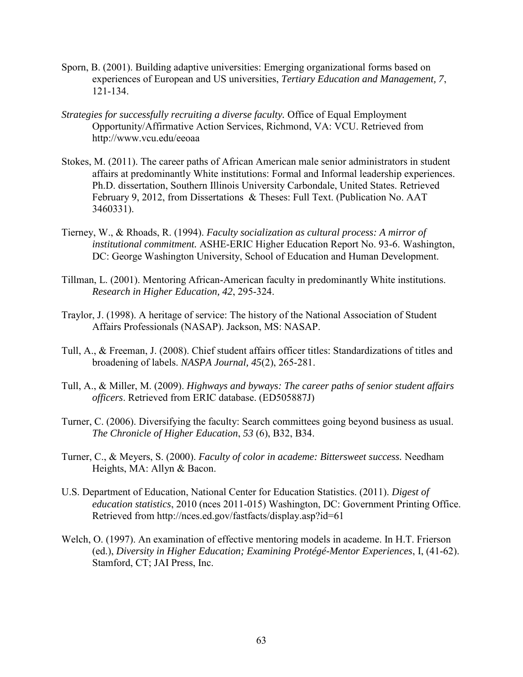- Sporn, B. (2001). Building adaptive universities: Emerging organizational forms based on experiences of European and US universities, *Tertiary Education and Management, 7*, 121-134.
- *Strategies for successfully recruiting a diverse faculty.* Office of Equal Employment Opportunity/Affirmative Action Services, Richmond, VA: VCU. Retrieved from http://www.vcu.edu/eeoaa
- Stokes, M. (2011). The career paths of African American male senior administrators in student affairs at predominantly White institutions: Formal and Informal leadership experiences. Ph.D. dissertation, Southern Illinois University Carbondale, United States. Retrieved February 9, 2012, from Dissertations & Theses: Full Text. (Publication No. AAT 3460331).
- Tierney, W., & Rhoads, R. (1994). *Faculty socialization as cultural process: A mirror of institutional commitment.* ASHE-ERIC Higher Education Report No. 93-6. Washington, DC: George Washington University, School of Education and Human Development.
- Tillman, L. (2001). Mentoring African-American faculty in predominantly White institutions. *Research in Higher Education, 42*, 295-324.
- Traylor, J. (1998). A heritage of service: The history of the National Association of Student Affairs Professionals (NASAP). Jackson, MS: NASAP.
- Tull, A., & Freeman, J. (2008). Chief student affairs officer titles: Standardizations of titles and broadening of labels. *NASPA Journal, 45*(2), 265-281.
- Tull, A., & Miller, M. (2009). *Highways and byways: The career paths of senior student affairs officers*. Retrieved from ERIC database. (ED505887J)
- Turner, C. (2006). Diversifying the faculty: Search committees going beyond business as usual. *The Chronicle of Higher Education*, *53* (6), B32, B34.
- Turner, C., & Meyers, S. (2000). *Faculty of color in academe: Bittersweet success.* Needham Heights, MA: Allyn & Bacon.
- U.S. Department of Education, National Center for Education Statistics. (2011). *Digest of education statistics*, 2010 (nces 2011-015) Washington, DC: Government Printing Office. Retrieved from http://nces.ed.gov/fastfacts/display.asp?id=61
- Welch, O. (1997). An examination of effective mentoring models in academe. In H.T. Frierson (ed.), *Diversity in Higher Education; Examining Protégé-Mentor Experiences*, I, (41-62). Stamford, CT; JAI Press, Inc.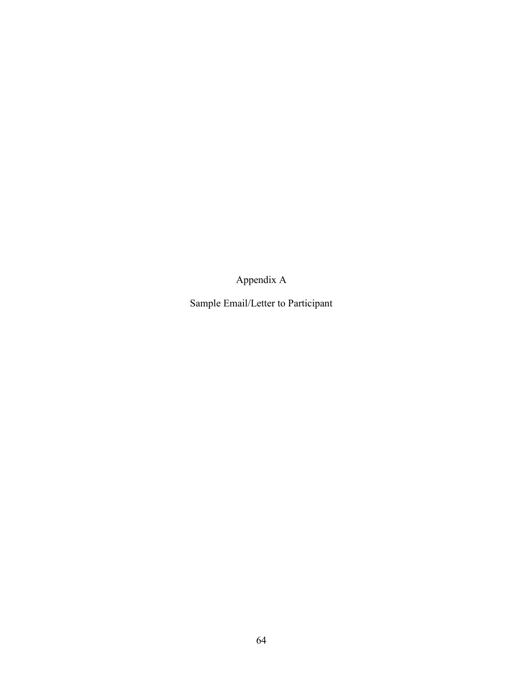Appendix A

Sample Email/Letter to Participant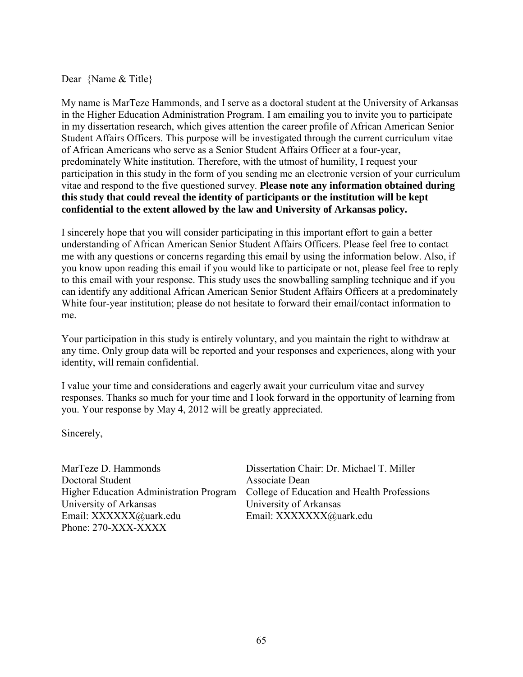Dear {Name & Title}

My name is MarTeze Hammonds, and I serve as a doctoral student at the University of Arkansas in the Higher Education Administration Program. I am emailing you to invite you to participate in my dissertation research, which gives attention the career profile of African American Senior Student Affairs Officers. This purpose will be investigated through the current curriculum vitae of African Americans who serve as a Senior Student Affairs Officer at a four-year, predominately White institution. Therefore, with the utmost of humility, I request your participation in this study in the form of you sending me an electronic version of your curriculum vitae and respond to the five questioned survey. **Please note any information obtained during this study that could reveal the identity of participants or the institution will be kept confidential to the extent allowed by the law and University of Arkansas policy.**

I sincerely hope that you will consider participating in this important effort to gain a better understanding of African American Senior Student Affairs Officers. Please feel free to contact me with any questions or concerns regarding this email by using the information below. Also, if you know upon reading this email if you would like to participate or not, please feel free to reply to this email with your response. This study uses the snowballing sampling technique and if you can identify any additional African American Senior Student Affairs Officers at a predominately White four-year institution; please do not hesitate to forward their email/contact information to me.

Your participation in this study is entirely voluntary, and you maintain the right to withdraw at any time. Only group data will be reported and your responses and experiences, along with your identity, will remain confidential.

I value your time and considerations and eagerly await your curriculum vitae and survey responses. Thanks so much for your time and I look forward in the opportunity of learning from you. Your response by May 4, 2012 will be greatly appreciated.

Sincerely,

MarTeze D. Hammonds Dissertation Chair: Dr. Michael T. Miller Doctoral Student Associate Dean University of Arkansas University of Arkansas Email: XXXXXX*Q*uark.edu Email: XXXXXX*Quark.edu* Phone: 270-XXX-XXXX

Higher Education Administration Program College of Education and Health Professions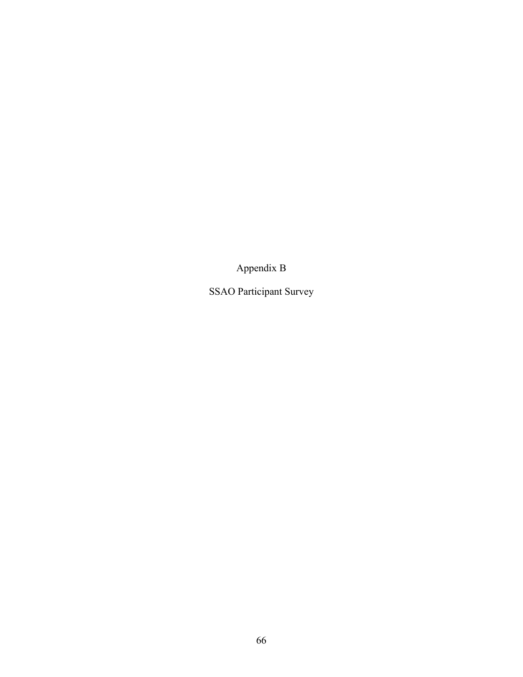Appendix B

SSAO Participant Survey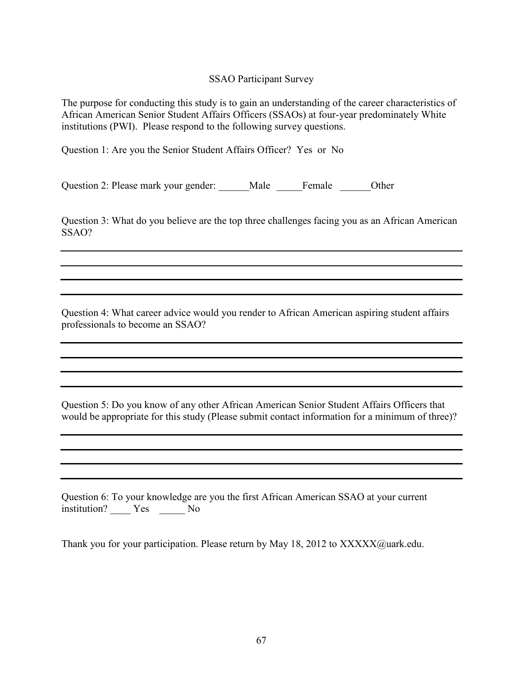#### SSAO Participant Survey

The purpose for conducting this study is to gain an understanding of the career characteristics of African American Senior Student Affairs Officers (SSAOs) at four-year predominately White institutions (PWI). Please respond to the following survey questions.

Question 1: Are you the Senior Student Affairs Officer? Yes or No

Question 2: Please mark your gender: Male Female Other

Question 3: What do you believe are the top three challenges facing you as an African American SSAO?

Question 4: What career advice would you render to African American aspiring student affairs professionals to become an SSAO?

Question 5: Do you know of any other African American Senior Student Affairs Officers that would be appropriate for this study (Please submit contact information for a minimum of three)?

Question 6: To your knowledge are you the first African American SSAO at your current institution? \_\_\_\_ Yes \_\_\_\_\_ No

Thank you for your participation. Please return by May 18, 2012 to XXXXX@uark.edu.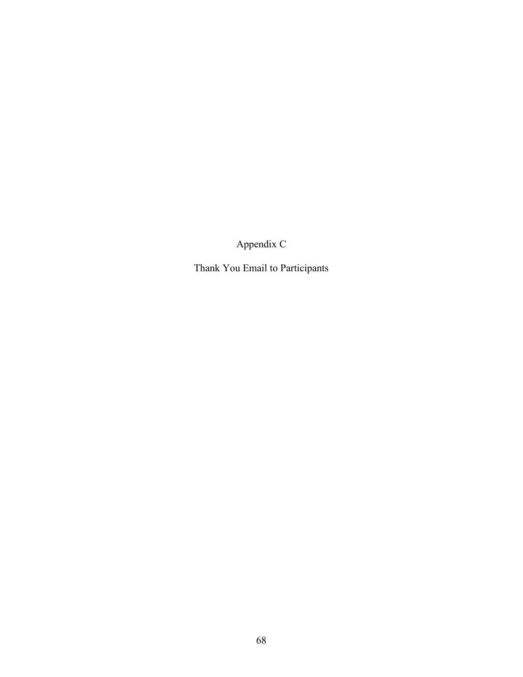Appendix C

Thank You Email to Participants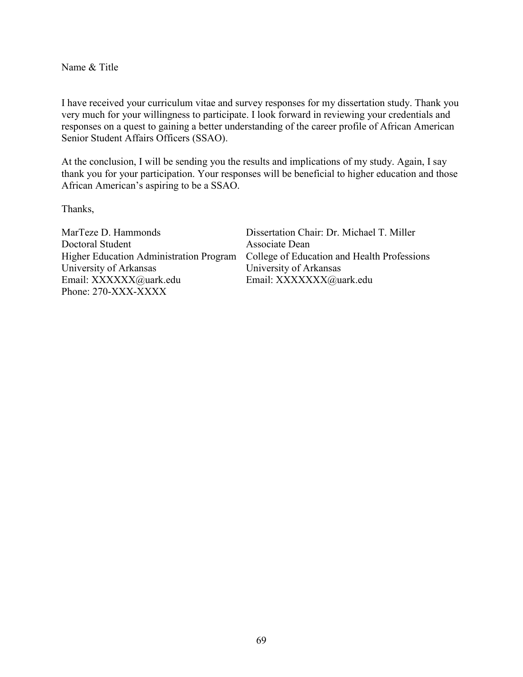Name & Title

I have received your curriculum vitae and survey responses for my dissertation study. Thank you very much for your willingness to participate. I look forward in reviewing your credentials and responses on a quest to gaining a better understanding of the career profile of African American Senior Student Affairs Officers (SSAO).

At the conclusion, I will be sending you the results and implications of my study. Again, I say thank you for your participation. Your responses will be beneficial to higher education and those African American's aspiring to be a SSAO.

Thanks,

MarTeze D. Hammonds Dissertation Chair: Dr. Michael T. Miller Doctoral Student Associate Dean University of Arkansas<br>
Email: XXXXXX*Q*uark.edu
Email: XXXXXX*Q*uark.edu
Email: XXXXXX*AQ*uark.edu Phone: 270-XXX-XXXX

Higher Education Administration Program College of Education and Health Professions Email: XXXXXX@uark.edu Email: XXXXXXX@uark.edu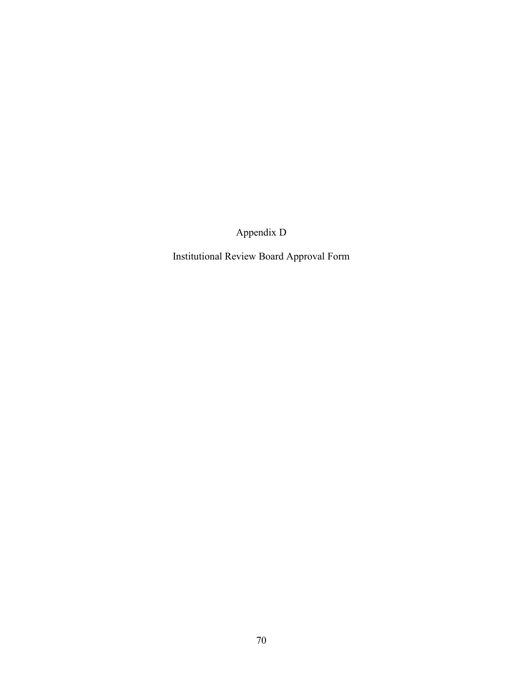Appendix D

Institutional Review Board Approval Form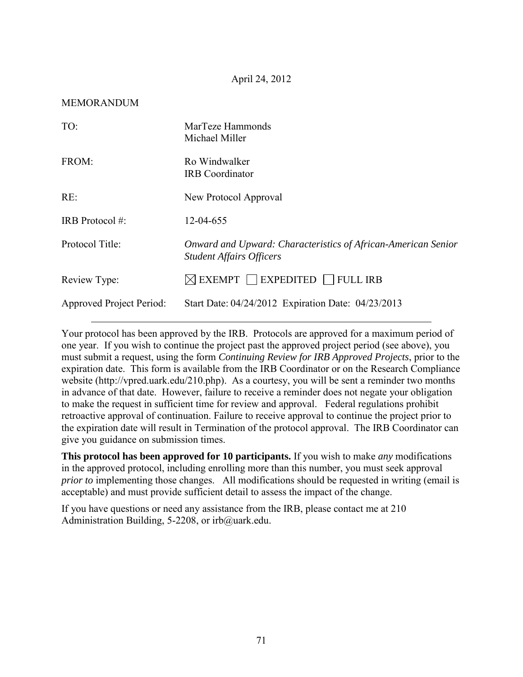#### MEMORANDUM

| TO:                             | MarTeze Hammonds<br>Michael Miller                                                               |
|---------------------------------|--------------------------------------------------------------------------------------------------|
| FROM:                           | Ro Windwalker<br><b>IRB</b> Coordinator                                                          |
| RE:                             | New Protocol Approval                                                                            |
| IRB Protocol #:                 | 12-04-655                                                                                        |
| Protocol Title:                 | Onward and Upward: Characteristics of African-American Senior<br><b>Student Affairs Officers</b> |
| Review Type:                    | $\boxtimes$ EXEMPT $\Box$ EXPEDITED $\Box$ FULL IRB                                              |
| <b>Approved Project Period:</b> | Start Date: 04/24/2012 Expiration Date: 04/23/2013                                               |

Your protocol has been approved by the IRB. Protocols are approved for a maximum period of one year. If you wish to continue the project past the approved project period (see above), you must submit a request, using the form *Continuing Review for IRB Approved Projects*, prior to the expiration date. This form is available from the IRB Coordinator or on the Research Compliance website (http://vpred.uark.edu/210.php). As a courtesy, you will be sent a reminder two months in advance of that date. However, failure to receive a reminder does not negate your obligation to make the request in sufficient time for review and approval. Federal regulations prohibit retroactive approval of continuation. Failure to receive approval to continue the project prior to the expiration date will result in Termination of the protocol approval. The IRB Coordinator can give you guidance on submission times.

**This protocol has been approved for 10 participants.** If you wish to make *any* modifications in the approved protocol, including enrolling more than this number, you must seek approval *prior to implementing those changes.* All modifications should be requested in writing (email is acceptable) and must provide sufficient detail to assess the impact of the change.

If you have questions or need any assistance from the IRB, please contact me at 210 Administration Building, 5-2208, or irb@uark.edu.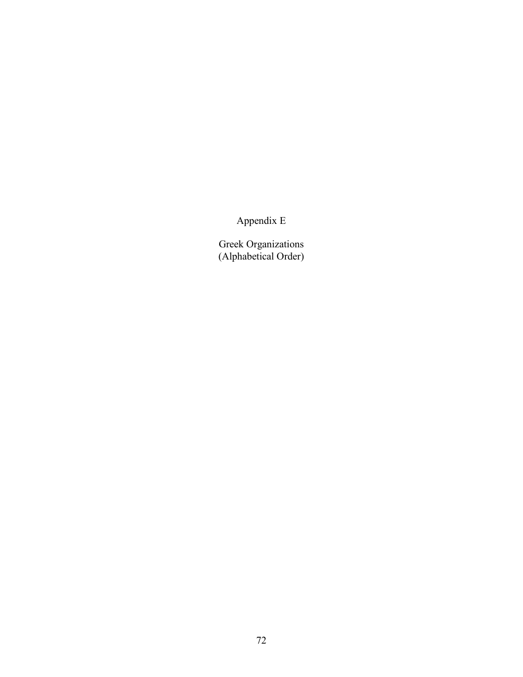Appendix E

Greek Organizations (Alphabetical Order)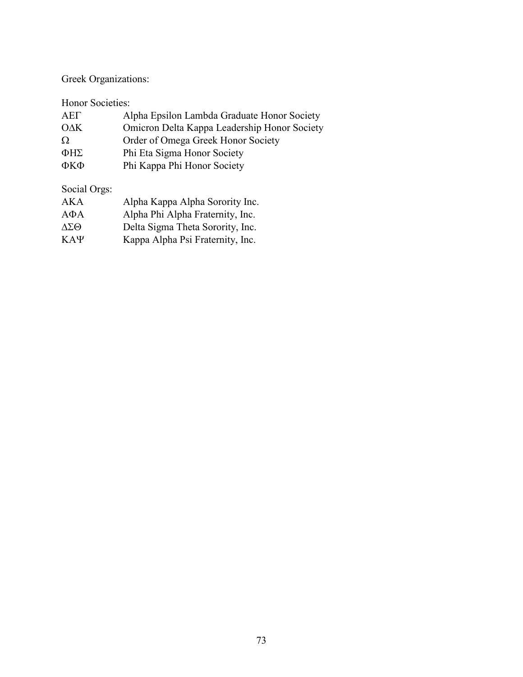Greek Organizations:

Honor Societies:

| AEL               | Alpha Epsilon Lambda Graduate Honor Society  |
|-------------------|----------------------------------------------|
| $O\Delta K$       | Omicron Delta Kappa Leadership Honor Society |
| Ω                 | Order of Omega Greek Honor Society           |
| $\Phi$ H $\Sigma$ | Phi Eta Sigma Honor Society                  |
| ФКФ               | Phi Kappa Phi Honor Society                  |
|                   |                                              |

Social Orgs:

| AKA                    | Alpha Kappa Alpha Sorority Inc.  |
|------------------------|----------------------------------|
| $A\Phi A$              | Alpha Phi Alpha Fraternity, Inc. |
| $\Delta \Sigma \Theta$ | Delta Sigma Theta Sorority, Inc. |
| $KA\Psi$               | Kappa Alpha Psi Fraternity, Inc. |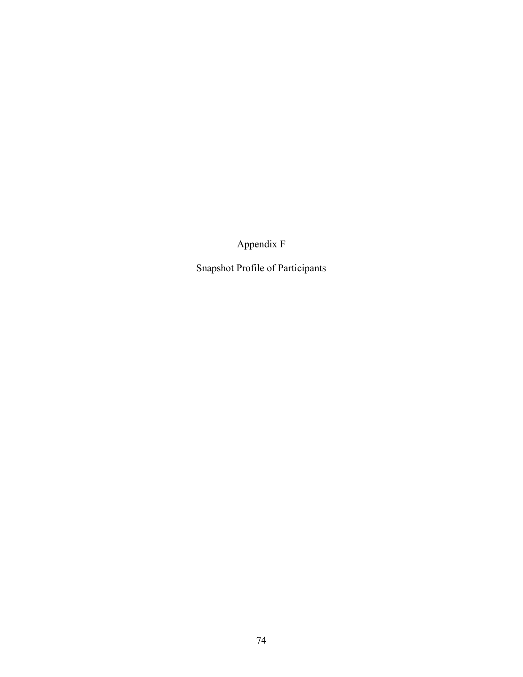Appendix F

Snapshot Profile of Participants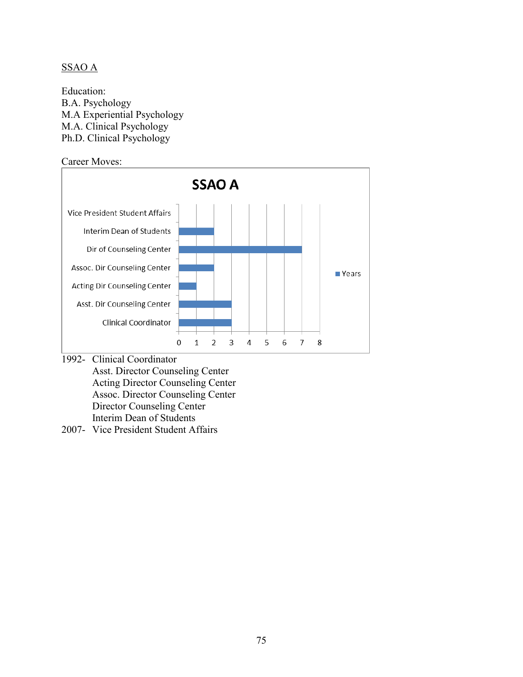# SSAO A

Education: B.A. Psychology M.A Experiential Psychology M.A. Clinical Psychology Ph.D. Clinical Psychology



- Asst. Director Counseling Center Acting Director Counseling Center Assoc. Director Counseling Center Director Counseling Center Interim Dean of Students
- 2007- Vice President Student Affairs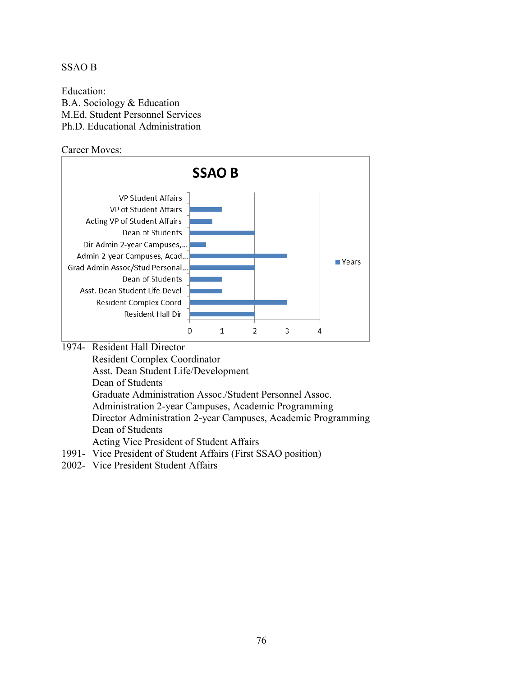## SSAO B

Education: B.A. Sociology & Education M.Ed. Student Personnel Services Ph.D. Educational Administration

Career Moves:



 Resident Complex Coordinator Asst. Dean Student Life/Development Dean of Students Graduate Administration Assoc./Student Personnel Assoc. Administration 2-year Campuses, Academic Programming Director Administration 2-year Campuses, Academic Programming Dean of Students Acting Vice President of Student Affairs 1991- Vice President of Student Affairs (First SSAO position)

2002- Vice President Student Affairs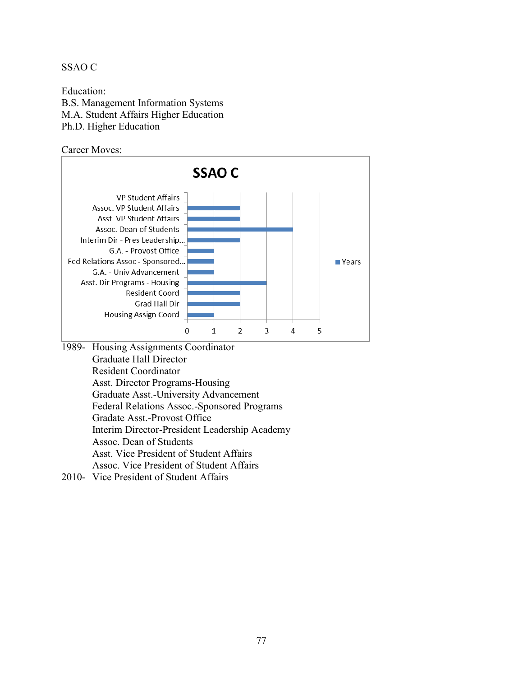## SSAO C

Education: B.S. Management Information Systems M.A. Student Affairs Higher Education Ph.D. Higher Education

Career Moves:



- 1989- Housing Assignments Coordinator Graduate Hall Director Resident Coordinator Asst. Director Programs-Housing Graduate Asst.-University Advancement Federal Relations Assoc.-Sponsored Programs Gradate Asst.-Provost Office Interim Director-President Leadership Academy Assoc. Dean of Students Asst. Vice President of Student Affairs Assoc. Vice President of Student Affairs
- 2010- Vice President of Student Affairs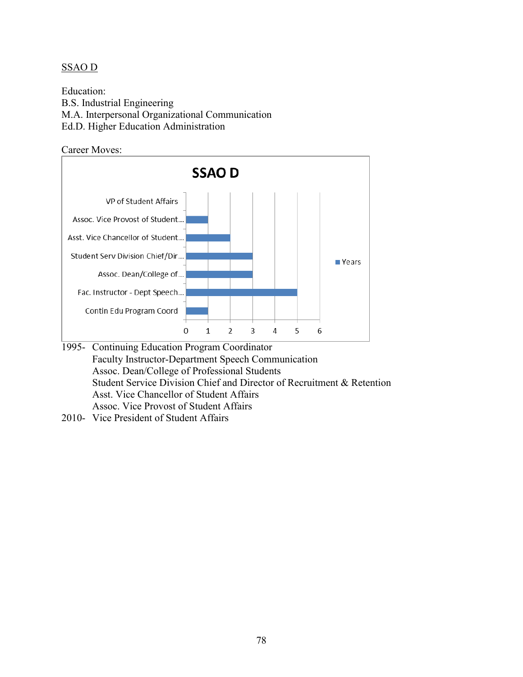## SSAO D

Education: B.S. Industrial Engineering M.A. Interpersonal Organizational Communication Ed.D. Higher Education Administration

Career Moves:



- 1995- Continuing Education Program Coordinator Faculty Instructor-Department Speech Communication Assoc. Dean/College of Professional Students Student Service Division Chief and Director of Recruitment & Retention Asst. Vice Chancellor of Student Affairs Assoc. Vice Provost of Student Affairs
- 2010- Vice President of Student Affairs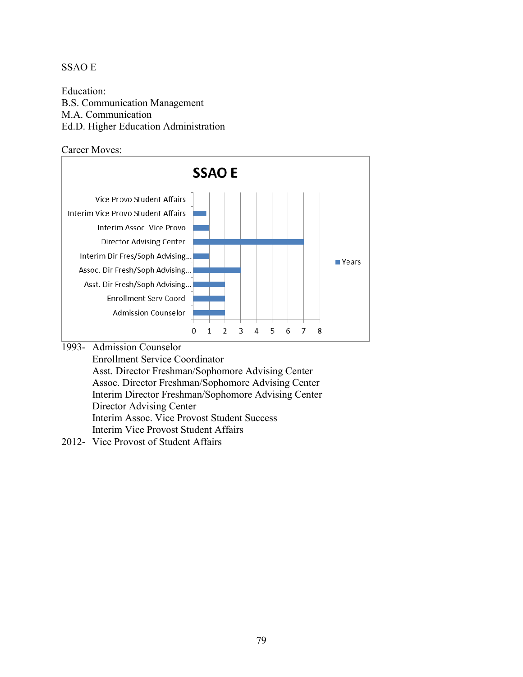## SSAO E

Education: B.S. Communication Management M.A. Communication Ed.D. Higher Education Administration

Career Moves:



1993- Admission Counselor

 Enrollment Service Coordinator Asst. Director Freshman/Sophomore Advising Center Assoc. Director Freshman/Sophomore Advising Center Interim Director Freshman/Sophomore Advising Center Director Advising Center Interim Assoc. Vice Provost Student Success Interim Vice Provost Student Affairs

2012- Vice Provost of Student Affairs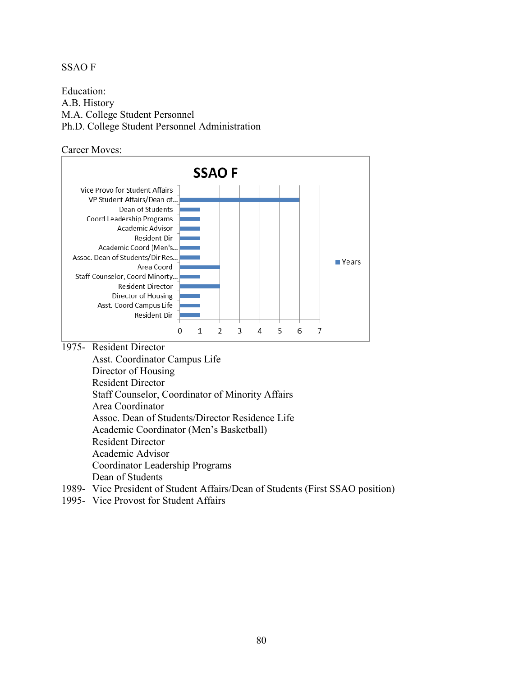#### SSAO F

Education: A.B. History M.A. College Student Personnel Ph.D. College Student Personnel Administration

Career Moves:



 Director of Housing Resident Director Staff Counselor, Coordinator of Minority Affairs Area Coordinator Assoc. Dean of Students/Director Residence Life Academic Coordinator (Men's Basketball) Resident Director Academic Advisor Coordinator Leadership Programs Dean of Students

- 1989- Vice President of Student Affairs/Dean of Students (First SSAO position)
- 1995- Vice Provost for Student Affairs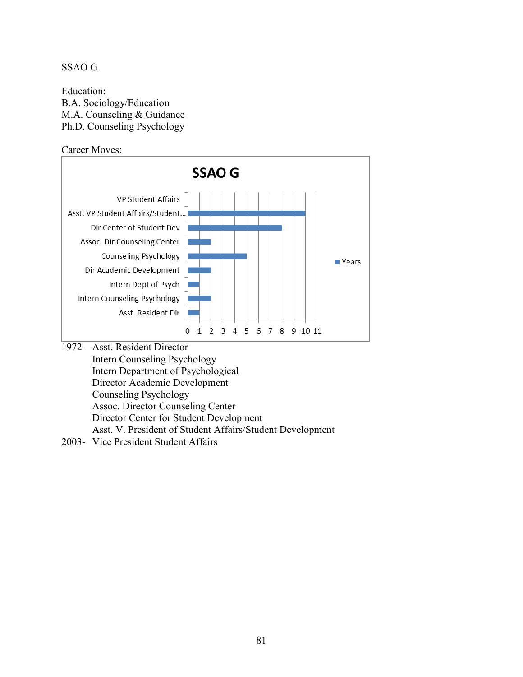#### SSAO G

Education: B.A. Sociology/Education M.A. Counseling & Guidance Ph.D. Counseling Psychology

Career Moves:



- Intern Counseling Psychology Intern Department of Psychological Director Academic Development Counseling Psychology Assoc. Director Counseling Center Director Center for Student Development Asst. V. President of Student Affairs/Student Development
- 2003- Vice President Student Affairs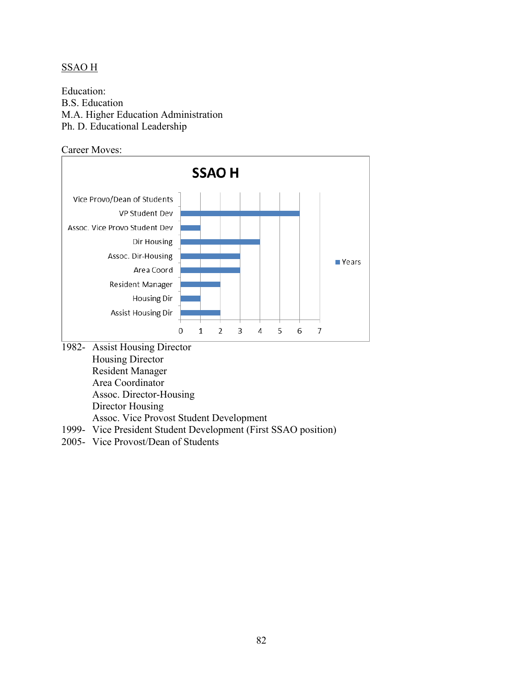# SSAO H

Education: B.S. Education M.A. Higher Education Administration Ph. D. Educational Leadership

Career Moves:



Director Housing

Assoc. Vice Provost Student Development

- 1999- Vice President Student Development (First SSAO position)
- 2005- Vice Provost/Dean of Students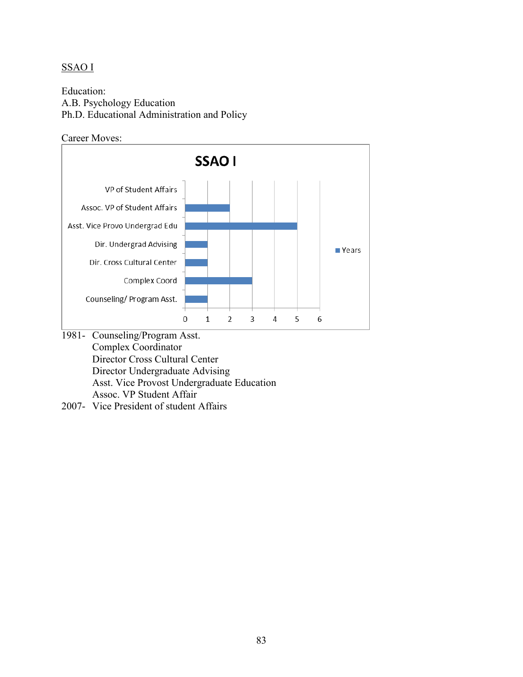# SSAO I

Education: A.B. Psychology Education Ph.D. Educational Administration and Policy





Assoc. VP Student Affair

2007- Vice President of student Affairs